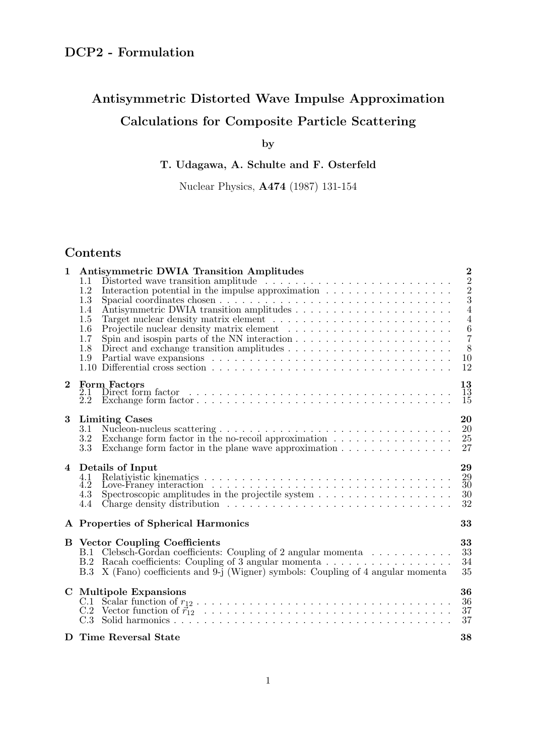# Antisymmetric Distorted Wave Impulse Approximation Calculations for Composite Particle Scattering

by

T. Udagawa, A. Schulte and F. Osterfeld

Nuclear Physics, A474 (1987) 131-154

## Contents

| $\overline{2}$<br>$\mathbf{1}$<br><b>Antisymmetric DWIA Transition Amplitudes</b> |                                        |                                                                                                                                                                                               |                            |  |  |  |  |  |
|-----------------------------------------------------------------------------------|----------------------------------------|-----------------------------------------------------------------------------------------------------------------------------------------------------------------------------------------------|----------------------------|--|--|--|--|--|
|                                                                                   | 1.1<br>1.2                             |                                                                                                                                                                                               | $\overline{2}$             |  |  |  |  |  |
|                                                                                   | 1.3                                    | Interaction potential in the impulse approximation $\ldots \ldots \ldots \ldots \ldots \ldots$                                                                                                | $\frac{2}{3}$              |  |  |  |  |  |
|                                                                                   | 1.4                                    |                                                                                                                                                                                               | $\overline{4}$             |  |  |  |  |  |
|                                                                                   | 1.5                                    |                                                                                                                                                                                               | $\overline{4}$             |  |  |  |  |  |
|                                                                                   | 1.6                                    |                                                                                                                                                                                               | $\frac{6}{7}$              |  |  |  |  |  |
|                                                                                   | 1.7<br>1.8                             | Spin and isospin parts of the NN interaction $\dots \dots \dots \dots \dots \dots \dots \dots$<br>Direct and exchange transition amplitudes $\dots \dots \dots \dots \dots \dots \dots \dots$ | 8                          |  |  |  |  |  |
|                                                                                   | 1.9                                    |                                                                                                                                                                                               | 10                         |  |  |  |  |  |
|                                                                                   | 1.10                                   |                                                                                                                                                                                               | 12                         |  |  |  |  |  |
| $\bf{2}$                                                                          |                                        | <b>Form Factors</b>                                                                                                                                                                           | 13                         |  |  |  |  |  |
|                                                                                   | 2.1                                    |                                                                                                                                                                                               | $\overline{1}\overline{3}$ |  |  |  |  |  |
|                                                                                   | $\overline{2}\overline{.}\overline{2}$ |                                                                                                                                                                                               | $15\,$                     |  |  |  |  |  |
| 3                                                                                 |                                        | <b>Limiting Cases</b>                                                                                                                                                                         | 20                         |  |  |  |  |  |
|                                                                                   | 3.1                                    |                                                                                                                                                                                               | 20                         |  |  |  |  |  |
|                                                                                   | 3.2                                    | Exchange form factor in the no-recoil approximation $\ldots \ldots \ldots \ldots \ldots$                                                                                                      | 25                         |  |  |  |  |  |
|                                                                                   | 3.3                                    | Exchange form factor in the plane wave approximation $\dots \dots \dots \dots \dots$                                                                                                          | 27                         |  |  |  |  |  |
| $\overline{4}$                                                                    |                                        | Details of Input                                                                                                                                                                              | 29                         |  |  |  |  |  |
|                                                                                   | 4.1                                    |                                                                                                                                                                                               | $\substack{29\\30}$        |  |  |  |  |  |
|                                                                                   | 4.2<br>4.3                             | Spectroscopic amplitudes in the projectile system $\ldots \ldots \ldots \ldots \ldots \ldots$                                                                                                 | $30\,$                     |  |  |  |  |  |
|                                                                                   | 4.4                                    |                                                                                                                                                                                               | 32                         |  |  |  |  |  |
|                                                                                   |                                        |                                                                                                                                                                                               |                            |  |  |  |  |  |
|                                                                                   |                                        | A Properties of Spherical Harmonics<br>33                                                                                                                                                     |                            |  |  |  |  |  |
|                                                                                   | <b>B</b> Vector Coupling Coefficients  |                                                                                                                                                                                               |                            |  |  |  |  |  |
|                                                                                   |                                        | B.1 Clebsch-Gordan coefficients: Coupling of 2 angular momenta                                                                                                                                | 33<br>$33\,$               |  |  |  |  |  |
|                                                                                   |                                        | B.2 Racah coefficients: Coupling of 3 angular momenta                                                                                                                                         | 34                         |  |  |  |  |  |
|                                                                                   | B.3                                    | X (Fano) coefficients and 9-j (Wigner) symbols: Coupling of 4 angular momenta                                                                                                                 | 35                         |  |  |  |  |  |
| $\mathbf C$                                                                       | <b>Multipole Expansions</b>            |                                                                                                                                                                                               |                            |  |  |  |  |  |
|                                                                                   |                                        |                                                                                                                                                                                               | 36<br>36                   |  |  |  |  |  |
|                                                                                   |                                        |                                                                                                                                                                                               | 37                         |  |  |  |  |  |
|                                                                                   |                                        |                                                                                                                                                                                               | 37                         |  |  |  |  |  |
|                                                                                   | D Time Reversal State<br>38            |                                                                                                                                                                                               |                            |  |  |  |  |  |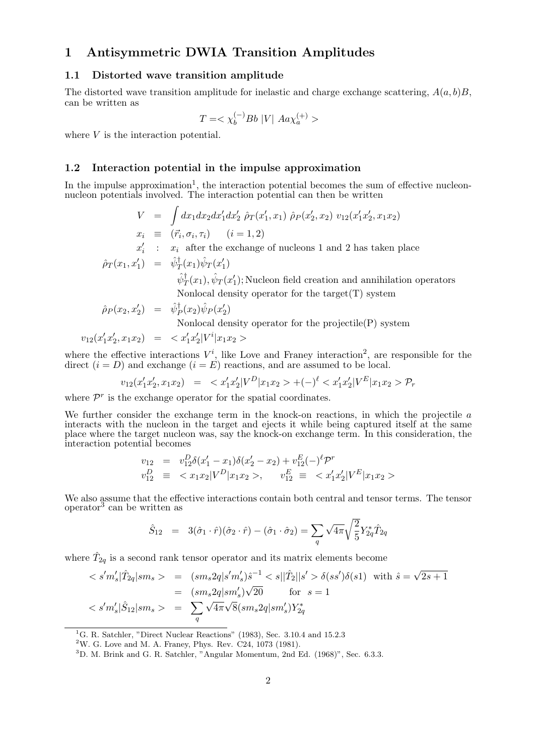### 1 Antisymmetric DWIA Transition Amplitudes

#### 1.1 Distorted wave transition amplitude

The distorted wave transition amplitude for inelastic and charge exchange scattering,  $A(a, b)B$ , can be written as

$$
T = \langle \chi_b^{(-)} Bb |V| Aa \chi_a^{(+)} \rangle
$$

where V is the interaction potential.

#### 1.2 Interaction potential in the impulse approximation

In the impulse approximation<sup>1</sup>, the interaction potential becomes the sum of effective nucleonnucleon potentials involved. The interaction potential can then be written

$$
V = \int dx_1 dx_2 dx'_1 dx'_2 \hat{\rho}_T(x'_1, x_1) \hat{\rho}_P(x'_2, x_2) v_{12}(x'_1 x'_2, x_1 x_2)
$$
  
\n
$$
x_i \equiv (\vec{r}_i, \sigma_i, \tau_i) \quad (i = 1, 2)
$$
  
\n
$$
x'_i : x_i \text{ after the exchange of nucleons 1 and 2 has taken place}
$$

$$
\hat{\rho}_T(x_1, x_1') = \hat{\psi}_T^{\dagger}(x_1)\hat{\psi}_T(x_1')
$$
  

$$
\hat{\psi}_T^{\dagger}(x_1), \hat{\psi}_T(x_1');
$$
 Nucleon field creation and annihilation operators

Nonlocal density operator for the target(T) system

$$
\hat{\rho}_P(x_2, x_2') = \hat{\psi}_P^{\dagger}(x_2) \hat{\psi}_P(x_2')
$$

Nonlocal density operator for the projectile(P) system

$$
v_{12}(x'_1x'_2,x_1x_2) \;\; = \;\;
$$

where the effective interactions  $V^i$ , like Love and Franey interaction<sup>2</sup>, are responsible for the direct  $(i = D)$  and exchange  $(i = E)$  reactions, and are assumed to be local.

$$
v_{12}(x'_1x'_2, x_1x_2) = \langle x'_1x'_2 | V^D | x_1x_2 \rangle + (-)^{\ell} \langle x'_1x'_2 | V^E | x_1x_2 \rangle \mathcal{P}_r
$$

where  $\mathcal{P}^r$  is the exchange operator for the spatial coordinates.

We further consider the exchange term in the knock-on reactions, in which the projectile  $a$ interacts with the nucleon in the target and ejects it while being captured itself at the same place where the target nucleon was, say the knock-on exchange term. In this consideration, the interaction potential becomes

$$
v_{12} = v_{12}^{D} \delta(x'_1 - x_1) \delta(x'_2 - x_2) + v_{12}^{E} (-)^{\ell} \mathcal{P}^r
$$
  
\n
$$
v_{12}^{D} \equiv \langle x_1 x_2 | V^D | x_1 x_2 \rangle, \quad v_{12}^{E} \equiv \langle x'_1 x'_2 | V^E | x_1 x_2 \rangle
$$

We also assume that the effective interactions contain both central and tensor terms. The tensor  $\frac{1}{2}$  operator<sup>3</sup> can be written as

$$
\hat{S}_{12} = 3(\hat{\sigma}_1 \cdot \hat{r})(\hat{\sigma}_2 \cdot \hat{r}) - (\hat{\sigma}_1 \cdot \hat{\sigma}_2) = \sum_{q} \sqrt{4\pi} \sqrt{\frac{2}{5}} Y_{2q}^* \hat{T}_{2q}
$$

where  $\hat{T}_{2q}$  is a second rank tensor operator and its matrix elements become

$$
\langle s'm'_s|\hat{T}_{2q}|sm_s \rangle = (sm_s 2q|s'm'_s)\hat{s}^{-1} \langle s||\hat{T}_2||s' \rangle \delta(ss')\delta(s1) \text{ with } \hat{s} = \sqrt{2s+1}
$$
  

$$
= (sm_s 2q|sm'_s)\sqrt{20} \text{ for } s = 1
$$
  

$$
\langle s'm'_s|\hat{S}_{12}|sm_s \rangle = \sum_{q} \sqrt{4\pi}\sqrt{8} (sm_s 2q|sm'_s)Y_{2q}^*
$$

<sup>1</sup>G. R. Satchler, "Direct Nuclear Reactions" (1983), Sec. 3.10.4 and 15.2.3

<sup>2</sup>W. G. Love and M. A. Franey, Phys. Rev. C24, 1073 (1981).

 $3D.$  M. Brink and G. R. Satchler, "Angular Momentum, 2nd Ed. (1968)", Sec. 6.3.3.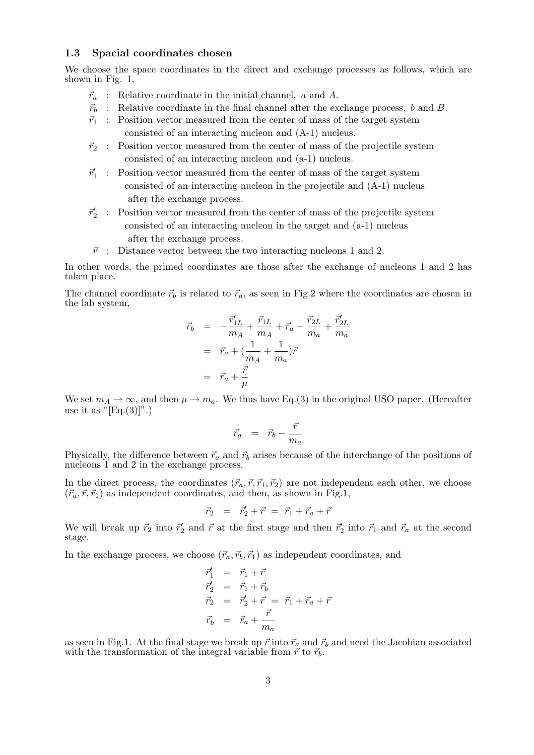#### 1.3 Spacial coordinates chosen

We choose the space coordinates in the direct and exchange processes as follows, which are shown in Fig. 1,

- $\vec{r}_a$  : Relative coordinate in the initial channel, a and A.
- $\vec{r}_b$  : Relative coordinate in the final channel after the exchange process, b and B.
- $\vec{r}_1$  : Position vector measured from the center of mass of the target system consisted of an interacting nucleon and (A-1) nucleus.
- $\vec{r}_2$ : Position vector measured from the center of mass of the projectile system consisted of an interacting nucleon and (a-1) nucleus.
- $\vec{r}_1'$  : Position vector measured from the center of mass of the target system consisted of an interacting nucleon in the projectile and (A-1) nucleus after the exchange process.
- $\vec{r}_2'$  : Position vector measured from the center of mass of the projectile system consisted of an interacting nucleon in the target and (a-1) nucleus after the exchange process.
- $\vec{r}$  : Distance vector between the two interacting nucleons 1 and 2.

In other words, the primed coordinates are those after the exchange of nucleons 1 and 2 has taken place.

The channel coordinate  $\vec{r}_b$  is related to  $\vec{r}_a$ , as seen in Fig.2 where the coordinates are chosen in the lab system,

$$
\begin{array}{rcl} \vec{r}_b & = & -\frac{\vec{r}_{1L}}{m_A} + \frac{\vec{r}_{1L}}{m_A} + \vec{r}_a - \frac{\vec{r}_{2L}}{m_a} + \frac{\vec{r}_{2L}'}{m_a} \\ \\ & = & \vec{r}_a + (\frac{1}{m_A} + \frac{1}{m_a})\vec{r} \\ \\ & = & \vec{r}_a + \frac{\vec{r}}{\mu} \end{array}
$$

We set  $m_A \to \infty$ , and then  $\mu \to m_a$ . We thus have Eq.(3) in the original USO paper. (Hereafter use it as  $"[Eq.(3)]".$ 

$$
\vec{r}_a = \vec{r}_b - \frac{\vec{r}}{m_a}
$$

Physically, the difference between  $\vec{r}_a$  and  $\vec{r}_b$  arises because of the interchange of the positions of nucleons 1 and 2 in the exchange process.

In the direct process, the coordinates  $(\vec{r}_a, \vec{r}, \vec{r}_1, \vec{r}_2)$  are not independent each other, we choose  $(\vec{r}_a, \vec{r}, \vec{r}_1)$  as independent coordinates, and then, as shown in Fig.1,

$$
\vec{r}_2 = \vec{r}'_2 + \vec{r} = \vec{r}_1 + \vec{r}_a + \vec{r}
$$

We will break up  $\vec{r}_2$  into  $\vec{r}_2$  and  $\vec{r}$  at the first stage and then  $\vec{r}_2$  into  $\vec{r}_1$  and  $\vec{r}_a$  at the second stage.

In the exchange process, we choose  $(\vec{r}_a, \vec{r}_b, \vec{r}_1)$  as independent coordinates, and

$$
\begin{aligned}\n\vec{r}_1' &= \vec{r}_1 + \vec{r} \\
\vec{r}_2' &= \vec{r}_1 + \vec{r}_b \\
\vec{r}_2 &= \vec{r}_2 + \vec{r} = \vec{r}_1 + \vec{r}_a + \vec{r} \\
\vec{r}_b &= \vec{r}_a + \frac{\vec{r}}{m_a}\n\end{aligned}
$$

as seen in Fig.1. At the final stage we break up  $\vec{r}$  into  $\vec{r}_a$  and  $\vec{r}_b$  and need the Jacobian associated with the transformation of the integral variable from  $\vec{r}$  to  $\vec{r}_b$ .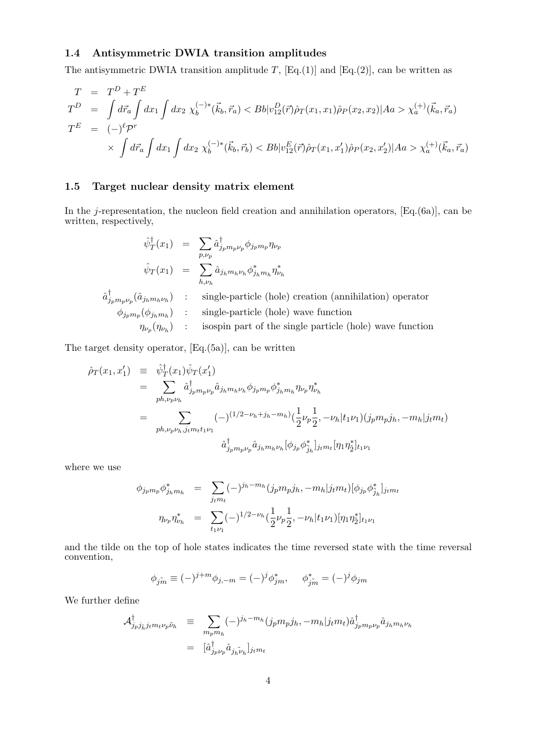#### 1.4 Antisymmetric DWIA transition amplitudes

The antisymmetric DWIA transition amplitude T,  $[Eq.(1)]$  and  $[Eq.(2)]$ , can be written as

$$
T = T^{D} + T^{E}
$$
  
\n
$$
T^{D} = \int d\vec{r}_{a} \int dx_{1} \int dx_{2} \chi_{b}^{(-)*}(\vec{k}_{b}, \vec{r}_{a}) < Bb|v_{12}^{D}(\vec{r})\hat{\rho}_{T}(x_{1}, x_{1})\hat{\rho}_{P}(x_{2}, x_{2})|Aa > \chi_{a}^{(+)}(\vec{k}_{a}, \vec{r}_{a})
$$
  
\n
$$
T^{E} = (-)^{\ell} \mathcal{P}^{r}
$$
  
\n
$$
\times \int d\vec{r}_{a} \int dx_{1} \int dx_{2} \chi_{b}^{(-)*}(\vec{k}_{b}, \vec{r}_{b}) < Bb|v_{12}^{E}(\vec{r})\hat{\rho}_{T}(x_{1}, x_{1}')\hat{\rho}_{P}(x_{2}, x_{2}')|Aa > \chi_{a}^{(+)}(\vec{k}_{a}, \vec{r}_{a})
$$

#### 1.5 Target nuclear density matrix element

In the j-representation, the nucleon field creation and annihilation operators,  $[Eq.(6a)]$ , can be written, respectively,

$$
\hat{\psi}_T^{\dagger}(x_1) = \sum_{p,\nu_p} \hat{a}_{j_p m_p \nu_p}^{\dagger} \phi_{j_p m_p} \eta_{\nu_p}
$$
\n
$$
\hat{\psi}_T(x_1) = \sum_{h,\nu_h} \hat{a}_{j_h m_h \nu_h} \phi_{j_h m_h}^* \eta_{\nu_h}^*
$$
\n
$$
\hat{a}_{j_p m_p \nu_p}^{\dagger}(\hat{a}_{j_h m_h \nu_h}) \qquad \text{single-particle (hole) creation (annihilation) operator}
$$
\n
$$
\phi_{j_p m_p}(\phi_{j_h m_h}) \qquad \text{single-particle (hole) wave function}
$$
\n
$$
\eta_{\nu_p}(\eta_{\nu_h}) \qquad \text{isospin part of the single particle (hole) wave function}
$$

The target density operator, [Eq.(5a)], can be written

$$
\hat{\rho}_T(x_1, x_1') = \hat{\psi}_T^{\dagger}(x_1)\hat{\psi}_T(x_1')
$$
\n
$$
= \sum_{ph,\nu_p\nu_h} \hat{a}_{j_p m_p \nu_p}^{\dagger} \hat{a}_{j_h m_h \nu_h} \phi_{j_p m_p} \phi_{j_h m_h}^* \eta_{\nu_p} \eta_{\nu_h}^*
$$
\n
$$
= \sum_{ph,\nu_p\nu_h, j_t m_t t_1 \nu_1} (-)^{(1/2 - \nu_h + j_h - m_h)} \left(\frac{1}{2}\nu_p \frac{1}{2}, -\nu_h |t_1 \nu_1\right) (j_p m_p j_h, -m_h | j_t m_t)
$$
\n
$$
\hat{a}_{j_p m_p \nu_p}^{\dagger} \hat{a}_{j_h m_h \nu_h} [\phi_{j_p} \phi_{\tilde{j}_h}^*]_{j_t m_t} [\eta_1 \eta_{\tilde{2}}^*]_{t_1 \nu_1}
$$

where we use

$$
\phi_{j_p m_p} \phi_{j_h m_h}^* = \sum_{j_t m_t} (-)^{j_h - m_h} (j_p m_p j_h, -m_h | j_t m_t) [\phi_{j_p} \phi_{j_h}^*]_{j_t m_t}
$$
  

$$
\eta_{\nu_p} \eta_{\nu_h}^* = \sum_{t_1 \nu_1} (-)^{1/2 - \nu_h} (\frac{1}{2} \nu_p \frac{1}{2}, -\nu_h | t_1 \nu_1) [\eta_1 \eta_2^*]_{t_1 \nu_1}
$$

and the tilde on the top of hole states indicates the time reversed state with the time reversal convention,

$$
\phi_{j\tilde{m}} \equiv (-)^{j+m} \phi_{j,-m} = (-)^j \phi_{jm}^*, \quad \phi_{j\tilde{m}}^* = (-)^j \phi_{jm}
$$

We further define

$$
\mathcal{A}_{j_p j_{\tilde{h}} j_t m_t \nu_p \tilde{\nu}_h}^{\dagger} \equiv \sum_{m_p m_h} (-)^{j_h - m_h} (j_p m_p j_h, -m_h | j_t m_t) \hat{a}_{j_p m_p \nu_p}^{\dagger} \hat{a}_{j_h m_h \nu_h}
$$

$$
= [\hat{a}_{j_p \nu_p}^{\dagger} \hat{a}_{j_h \tilde{\nu}_h}]_{j_t m_t}
$$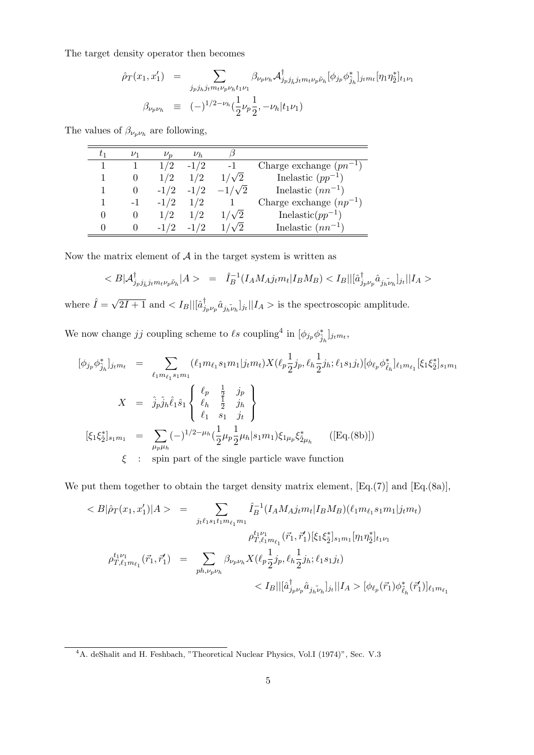The target density operator then becomes

$$
\hat{\rho}_T(x_1, x_1') = \sum_{j_p j_h j_t m_t \nu_p \nu_h t_1 \nu_1} \beta_{\nu_p \nu_h} \mathcal{A}_{j_p j_{\tilde{h}} j_t m_t \nu_p \tilde{\nu}_h}^{\dagger} [\phi_{j_p} \phi_{j_h}^*]_{j_t m_t} [\eta_1 \eta_2^*]_{t_1 \nu_1}
$$
  

$$
\beta_{\nu_p \nu_h} \equiv (-)^{1/2 - \nu_h} \left(\frac{1}{2} \nu_p \frac{1}{2}, -\nu_h | t_1 \nu_1\right)
$$

The values of  $\beta_{\nu_p \nu_h}$  are following,

| $\nu_1$ | $\nu_n$ | $\nu_h$ |               |                             |
|---------|---------|---------|---------------|-----------------------------|
|         | 1/2     | $-1/2$  | $-1$          | Charge exchange $(pn^{-1})$ |
|         | 1/2     | 1/2     | $1/\sqrt{2}$  | Inelastic $(pp^{-1})$       |
|         | $-1/2$  | $-1/2$  | $-1/\sqrt{2}$ | Inelastic $(nn^{-1})$       |
|         | $-1/2$  | 1/2     |               | Charge exchange $(np^{-1})$ |
|         | 1/2     | 1/2     | $1/\sqrt{2}$  | Inelastic( $pp^{-1}$ )      |
|         | $-1/2$  |         |               | Inelastic $(nn^{-1})$       |

Now the matrix element of  $A$  in the target system is written as

$$
\langle B|A^{\dagger}_{j_p j_{\tilde{h}} j_t m_t \nu_p \tilde{\nu}_h}|A \rangle = \hat{I}_B^{-1}(I_A M_A j_t m_t | I_B M_B) \langle I_B || [\hat{a}^{\dagger}_{j_p \nu_p} \hat{a}_{j_h \tilde{\nu}_h}]_{j_t} || I_A \rangle
$$

where  $\hat{I} = \sqrt{\frac{I_{i}}{I_{i}}}$  $\overline{2I+1}$  and  $\langle I_B||[\hat{a}^\dagger_j]$  $\int_{j_p\nu_p} \hat{a}_{j_h\tilde{\nu}_h}|j_t||I_A > \text{is the spectroscopic amplitude.}$ 

We now change *jj* coupling scheme to  $\ell s$  coupling<sup>4</sup> in  $[\phi_{j_p} \phi_{\tilde{j}_h}^*]_{j_t m_t}$ ,

$$
[\phi_{j_p} \phi_{\tilde{j}_h}^*]_{j_t m_t} = \sum_{\ell_1 m_{\ell_1} s_1 m_1} (\ell_1 m_{\ell_1} s_1 m_1 | j_t m_t) X(\ell_p \frac{1}{2} j_p, \ell_h \frac{1}{2} j_h; \ell_1 s_1 j_t) [\phi_{\ell_p} \phi_{\tilde{\ell}_h}^*]_{\ell_1 m_{\ell_1}} [\xi_1 \xi_2^*]_{s_1 m_1}
$$
  
\n
$$
X = \hat{j}_p \hat{j}_h \hat{\ell}_1 \hat{s}_1 \begin{Bmatrix} \ell_p & \frac{1}{2} & j_p \\ \ell_h & \frac{1}{2} & j_h \\ \ell_1 & s_1 & j_t \end{Bmatrix}
$$
  
\n
$$
[\xi_1 \xi_2^*]_{s_1 m_1} = \sum_{\mu_p \mu_h} (-)^{1/2 - \mu_h} (\frac{1}{2} \mu_p \frac{1}{2} \mu_h | s_1 m_1) \xi_{1 \mu_p} \xi_{2 \mu_h}^* \qquad ([\text{Eq.}(8b)])
$$
  
\n
$$
\xi \qquad \text{spin part of the single particle wave function}
$$

We put them together to obtain the target density matrix element, [Eq.(7)] and [Eq.(8a)],

$$
\langle B|\hat{\rho}_{T}(x_{1},x_{1}')|A\rangle = \sum_{j_{t}\ell_{1}s_{1}t_{1}m_{\ell_{1}}m_{1}} \hat{I}_{B}^{-1}(I_{A}M_{A}j_{t}m_{t}|I_{B}M_{B})(\ell_{1}m_{\ell_{1}}s_{1}m_{1}|j_{t}m_{t})
$$

$$
\rho_{T,\ell_{1}m_{\ell_{1}}}^{t_{1}\nu_{1}}(\vec{r}_{1},\vec{r}_{1}')[\xi_{1}\xi_{2}^{*}]_{s_{1}m_{1}}[\eta_{1}\eta_{2}^{*}]_{t_{1}\nu_{1}}
$$

$$
\rho_{T,\ell_{1}m_{\ell_{1}}}^{t_{1}\nu_{1}}(\vec{r}_{1},\vec{r}_{1}') = \sum_{ph,\nu_{p}\nu_{h}} \beta_{\nu_{p}\nu_{h}} X(\ell_{p}\frac{1}{2}j_{p},\ell_{h}\frac{1}{2}j_{h};\ell_{1}s_{1}j_{t})
$$

$$
\langle I_{B}||[\hat{a}_{j_{p}\nu_{p}}^{\dagger}\hat{a}_{j_{h}\nu_{h}}]j_{t}||I_{A} \rangle [\phi_{\ell_{p}}(\vec{r}_{1})\phi_{\ell_{h}}^{*}(\vec{r}_{1}')]_{\ell_{1}m_{\ell_{1}}}
$$

<sup>&</sup>lt;sup>4</sup>A. deShalit and H. Feshbach, "Theoretical Nuclear Physics, Vol.I (1974)", Sec. V.3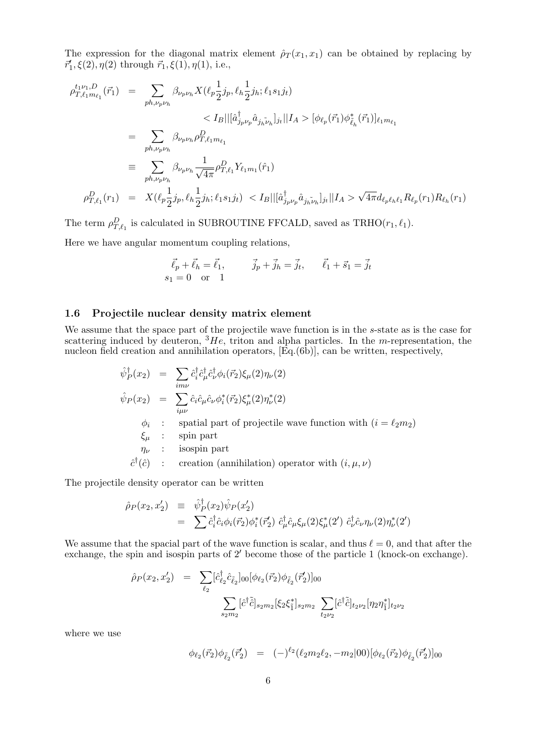The expression for the diagonal matrix element  $\hat{\rho}_T(x_1, x_1)$  can be obtained by replacing by  $\vec{r_1}, \xi(2), \eta(2)$  through  $\vec{r_1}, \xi(1), \eta(1),$  i.e.,

$$
\rho_{T,\ell_1 m_{\ell_1}}^{t_1 \nu_1, D}(\vec{r}_1) = \sum_{ph, \nu_p \nu_h} \beta_{\nu_p \nu_h} X(\ell_p \frac{1}{2} j_p, \ell_h \frac{1}{2} j_h; \ell_1 s_1 j_t)
$$
  
\n
$$
< I_B || [\hat{a}_{j_p \nu_p}^{\dagger} \hat{a}_{j_h \tilde{\nu}_h}]_{j_t} || I_A > [\phi_{\ell_p}(\vec{r}_1) \phi_{\tilde{\ell}_h}^*(\vec{r}_1)]_{\ell_1 m_{\ell_1}}
$$
  
\n
$$
= \sum_{ph, \nu_p \nu_h} \beta_{\nu_p \nu_h} \rho_{T,\ell_1 m_{\ell_1}}^D
$$
  
\n
$$
\equiv \sum_{ph, \nu_p \nu_h} \beta_{\nu_p \nu_h} \frac{1}{\sqrt{4\pi}} \rho_{T,\ell_1}^D Y_{\ell_1 m_1}(\hat{r}_1)
$$
  
\n
$$
\rho_{T,\ell_1}^D(r_1) = X(\ell_p \frac{1}{2} j_p, \ell_h \frac{1}{2} j_h; \ell_1 s_1 j_t) < I_B || [\hat{a}_{j_p \nu_p}^{\dagger} \hat{a}_{j_h \tilde{\nu}_h}]_{j_t} || I_A > \sqrt{4\pi} d_{\ell_p \ell_h \ell_1} R_{\ell_p}(r_1) R_{\ell_h}(r_1)
$$

The term  $\rho_{T,\ell_1}^D$  is calculated in SUBROUTINE FFCALD, saved as TRHO( $r_1, \ell_1$ ). Here we have angular momentum coupling relations,

$$
\vec{\ell}_p + \vec{\ell}_h = \vec{\ell}_1, \qquad \vec{j}_p + \vec{j}_h = \vec{j}_t, \qquad \vec{\ell}_1 + \vec{s}_1 = \vec{j}_t
$$
  
\n $s_1 = 0 \text{ or } 1$ 

#### 1.6 Projectile nuclear density matrix element

We assume that the space part of the projectile wave function is in the s-state as is the case for scattering induced by deuteron,  ${}^{3}He$ , triton and alpha particles. In the m-representation, the nucleon field creation and annihilation operators,  $[\text{Eq.}(6\bar{b})]$ , can be written, respectively,

$$
\hat{\psi}_P^{\dagger}(x_2) = \sum_{im\nu} \hat{c}_i^{\dagger} \hat{c}_\mu^{\dagger} \hat{c}_\nu^{\dagger} \phi_i(\vec{r}_2) \xi_\mu(2) \eta_\nu(2)
$$
\n
$$
\hat{\psi}_P(x_2) = \sum_{i\mu\nu} \hat{c}_i \hat{c}_\mu \hat{c}_\nu \phi_i^*(\vec{r}_2) \xi_\mu^*(2) \eta_\nu^*(2)
$$
\n
$$
\phi_i : \text{spatial part of projectile wave function with } (i = \ell_2 m_2)
$$
\n
$$
\xi_\mu : \text{spin part}
$$
\n
$$
\hat{c}^\dagger(\hat{c}) : \text{creation (annihilation) operator with } (i, \mu, \nu)
$$

The projectile density operator can be written

$$
\hat{\rho}_P(x_2, x_2') \equiv \hat{\psi}_P^{\dagger}(x_2) \hat{\psi}_P(x_2')
$$
  
= 
$$
\sum \hat{c}_i^{\dagger} \hat{c}_i \phi_i(\vec{r}_2) \phi_i^*(\vec{r}_2') \hat{c}_\mu^{\dagger} \hat{c}_\mu \xi_\mu(2) \xi_\mu^*(2') \hat{c}_\nu^{\dagger} \hat{c}_\nu \eta_\nu(2) \eta_\nu^*(2')
$$

We assume that the spacial part of the wave function is scalar, and thus  $\ell = 0$ , and that after the exchange, the spin and isospin parts of  $2'$  become those of the particle 1 (knock-on exchange).

$$
\hat{\rho}_P(x_2, x_2') = \sum_{\ell_2} [\hat{c}_{\ell_2}^{\dagger} \hat{c}_{\tilde{\ell}_2}]_{00} [\phi_{\ell_2}(\vec{r}_2) \phi_{\tilde{\ell}_2}(\vec{r}_2')]_{00}
$$

$$
\sum_{s_2 m_2} [\hat{c}^{\dagger} \tilde{\hat{c}}]_{s_2 m_2} [\xi_2 \xi_1^*]_{s_2 m_2} \sum_{t_2 \nu_2} [\hat{c}^{\dagger} \tilde{\hat{c}}]_{t_2 \nu_2} [\eta_2 \eta_1^*]_{t_2 \nu_2}
$$

where we use

$$
\phi_{\ell_2}(\vec{r}_2)\phi_{\tilde{\ell}_2}(\vec{r}_2') = (-)^{\ell_2}(\ell_2m_2\ell_2, -m_2|00)[\phi_{\ell_2}(\vec{r}_2)\phi_{\tilde{\ell}_2}(\vec{r}_2')]_{00}
$$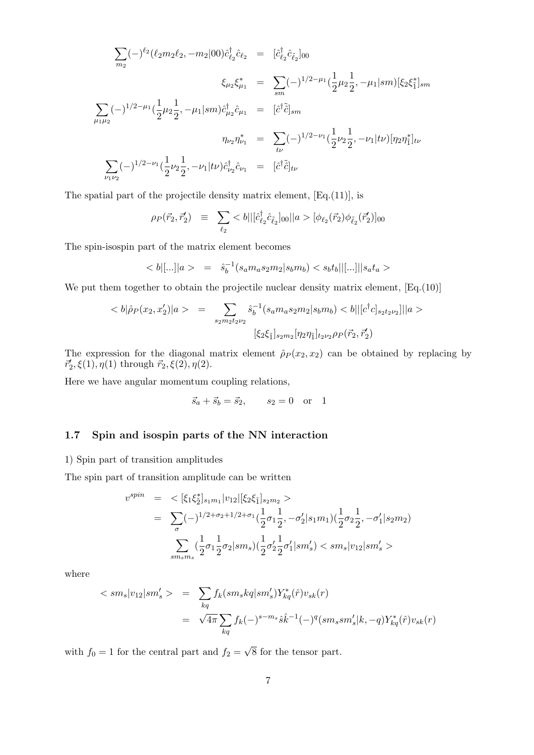$$
\sum_{m_2} (-)^{\ell_2} (\ell_2 m_2 \ell_2, -m_2 |00) \hat{c}_{\ell_2}^{\dagger} \hat{c}_{\ell_2} = [\hat{c}_{\ell_2}^{\dagger} \hat{c}_{\ell_2}]_{00}
$$
\n
$$
\xi_{\mu_2} \xi_{\mu_1}^* = \sum_{sm} (-)^{1/2 - \mu_1} (\frac{1}{2} \mu_2 \frac{1}{2}, -\mu_1 |sm) [\xi_2 \xi_1^*]_{sm}
$$
\n
$$
\sum_{\mu_1 \mu_2} (-)^{1/2 - \mu_1} (\frac{1}{2} \mu_2 \frac{1}{2}, -\mu_1 |sm) \hat{c}_{\mu_2}^{\dagger} \hat{c}_{\mu_1} = [\hat{c}^{\dagger} \tilde{\hat{c}}]_{sm}
$$
\n
$$
\eta_{\nu_2} \eta_{\nu_1}^* = \sum_{t\nu} (-)^{1/2 - \nu_1} (\frac{1}{2} \nu_2 \frac{1}{2}, -\nu_1 |t\nu) [\eta_2 \eta_1^*]_{t\nu}
$$
\n
$$
\sum_{\nu_1 \nu_2} (-)^{1/2 - \nu_1} (\frac{1}{2} \nu_2 \frac{1}{2}, -\nu_1 |t\nu) \hat{c}_{\nu_2}^{\dagger} \hat{c}_{\nu_1} = [\hat{c}^{\dagger} \tilde{\hat{c}}]_{t\nu}
$$

The spatial part of the projectile density matrix element, [Eq.(11)], is

$$
\rho_P(\vec{r}_2, \vec{r}'_2) \equiv \sum_{\ell_2} < b || [\hat{c}^{\dagger}_{\ell_2} \hat{c}_{\ell_2}]_{00} ||a\rangle [\phi_{\ell_2}(\vec{r}_2) \phi_{\ell_2}(\vec{r}'_2)]_{00}
$$

The spin-isospin part of the matrix element becomes

$$
\langle b|[\ldots]|a\rangle = \hat{s}_b^{-1}(s_a m_a s_2 m_2 |s_b m_b) \langle s_b t_b||[\ldots]|s_a t_a \rangle
$$

We put them together to obtain the projectile nuclear density matrix element,  $[Eq.(10)]$ 

$$
\langle b|\hat{\rho}_P(x_2, x_2')|a\rangle = \sum_{s_2m_2t_2\nu_2} \hat{s}_b^{-1}(s_a m_a s_2 m_2 | s_b m_b) \langle b || [c^\dagger c]_{s_2t_2\nu_2}]||a\rangle
$$
  

$$
[\xi_2 \xi_{\bar{1}}]_{s_2m_2} [\eta_2 \eta_{\bar{1}}]_{t_2\nu_2} \rho_P(\vec{r}_2, \vec{r}_2')
$$

The expression for the diagonal matrix element  $\hat{\rho}_P(x_2, x_2)$  can be obtained by replacing by  $\vec{r}_2^{\prime}, \xi(1), \eta(1)$  through  $\vec{r}_2, \xi(2), \eta(2)$ .

Here we have angular momentum coupling relations,

$$
\vec{s}_a + \vec{s}_b = \vec{s}_2
$$
,  $s_2 = 0$  or 1

#### 1.7 Spin and isospin parts of the NN interaction

1) Spin part of transition amplitudes

The spin part of transition amplitude can be written

$$
v^{spin} = \langle [\xi_1 \xi_2^*]_{s_1 m_1} | v_{12} | [\xi_2 \xi_1]_{s_2 m_2} \rangle
$$
  
= 
$$
\sum_{\sigma} (-)^{1/2 + \sigma_2 + 1/2 + \sigma_1} (\frac{1}{2} \sigma_1 \frac{1}{2}, -\sigma_2' | s_1 m_1) (\frac{1}{2} \sigma_2 \frac{1}{2}, -\sigma_1' | s_2 m_2)
$$
  

$$
\sum_{sm_s m_s} (\frac{1}{2} \sigma_1 \frac{1}{2} \sigma_2 | sm_s) (\frac{1}{2} \sigma_2' \frac{1}{2} \sigma_1' | sm_s' ) \langle sm_s | v_{12} | sm_s' \rangle
$$

where

$$
\langle sm_s|v_{12}|sm'_s\rangle = \sum_{kq} f_k(sm_skq]sm'_s)Y^*_{kq}(\hat{r})v_{sk}(r)
$$
  

$$
= \sqrt{4\pi} \sum_{kq} f_k(-)^{s-m_s}\hat{s}\hat{k}^{-1}(-)^q(sm_ssm'_s|k,-q)Y^*_{kq}(\hat{r})v_{sk}(r)
$$

with  $f_0 = 1$  for the central part and  $f_2 =$ √ 8 for the tensor part.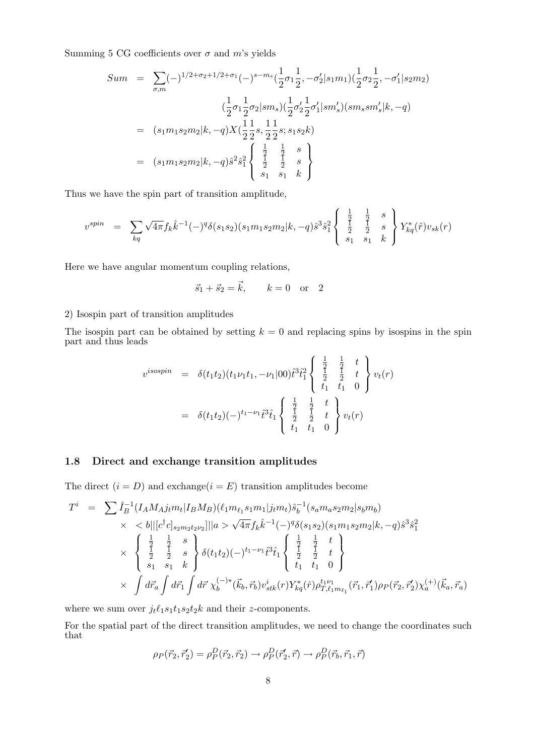Summing 5 CG coefficients over  $\sigma$  and m's yields

$$
Sum = \sum_{\sigma,m} (-)^{1/2+\sigma_2+1/2+\sigma_1} (-)^{s-m_s} \left(\frac{1}{2}\sigma_1 \frac{1}{2}, -\sigma_2'|s_1m_1\right) \left(\frac{1}{2}\sigma_2 \frac{1}{2}, -\sigma_1'|s_2m_2\right)
$$
  

$$
\left(\frac{1}{2}\sigma_1 \frac{1}{2}\sigma_2|sm_s\right) \left(\frac{1}{2}\sigma_2' \frac{1}{2}\sigma_1'|sm_s'\right) (sm_ssm_s'|k, -q)
$$
  

$$
= (s_1m_1s_2m_2|k, -q)X\left(\frac{1}{2}\frac{1}{2}s, \frac{1}{2}\frac{1}{2}s; s_1s_2k\right)
$$
  

$$
= (s_1m_1s_2m_2|k, -q)\hat{s}^2\hat{s}_1^2 \left\{\begin{array}{ccc} \frac{1}{2} & \frac{1}{2} & s \\ \frac{1}{2} & \frac{1}{2} & s \\ s_1 & s_1 & k \end{array}\right\}
$$

Thus we have the spin part of transition amplitude,

$$
v^{spin} = \sum_{kq} \sqrt{4\pi} f_k \hat{k}^{-1}(-)^q \delta(s_1 s_2) (s_1 m_1 s_2 m_2 | k, -q) \hat{s}^3 \hat{s}_1^2 \left\{ \begin{array}{ccc} \frac{1}{2} & \frac{1}{2} & s \\ \frac{1}{2} & \frac{1}{2} & s \\ s_1 & s_1 & k \end{array} \right\} Y_{kq}^*(\hat{r}) v_{sk}(r)
$$

 $\overline{a}$ 

Here we have angular momentum coupling relations,

$$
\vec{s}_1 + \vec{s}_2 = \vec{k}, \qquad k = 0 \text{ or } 2
$$

#### 2) Isospin part of transition amplitudes

The isospin part can be obtained by setting  $k = 0$  and replacing spins by isospins in the spin part and thus leads

$$
v^{isospin} = \delta(t_1 t_2) (t_1 \nu_1 t_1, -\nu_1 |00) \hat{t}^3 \hat{t}_1^2 \begin{Bmatrix} \frac{1}{2} & \frac{1}{2} & t \\ \frac{1}{2} & \frac{1}{2} & t \\ t_1 & t_1 & 0 \end{Bmatrix} v_t(r)
$$
  
=  $\delta(t_1 t_2) (-)^{t_1 - \nu_1} \hat{t}^3 \hat{t}_1 \begin{Bmatrix} \frac{1}{2} & \frac{1}{2} & t \\ \frac{1}{2} & \frac{1}{2} & t \\ t_1 & t_1 & 0 \end{Bmatrix} v_t(r)$ 

#### 1.8 Direct and exchange transition amplitudes

The direct  $(i = D)$  and exchange $(i = E)$  transition amplitudes become

$$
T^{i} = \sum \hat{I}_{B}^{-1} (I_{A} M_{A} j_{t} m_{t} | I_{B} M_{B}) (\ell_{1} m_{\ell_{1}} s_{1} m_{1} | j_{t} m_{t}) \hat{s}_{b}^{-1} (s_{a} m_{a} s_{2} m_{2} | s_{b} m_{b})
$$
  
\n
$$
\times \langle b || [c^{\dagger} c]_{s_{2} m_{2} t_{2} \nu_{2}} || | a \rangle \sqrt{4 \pi} f_{k} \hat{k}^{-1} (-)^{q} \delta(s_{1} s_{2}) (s_{1} m_{1} s_{2} m_{2} | k, -q) \hat{s}^{3} \hat{s}_{1}^{2}
$$
  
\n
$$
\times \langle \frac{1}{2} \frac{1}{2} \frac{1}{2} s \rangle \delta(t_{1} t_{2}) (-)^{t_{1} - \nu_{1}} \hat{t}^{3} \hat{t}_{1} \langle \frac{1}{2} \frac{1}{2} \frac{1}{2} t \rangle
$$
  
\n
$$
\times \int d\vec{r}_{a} \int d\vec{r}_{1} \int d\vec{r} \chi_{b}^{(-)*} (\vec{k}_{b}, \vec{r}_{b}) v_{stk}^{i}(r) Y_{kq}^{*}(\hat{r}) \rho_{T, \ell_{1} m_{\ell_{1}}}^{t_{1} \nu_{1}} (\vec{r}_{1}, \vec{r}_{1}') \rho_{P} (\vec{r}_{2}, \vec{r}_{2}) \chi_{a}^{(+)} (\vec{k}_{a}, \vec{r}_{a})
$$

where we sum over  $j_t \ell_1 s_1 t_1 s_2 t_2 k$  and their *z*-components.

For the spatial part of the direct transition amplitudes, we need to change the coordinates such that

$$
\rho_P(\vec{r}_2, \vec{r}'_2) = \rho_P^D(\vec{r}_2, \vec{r}_2) \rightarrow \rho_P^D(\vec{r}'_2, \vec{r}) \rightarrow \rho_P^D(\vec{r}_b, \vec{r}_1, \vec{r})
$$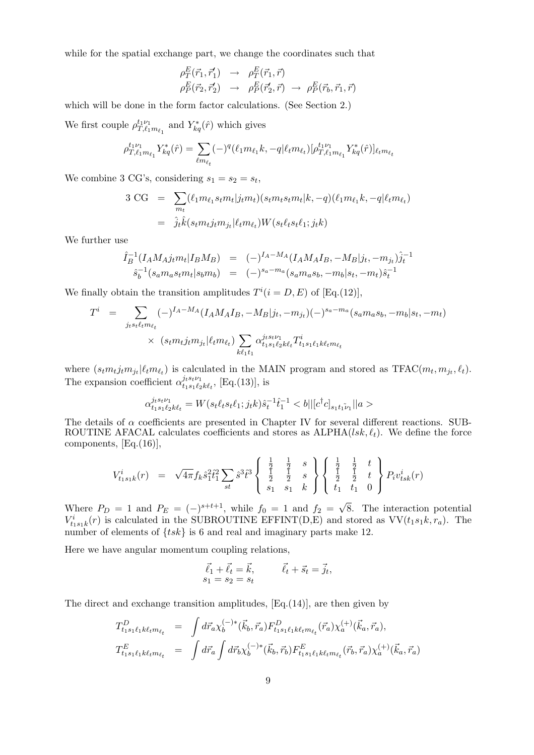while for the spatial exchange part, we change the coordinates such that

$$
\rho_T^E(\vec{r}_1, \vec{r}'_1) \rightarrow \rho_T^E(\vec{r}_1, \vec{r}) \n\rho_P^E(\vec{r}_2, \vec{r}'_2) \rightarrow \rho_P^E(\vec{r}'_2, \vec{r}) \rightarrow \rho_P^E(\vec{r}_b, \vec{r}_1, \vec{r})
$$

which will be done in the form factor calculations. (See Section 2.)

We first couple  $\rho_T^{t_1 \nu_1}$  $t_1 \nu_1$ <br>  $T, \ell_1 m_{\ell_1}$  and  $Y_{kq}^*(\hat{r})$  which gives

$$
\rho_{T,\ell_1 m_{\ell_1}}^{t_1 \nu_1} Y_{kq}^*(\hat{r}) = \sum_{\ell m_{\ell_t}} (-)^q (\ell_1 m_{\ell_1} k, -q | \ell_t m_{\ell_t}) [\rho_{T,\ell_1 m_{\ell_1}}^{t_1 \nu_1} Y_{kq}^*(\hat{r})]_{\ell_t m_{\ell_t}}
$$

We combine 3 CG's, considering  $s_1 = s_2 = s_t$ ,

$$
3 \text{ CG} = \sum_{m_t} (\ell_1 m_{\ell_1} s_t m_t | j_t m_t) (s_t m_t s_t m_t | k, -q) (\ell_1 m_{\ell_1} k, -q | \ell_t m_{\ell_t})
$$
  

$$
= \hat{j}_t \hat{k} (s_t m_t j_t m_{j_t} | \ell_t m_{\ell_t}) W (s_t \ell_t s_t \ell_1; j_t k)
$$

We further use

$$
\hat{I}_B^{-1}(I_A M_A j_t m_t | I_B M_B) = (-)^{I_A - M_A} (I_A M_A I_B, -M_B | j_t, -m_{j_t}) \hat{j}_t^{-1} \n\hat{s}_b^{-1}(s_a m_a s_t m_t | s_b m_b) = (-)^{s_a - m_a} (s_a m_a s_b, -m_b | s_t, -m_t) \hat{s}_t^{-1}
$$

We finally obtain the transition amplitudes  $T^{i}(i = D, E)$  of  $[Eq.(12)],$ 

$$
T^{i} = \sum_{j_{t} s_{t} \ell_{t} m_{\ell_{t}}} (-)^{I_{A} - M_{A}} (I_{A} M_{A} I_{B}, -M_{B} | j_{t}, -m_{j_{t}}) (-)^{s_{a} - m_{a}} (s_{a} m_{a} s_{b}, -m_{b} | s_{t}, -m_{t})
$$
  
 
$$
\times (s_{t} m_{t} j_{t} m_{j_{t}} | \ell_{t} m_{\ell_{t}}) \sum_{k \ell_{1} t_{1}} \alpha_{t_{1} s_{1} \ell_{2} k \ell_{t}}^{j_{t} s_{t} \nu_{1}} T^{i}_{t_{1} s_{1} \ell_{1} k \ell_{t} m_{\ell_{t}}}
$$

where  $(s_t m_t j_t m_{j_t} | \ell_t m_{\ell_t})$  is calculated in the MAIN program and stored as TFAC( $m_t, m_{j_t}, \ell_t$ ). The expansion coefficient  $\alpha_{t,s,\ell}^{j_t s_t \nu_1}$  $t_1 s_1 t_2 k t_t$ , [Eq.(13)], is

$$
\alpha_{t_1s_1\ell_2k\ell_t}^{j_ts_t\nu_1} = W(s_t\ell_ts_t\ell_1;j_tk)\hat{s}_t^{-1}\hat{t}_1^{-1} < b||[c^\dagger c]_{s_1t_1\tilde{\nu}_1}||a\rangle
$$

The details of  $\alpha$  coefficients are presented in Chapter IV for several different reactions. SUB-ROUTINE AFACAL calculates coefficients and stores as  $\text{ALPHA}(lsk, \ell_t)$ . We define the force components, [Eq.(16)],

$$
V_{t_1s_1k}^i(r) = \sqrt{4\pi} f_k \hat{s}_1^2 \hat{t}_1^2 \sum_{st} \hat{s}^3 \hat{t}^3 \begin{Bmatrix} \frac{1}{2} & \frac{1}{2} & s \\ \frac{1}{2} & \frac{1}{2} & s \\ s_1 & s_1 & k \end{Bmatrix} \begin{Bmatrix} \frac{1}{2} & \frac{1}{2} & t \\ \frac{1}{2} & \frac{1}{2} & t \\ t_1 & t_1 & 0 \end{Bmatrix} P_i v_{tsk}^i(r)
$$

Where  $P_D = 1$  and  $P_E = (-)^{s+t+1}$ , while  $f_0 = 1$  and  $f_2 = \sqrt{ }$ 8. The interaction potential  $V_{t_1s_1k}^i(r)$  is calculated in the SUBROUTINE EFFINT(D,E) and stored as  $VV(t_1s_1k, r_a)$ . The number of elements of  $\{tsk\}$  is 6 and real and imaginary parts make 12.

Here we have angular momentum coupling relations,

$$
\vec{\ell}_1 + \vec{\ell}_t = \vec{k}, \qquad \vec{\ell}_t + \vec{s}_t = \vec{j}_t, s_1 = s_2 = s_t
$$

The direct and exchange transition amplitudes, [Eq.(14)], are then given by

$$
T_{t_1s_1\ell_1k\ell_t m_{\ell_t}}^D = \int d\vec{r}_a \chi_b^{(-)*}(\vec{k}_b, \vec{r}_a) F_{t_1s_1\ell_1k\ell_t m_{\ell_t}}^D(\vec{r}_a) \chi_a^{(+)}(\vec{k}_a, \vec{r}_a),
$$
  

$$
T_{t_1s_1\ell_1k\ell_t m_{\ell_t}}^E = \int d\vec{r}_a \int d\vec{r}_b \chi_b^{(-)*}(\vec{k}_b, \vec{r}_b) F_{t_1s_1\ell_1k\ell_t m_{\ell_t}}^E(\vec{r}_b, \vec{r}_a) \chi_a^{(+)}(\vec{k}_a, \vec{r}_a)
$$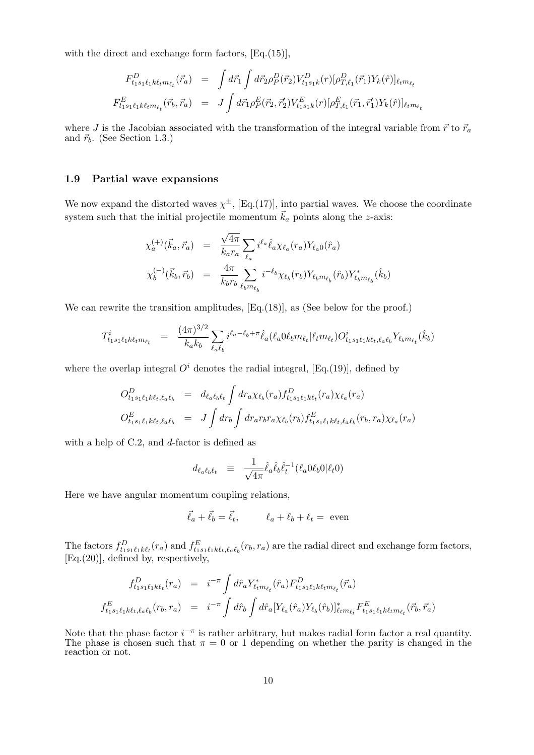with the direct and exchange form factors,  $[Eq.(15)],$ 

$$
F_{t_1s_1\ell_1k\ell_t m_{\ell_t}}^D(\vec{r}_a) = \int d\vec{r}_1 \int d\vec{r}_2 \rho_P^D(\vec{r}_2) V_{t_1s_1k}^D(r) [\rho_{T,\ell_1}^D(\vec{r}_1) Y_k(\hat{r})]_{\ell_t m_{\ell_t}}
$$
  

$$
F_{t_1s_1\ell_1k\ell_t m_{\ell_t}}^E(\vec{r}_b, \vec{r}_a) = J \int d\vec{r}_1 \rho_P^E(\vec{r}_2, \vec{r}_2') V_{t_1s_1k}^E(r) [\rho_{T,\ell_1}^E(\vec{r}_1, \vec{r}_1') Y_k(\hat{r})]_{\ell_t m_{\ell_t}}
$$

where J is the Jacobian associated with the transformation of the integral variable from  $\vec{r}$  to  $\vec{r}_a$ and  $\vec{r}_b$ . (See Section 1.3.)

#### 1.9 Partial wave expansions

We now expand the distorted waves  $\chi^{\pm}$ , [Eq.(17)], into partial waves. We choose the coordinate system such that the initial projectile momentum  $\vec{k}_a$  points along the z-axis:

$$
\chi_{a}^{(+)}(\vec{k}_a, \vec{r}_a) = \frac{\sqrt{4\pi}}{k_a r_a} \sum_{\ell_a} i^{\ell_a} \hat{\ell}_a \chi_{\ell_a}(r_a) Y_{\ell_a 0}(\hat{r}_a)
$$
  

$$
\chi_{b}^{(-)}(\vec{k}_b, \vec{r}_b) = \frac{4\pi}{k_b r_b} \sum_{\ell_b m_{\ell_b}} i^{-\ell_b} \chi_{\ell_b}(r_b) Y_{\ell_b m_{\ell_b}}(\hat{r}_b) Y_{\ell_b m_{\ell_b}}^*(\hat{k}_b)
$$

We can rewrite the transition amplitudes,  $[Eq.(18)]$ , as (See below for the proof.)

$$
T_{t_1s_1\ell_1k\ell_t m_{\ell_t}}^i = \frac{(4\pi)^{3/2}}{k_a k_b} \sum_{\ell_a\ell_b} i^{\ell_a - \ell_b + \pi} \hat{\ell}_a(\ell_a 0 \ell_b m_{\ell_t} | \ell_t m_{\ell_t}) O_{t_1s_1\ell_1k\ell_t,\ell_a\ell_b}^i Y_{\ell_b m_{\ell_t}}(\hat{k}_b)
$$

where the overlap integral  $O^i$  denotes the radial integral, [Eq.(19)], defined by

$$
O_{t_1s_1\ell_1k\ell_t,\ell_a\ell_b}^D = d_{\ell_a\ell_b\ell_t} \int dr_a \chi_{\ell_b}(r_a) f_{t_1s_1\ell_1k\ell_t}^D(r_a) \chi_{\ell_a}(r_a)
$$
  

$$
O_{t_1s_1\ell_1k\ell_t,\ell_a\ell_b}^E = J \int dr_b \int dr_a r_b r_a \chi_{\ell_b}(r_b) f_{t_1s_1\ell_1k\ell_t,\ell_a\ell_b}^E(r_b, r_a) \chi_{\ell_a}(r_a)
$$

with a help of C.2, and  $d$ -factor is defined as

$$
d_{\ell_a \ell_b \ell_t} \equiv \frac{1}{\sqrt{4\pi}} \hat{\ell}_a \hat{\ell}_b \hat{\ell}_t^{-1} (\ell_a 0 \ell_b 0 | \ell_t 0)
$$

Here we have angular momentum coupling relations,

$$
\vec{\ell}_a + \vec{\ell}_b = \vec{\ell}_t, \qquad \ell_a + \ell_b + \ell_t = \text{ even}
$$

The factors  $f_{t_1s_1\ell_1k\ell_t}^D(r_a)$  and  $f_{t_1s_1\ell_1k\ell_t,\ell_a\ell_b}^E(r_b,r_a)$  are the radial direct and exchange form factors, [Eq.(20)], defined by, respectively,

$$
f_{t_1s_1\ell_1k\ell_t}^D(r_a) = i^{-\pi} \int d\hat{r}_a Y_{\ell_t m_{\ell_t}}^*(\hat{r}_a) F_{t_1s_1\ell_1k\ell_t m_{\ell_t}}^D(\vec{r}_a)
$$
  

$$
f_{t_1s_1\ell_1k\ell_t,\ell_a\ell_b}^E(r_b, r_a) = i^{-\pi} \int d\hat{r}_b \int d\hat{r}_a [Y_{\ell_a}(\hat{r}_a) Y_{\ell_b}(\hat{r}_b)]_{\ell_t m_{\ell_t}}^* F_{t_1s_1\ell_1k\ell_t m_{\ell_t}}^E(\vec{r}_b, \vec{r}_a)
$$

Note that the phase factor  $i^{-\pi}$  is rather arbitrary, but makes radial form factor a real quantity. The phase is chosen such that  $\pi = 0$  or 1 depending on whether the parity is changed in the reaction or not.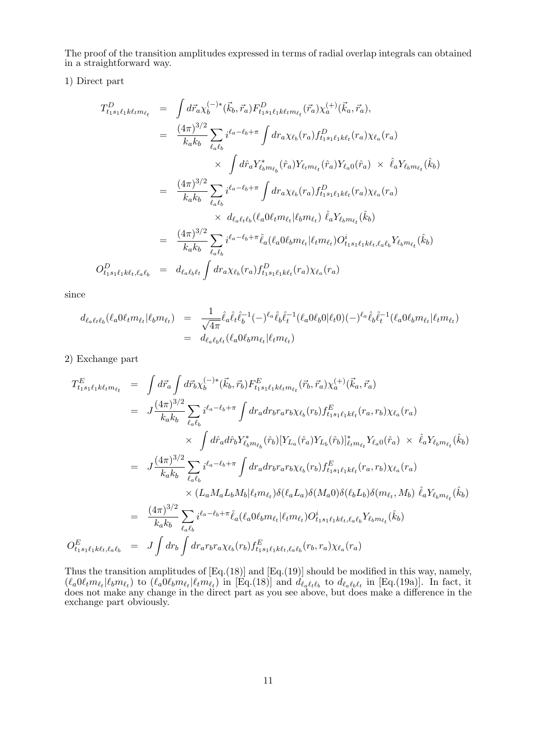The proof of the transition amplitudes expressed in terms of radial overlap integrals can obtained in a straightforward way.

1) Direct part

$$
T_{t_1s_1\ell_1k\ell_t m_{\ell_t}}^D = \int d\vec{r}_a \chi_b^{(-)*}(\vec{k}_b, \vec{r}_a) F_{t_1s_1\ell_1k\ell_t m_{\ell_t}}^D(\vec{r}_a) \chi_a^{(+)}(\vec{k}_a, \vec{r}_a),
$$
  
\n
$$
= \frac{(4\pi)^{3/2}}{k_a k_b} \sum_{\ell_a \ell_b} i^{\ell_a - \ell_b + \pi} \int dr_a \chi_{\ell_b}(r_a) f_{t_1s_1\ell_1k\ell_t}^D(r_a) \chi_{\ell_a}(r_a)
$$
  
\n
$$
\times \int d\hat{r}_a Y_{\ell_b m_{\ell_b}}^* (\hat{r}_a) Y_{\ell_t m_{\ell_t}}(\hat{r}_a) Y_{\ell_a 0}(\hat{r}_a) \times \hat{\ell}_a Y_{\ell_b m_{\ell_t}}(\hat{k}_b)
$$
  
\n
$$
= \frac{(4\pi)^{3/2}}{k_a k_b} \sum_{\ell_a \ell_b} i^{\ell_a - \ell_b + \pi} \int dr_a \chi_{\ell_b}(r_a) f_{t_1s_1\ell_1k\ell_t}^D(r_a) \chi_{\ell_a}(r_a)
$$
  
\n
$$
\times d_{\ell_a \ell_t \ell_b} (\ell_a 0 \ell_t m_{\ell_t} | \ell_b m_{\ell_t}) \hat{\ell}_a Y_{\ell_b m_{\ell_t}}(\hat{k}_b)
$$
  
\n
$$
= \frac{(4\pi)^{3/2}}{k_a k_b} \sum_{\ell_a \ell_b} i^{\ell_a - \ell_b + \pi} \hat{\ell}_a (\ell_a 0 \ell_b m_{\ell_t} | \ell_t m_{\ell_t}) O_{t_1s_1\ell_1k\ell_t, \ell_a \ell_b}^D Y_{\ell_b m_{\ell_t}}(\hat{k}_b)
$$
  
\n
$$
O_{t_1s_1\ell_1k\ell_t, \ell_a \ell_b}^D = d_{\ell_a \ell_b \ell_t} \int dr_a \chi_{\ell_b}(r_a) f_{t_1s_1\ell_1k\ell_t}^D(r_a) \chi_{\ell_a}(r_a)
$$

since

$$
d_{\ell_a\ell_t\ell_b}(\ell_a 0\ell_t m_{\ell_t}|\ell_b m_{\ell_t}) = \frac{1}{\sqrt{4\pi}} \hat{\ell}_a \hat{\ell}_t \hat{\ell}_b^{-1} (-)^{\ell_a} \hat{\ell}_b \hat{\ell}_t^{-1} (\ell_a 0\ell_b 0|\ell_t 0) (-)^{\ell_a} \hat{\ell}_b \hat{\ell}_t^{-1} (\ell_a 0\ell_b m_{\ell_t}|\ell_t m_{\ell_t})
$$
  
= 
$$
d_{\ell_a\ell_b\ell_t}(\ell_a 0\ell_b m_{\ell_t}|\ell_t m_{\ell_t})
$$

2) Exchange part

$$
T_{t_1s_1\ell_1k\ell_t m_{\ell_t}}^E = \int d\vec{r}_a \int d\vec{r}_b \chi_b^{(-)*}(\vec{k}_b, \vec{r}_b) F_{t_1s_1\ell_1k\ell_t m_{\ell_t}}^E(\vec{r}_b, \vec{r}_a) \chi_a^{(+)}(\vec{k}_a, \vec{r}_a)
$$
  
\n
$$
= J \frac{(4\pi)^{3/2}}{k_a k_b} \sum_{\ell_a \ell_b} i^{\ell_a - \ell_b + \pi} \int dr_a dr_b r_a r_b \chi_{\ell_b}(r_b) f_{t_1s_1\ell_1k\ell_t}^E(r_a, r_b) \chi_{\ell_a}(r_a)
$$
  
\n
$$
\times \int d\hat{r}_a d\hat{r}_b Y_{\ell_b m_{\ell_b}}^* (\hat{r}_b) [Y_{L_a}(\hat{r}_a) Y_{L_b}(\hat{r}_b)]_{\ell_t m_{\ell_t}}^* Y_{\ell_a 0}(\hat{r}_a) \times \hat{\ell}_a Y_{\ell_b m_{\ell_t}}(\hat{k}_b)
$$
  
\n
$$
= J \frac{(4\pi)^{3/2}}{k_a k_b} \sum_{\ell_a \ell_b} i^{\ell_a - \ell_b + \pi} \int dr_a dr_b r_a r_b \chi_{\ell_b}(r_b) f_{t_1s_1\ell_1k\ell_t}^E(r_a, r_b) \chi_{\ell_a}(r_a)
$$
  
\n
$$
\times (L_a M_a L_b M_b | \ell_t m_{\ell_t}) \delta((\ell_a L_a) \delta(M_a 0) \delta(\ell_b L_b) \delta(m_{\ell_t}, M_b) \hat{\ell}_a Y_{\ell_b m_{\ell_t}}(\hat{k}_b)
$$
  
\n
$$
= \frac{(4\pi)^{3/2}}{k_a k_b} \sum_{\ell_a \ell_b} i^{\ell_a - \ell_b + \pi} \hat{\ell}_a(\ell_a 0 \ell_b m_{\ell_t} | \ell_t m_{\ell_t}) O_{t_1s_1\ell_1k\ell_t, \ell_a \ell_b}^i Y_{\ell_b m_{\ell_t}}(\hat{k}_b)
$$
  
\n
$$
O_{t_1s_1\ell_1k\ell_t, \ell_a \ell_b}^E = J \int dr_b \int dr_a r_b r_a \chi_{\ell_b}(r_b) f_{t_1s_1\ell_1k\ell_t, \ell_a
$$

Thus the transition amplitudes of [Eq.(18)] and [Eq.(19)] should be modified in this way, namely,  $(\ell_a 0\ell_t m_{\ell_t}|\ell_b m_{\ell_t})$  to  $(\ell_a 0\ell_b m_{\ell_t}|\ell_t m_{\ell_t})$  in [Eq.(18)] and  $d_{\ell_a \ell_t \ell_b}$  to  $d_{\ell_a \ell_b \ell_t}$  in [Eq.(19a)]. In fact, it does not make any change in the direct part as you see above, but does make a difference in the exchange part obviously.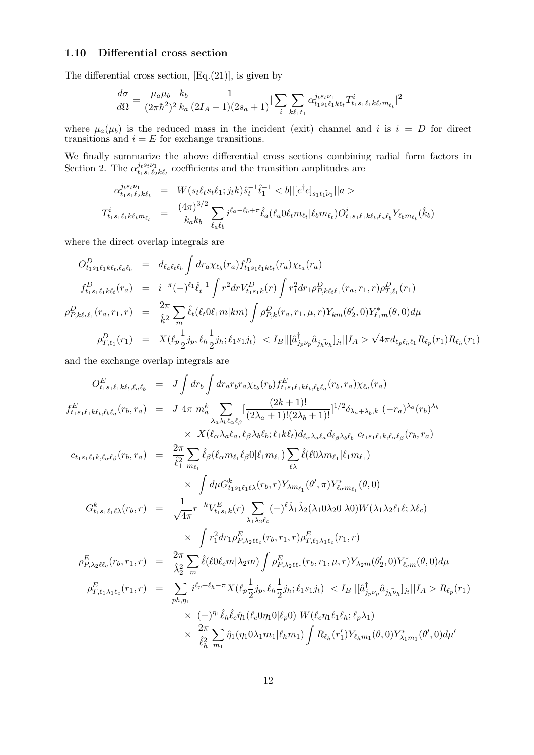#### 1.10 Differential cross section

The differential cross section,  $[Eq.(21)]$ , is given by

$$
\frac{d\sigma}{d\Omega} = \frac{\mu_a \mu_b}{(2\pi\hbar^2)^2} \frac{k_b}{k_a} \frac{1}{(2I_A+1)(2s_a+1)} |\sum_i \sum_{k\ell_1 t_1} \alpha_{t_1s_1\ell_1k\ell_t}^{j_{tst\nu_1}} T^i_{t_1s_1\ell_1k\ell_t m_{\ell_t}}|^2
$$

where  $\mu_a(\mu_b)$  is the reduced mass in the incident (exit) channel and i is  $i = D$  for direct transitions and  $i = E$  for exchange transitions.

We finally summarize the above differential cross sections combining radial form factors in Section 2. The  $\alpha_{t,s,t}^{j_{t}s_{t}\nu_{1}}$  $u_1 s_t \nu_1 t_1 s_1 \ell_2 k \ell_t$  coefficients and the transition amplitudes are

$$
\alpha_{t_1 s_1 \ell_2 k \ell_t}^{j_t s_t \nu_1} = W(s_t \ell_t s_t \ell_1; j_t k) \hat{s}_t^{-1} \hat{t}_1^{-1} < b || [c^\dagger c]_{s_1 t_1 \nu_1} ||a \rangle
$$
\n
$$
T_{t_1 s_1 \ell_1 k \ell_t m_{\ell_t}}^i = \frac{(4\pi)^{3/2}}{k_a k_b} \sum_{\ell_a \ell_b} i^{\ell_a - \ell_b + \pi} \hat{\ell}_a(\ell_a 0 \ell_t m_{\ell_t} | \ell_b m_{\ell_t}) O_{t_1 s_1 \ell_1 k \ell_t, \ell_a \ell_b}^i Y_{\ell_b m_{\ell_t}}(\hat{k}_b)
$$

where the direct overlap integrals are

$$
O_{t_1s_1\ell_1k\ell_t,\ell_a\ell_b}^D = d_{\ell_a\ell_t\ell_b} \int dr_a \chi_{\ell_b}(r_a) f_{t_1s_1\ell_1k\ell_t}^D(r_a) \chi_{\ell_a}(r_a)
$$
  
\n
$$
f_{t_1s_1\ell_1k\ell_t}^D(r_a) = i^{-\pi}(-)^{\ell_1} \hat{\ell}_t^{-1} \int r^2 dr V_{t_1s_1k}^D(r) \int r_1^2 dr_1 \rho_{P,k\ell_t\ell_1}^D(r_a, r_1, r) \rho_{T,\ell_1}^D(r_1)
$$
  
\n
$$
\rho_{P,k\ell_t\ell_1}^D(r_a, r_1, r) = \frac{2\pi}{\hat{k}^2} \sum_m \hat{\ell}_t(\ell_t 0 \ell_1 m | km) \int \rho_{P,k}^D(r_a, r_1, \mu, r) Y_{km}(\theta_2', 0) Y_{\ell_1m}^*(\theta, 0) d\mu
$$
  
\n
$$
\rho_{T,\ell_1}^D(r_1) = X(\ell_p \frac{1}{2} j_p, \ell_h \frac{1}{2} j_h; \ell_1 s_1 j_t) < I_B ||[\hat{a}_{j_p \nu_p}^{\dagger} \hat{a}_{j_h \nu_h}]_{j_t} || I_A > \sqrt{4\pi} d_{\ell_p \ell_h \ell_1} R_{\ell_p}(r_1) R_{\ell_h}(r_1)
$$

and the exchange overlap integrals are

$$
O_{t_{1}s_{1}\ell_{1}k\ell_{t},\ell_{a}\ell_{b}}^{E} = J \int dr_{b} \int dr_{a}r_{b}r_{a} \chi_{\ell_{b}}(r_{b}) f_{t_{1}s_{1}\ell_{1}k\ell_{t},\ell_{b}\ell_{a}}^{E}(r_{b},r_{a}) \chi_{\ell_{a}}(r_{a})
$$
\n
$$
f_{t_{1}s_{1}\ell_{1}k\ell_{t},\ell_{b}\ell_{a}}^{E}(r_{b},r_{a}) = J 4\pi m_{a}^{k} \sum_{\lambda_{a}\lambda_{b}\ell_{a}\ell_{\beta}} \left[ \frac{(2k+1)!}{(2\lambda_{a}+1)!(2\lambda_{b}+1)!} \right]^{1/2} \delta_{\lambda_{a}+\lambda_{b},k} (-r_{a})^{\lambda_{a}}(r_{b})^{\lambda_{b}}
$$
\n
$$
\times X(\ell_{a}\lambda_{a}\ell_{a},\ell_{\beta}\lambda_{b}\ell_{b};\ell_{1}k\ell_{t}) d_{\ell_{a}\lambda_{a}\ell_{a}} d_{\ell_{\beta}\lambda_{b}\ell_{b}} c_{t_{1}s_{1}\ell_{1}k,\ell_{a}\ell_{\beta}}(r_{b},r_{a})
$$
\n
$$
c_{t_{1}s_{1}\ell_{1}k,\ell_{a}\ell_{\beta}}(r_{b},r_{a}) = \frac{2\pi}{\ell_{1}^{2}} \sum_{m_{\ell_{1}}} \hat{\ell}_{\beta}(\ell_{a}m_{\ell_{1}}\ell_{\beta}0|\ell_{1}m_{\ell_{1}}) \sum_{\ell_{\lambda}} \hat{\ell}(\ell_{0}\lambda m_{\ell_{1}}|\ell_{1}m_{\ell_{1}})
$$
\n
$$
\times \int d\mu G_{t_{1}s_{1}\ell_{1}\ell_{\lambda}}^{k}(r_{b},r) Y_{\lambda m_{\ell_{1}}}(\theta',\pi) Y_{\ell_{a}m_{\ell_{1}}}^{*}(\theta,0)
$$
\n
$$
G_{t_{1}s_{1}\ell_{1}\ell_{\lambda}}^{k}(r_{b},r) = \frac{1}{\sqrt{4\pi}} r^{-k} V_{t_{1}s_{1}\ell_{1}}^{E}(r) \sum_{\lambda_{1}\lambda_{2}\ell_{c}} (-)^{\ell} \hat{\lambda}_{1} \hat{\lambda}_{2}(\lambda_{1}0\lambda_{2}0|\lambda0) W(\lambda_{1}\lambda_{2}\ell_{1}\ell
$$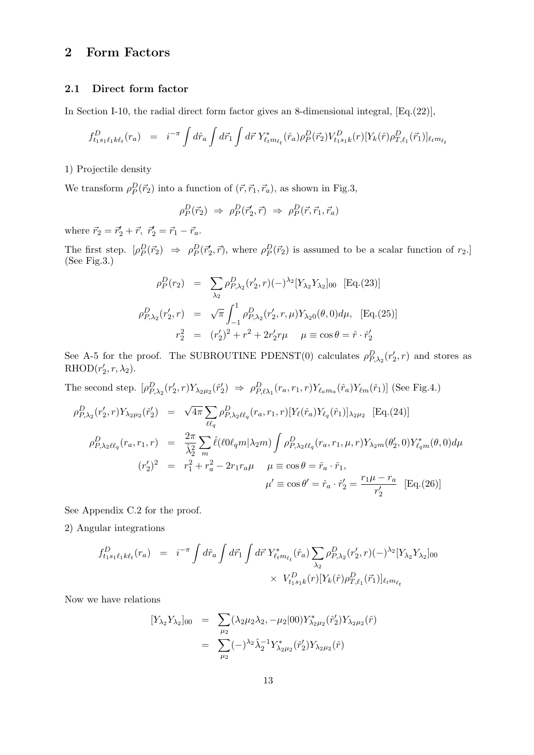## 2 Form Factors

#### 2.1 Direct form factor

In Section I-10, the radial direct form factor gives an 8-dimensional integral,  $Eq.(22)$ ],

$$
f_{t_1s_1\ell_1k\ell_t}^D(r_a) = i^{-\pi} \int d\hat{r}_a \int d\vec{r}_1 \int d\vec{r} \ Y_{\ell_t m_{\ell_t}}^*(\hat{r}_a) \rho_P^D(\vec{r}_2) V_{t_1s_1k}^D(r) [Y_k(\hat{r})\rho_{T,\ell_1}^D(\vec{r}_1)]_{\ell_t m_{\ell_t}}
$$

1) Projectile density

We transform  $\rho_P^D(\vec{r}_2)$  into a function of  $(\vec{r}, \vec{r}_1, \vec{r}_a)$ , as shown in Fig.3,

$$
\rho_P^D(\vec{r}_2) \Rightarrow \rho_P^D(\vec{r}'_2, \vec{r}) \Rightarrow \rho_P^D(\vec{r}, \vec{r}_1, \vec{r}_a)
$$

where  $\vec{r}_2 = \vec{r}'_2 + \vec{r}$ ,  $\vec{r}'_2 = \vec{r}_1 - \vec{r}_a$ .

The first step.  $[\rho_P^D(\vec{r}_2) \Rightarrow \rho_P^D(\vec{r}_2', \vec{r})$ , where  $\rho_P^D(\vec{r}_2)$  is assumed to be a scalar function of  $r_2$ . (See Fig.3.)

$$
\rho_P^D(r_2) = \sum_{\lambda_2} \rho_{P,\lambda_2}^D(r_2', r) (-)^{\lambda_2} [Y_{\lambda_2} Y_{\lambda_2}]_{00} \quad [\text{Eq.}(23)]
$$

$$
\rho_{P,\lambda_2}^D(r_2', r) = \sqrt{\pi} \int_{-1}^1 \rho_{P,\lambda_2}^D(r_2', r, \mu) Y_{\lambda_2 0}(\theta, 0) d\mu, \quad [\text{Eq.}(25)]
$$

$$
r_2^2 = (r_2')^2 + r^2 + 2r_2' r\mu \quad \mu \equiv \cos \theta = \hat{r} \cdot \hat{r}_2'
$$

See A-5 for the proof. The SUBROUTINE PDENST(0) calculates  $\rho_{P,\lambda_2}^D(r_2',r)$  and stores as  $RHOD(r'_2, r, \lambda_2).$ 

The second step.  $[\rho_{P,\lambda_2}^D(r'_2, r) Y_{\lambda_2\mu_2}(\hat{r}'_2) \Rightarrow \rho_{P,\ell\lambda_1}^D(r_a, r_1, r) Y_{\ell_a m_a}(\hat{r}_a) Y_{\ell m}(\hat{r}_1)]$  (See Fig.4.)  $\overline{\phantom{a}}$ 

$$
\rho_{P,\lambda_2}^D(r_2', r) Y_{\lambda_2 \mu_2}(\hat{r}_2') = \sqrt{4\pi} \sum_{\ell \ell_q} \rho_{P,\lambda_2 \ell \ell_q}^D(r_a, r_1, r) [Y_{\ell}(\hat{r}_a) Y_{\ell_q}(\hat{r}_1)]_{\lambda_2 \mu_2} \text{ [Eq. (24)]}
$$
\n
$$
\rho_{P,\lambda_2 \ell \ell_q}^D(r_a, r_1, r) = \frac{2\pi}{\hat{\lambda}_2^2} \sum_m \hat{\ell}(\ell 0 \ell_q m | \lambda_2 m) \int \rho_{P,\lambda_2 \ell \ell_q}^D(r_a, r_1, \mu, r) Y_{\lambda_2 m}(\theta_2', 0) Y_{\ell_q m}^*(\theta, 0) d\mu
$$
\n
$$
(r_2')^2 = r_1^2 + r_a^2 - 2r_1 r_a \mu \quad \mu \equiv \cos \theta = \hat{r}_a \cdot \hat{r}_1,
$$
\n
$$
\mu' \equiv \cos \theta' = \hat{r}_a \cdot \hat{r}_2' = \frac{r_1 \mu - r_a}{r_2'} \text{ [Eq. (26)]}
$$

See Appendix C.2 for the proof.

2) Angular integrations

$$
f_{t_1s_1\ell_1k\ell_t}^D(r_a) = i^{-\pi} \int d\hat{r}_a \int d\vec{r} \int d\vec{r} Y_{\ell_t m_{\ell_t}}^*(\hat{r}_a) \sum_{\lambda_2} \rho_{P,\lambda_2}^D(r'_2, r)(-\lambda_2 [Y_{\lambda_2} Y_{\lambda_2}]_{00}
$$
  
 
$$
\times V_{t_1s_1k}^D(r)[Y_k(\hat{r})\rho_{T,\ell_1}^D(\vec{r}_1)]_{\ell_t m_{\ell_t}}
$$

Now we have relations

$$
[Y_{\lambda_2} Y_{\lambda_2}]_{00} = \sum_{\mu_2} (\lambda_2 \mu_2 \lambda_2, -\mu_2 |00) Y^{*}_{\lambda_2 \mu_2}(\hat{r}'_2) Y_{\lambda_2 \mu_2}(\hat{r})
$$
  

$$
= \sum_{\mu_2} (-)^{\lambda_2} \hat{\lambda}_2^{-1} Y^{*}_{\lambda_2 \mu_2}(\hat{r}'_2) Y_{\lambda_2 \mu_2}(\hat{r})
$$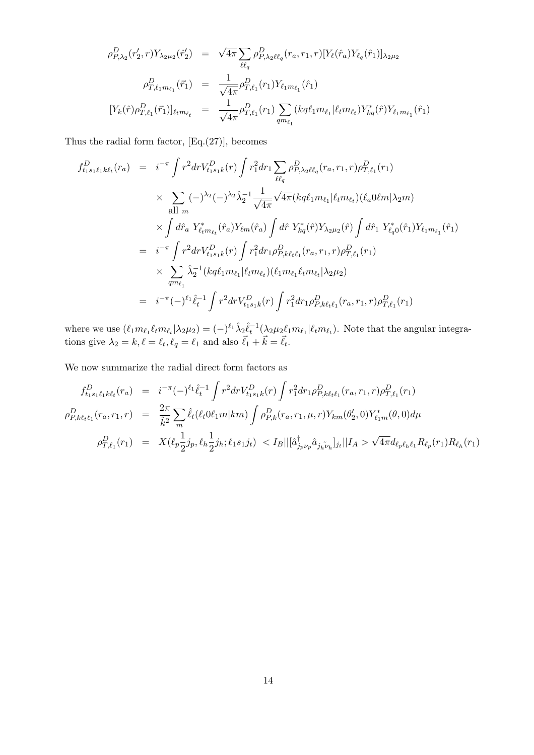$$
\rho_{P,\lambda_2}^D(r_2',r)Y_{\lambda_2\mu_2}(\hat{r}_2') = \sqrt{4\pi} \sum_{\ell\ell_q} \rho_{P,\lambda_2\ell\ell_q}^D(r_a,r_1,r) [Y_{\ell}(\hat{r}_a)Y_{\ell_q}(\hat{r}_1)]_{\lambda_2\mu_2}
$$

$$
\rho_{T,\ell_1m_{\ell_1}}^D(\vec{r}_1) = \frac{1}{\sqrt{4\pi}} \rho_{T,\ell_1}^D(r_1)Y_{\ell_1m_{\ell_1}}(\hat{r}_1)
$$

$$
[Y_k(\hat{r})\rho_{T,\ell_1}^D(\vec{r}_1)]_{\ell_t m_{\ell_t}} = \frac{1}{\sqrt{4\pi}} \rho_{T,\ell_1}^D(r_1) \sum_{qm_{\ell_1}} (kq\ell_1m_{\ell_1}|\ell_t m_{\ell_t}) Y_{kq}^*(\hat{r}) Y_{\ell_1m_{\ell_1}}(\hat{r}_1)
$$

Thus the radial form factor,  $[Eq.(27)],$  becomes

$$
f_{t_1s_1\ell_1k\ell_t}^D(r_a) = i^{-\pi} \int r^2 dr V_{t_1s_1k}^D(r) \int r_1^2 dr_1 \sum_{\ell\ell_q} \rho_{P,\lambda_2\ell\ell_q}^D(r_a, r_1, r) \rho_{T,\ell_1}^D(r_1)
$$
  
\n
$$
\times \sum_{\text{all } m} (-)^{\lambda_2} (-)^{\lambda_2} \hat{\lambda}_2^{-1} \frac{1}{\sqrt{4\pi}} \sqrt{4\pi} (kq\ell_1 m_{\ell_1} |\ell_t m_{\ell_t}) (\ell_a 0\ell m | \lambda_2 m)
$$
  
\n
$$
\times \int d\hat{r}_a Y_{\ell_t m_{\ell_t}}^*(\hat{r}_a) Y_{\ell m}(\hat{r}_a) \int d\hat{r} Y_{kq}^*(\hat{r}) Y_{\lambda_2\mu_2}(\hat{r}) \int d\hat{r}_1 Y_{\ell_0}^*(\hat{r}_1) Y_{\ell_1 m_{\ell_1}}(\hat{r}_1)
$$
  
\n
$$
= i^{-\pi} \int r^2 dr V_{t_1s_1k}^D(r) \int r_1^2 dr_1 \rho_{P,k\ell_t\ell_1}^D(r_a, r_1, r) \rho_{T,\ell_1}^D(r_1)
$$
  
\n
$$
\times \sum_{qm_{\ell_1}} \hat{\lambda}_2^{-1} (kq\ell_1 m_{\ell_1} |\ell_t m_{\ell_t}) (\ell_1 m_{\ell_1} \ell_t m_{\ell_t} |\lambda_2 \mu_2)
$$
  
\n
$$
= i^{-\pi} (-)^{\ell_1} \hat{\ell}_t^{-1} \int r^2 dr V_{t_1s_1k}^D(r) \int r_1^2 dr_1 \rho_{P,k\ell_t\ell_1}^D(r_a, r_1, r) \rho_{T,\ell_1}^D(r_1)
$$

where we use  $(\ell_1 m_{\ell_1} \ell_t m_{\ell_t} | \lambda_2 \mu_2) = (-)^{\ell_1} \hat{\lambda}_2 \hat{\ell}_t^{-1} (\lambda_2 \mu_2 \ell_1 m_{\ell_1} | \ell_t m_{\ell_t}).$  Note that the angular integrations give  $\lambda_2 = k, \ell = \ell_t, \ell_q = \ell_1$  and also  $\vec{\ell}_1 + \vec{k} = \vec{\ell}_t$ .

We now summarize the radial direct form factors as

$$
f_{t_1s_1\ell_1k\ell_t}^D(r_a) = i^{-\pi}(-)^{\ell_1} \hat{\ell}_t^{-1} \int r^2 dr V_{t_1s_1k}^D(r) \int r_1^2 dr_1 \rho_{P,k\ell_t\ell_1}^D(r_a, r_1, r) \rho_{T,\ell_1}^D(r_1)
$$
  
\n
$$
\rho_{P,k\ell_t\ell_1}^D(r_a, r_1, r) = \frac{2\pi}{\hat{k}^2} \sum_m \hat{\ell}_t(\ell_t \omega_{1m} | km) \int \rho_{P,k}^D(r_a, r_1, \mu, r) Y_{km}(\theta_2', 0) Y_{\ell_1m}^*(\theta, 0) d\mu
$$
  
\n
$$
\rho_{T,\ell_1}^D(r_1) = X(\ell_p \frac{1}{2} j_p, \ell_h \frac{1}{2} j_h; \ell_1 s_1 j_t) < I_B ||[\hat{a}_{j_p\nu_p}^{\dagger} \hat{a}_{j_h\tilde{\nu}_h}]_{j_t} || I_A > \sqrt{4\pi} d_{\ell_p \ell_h \ell_1} R_{\ell_p}(r_1) R_{\ell_h}(r_1)
$$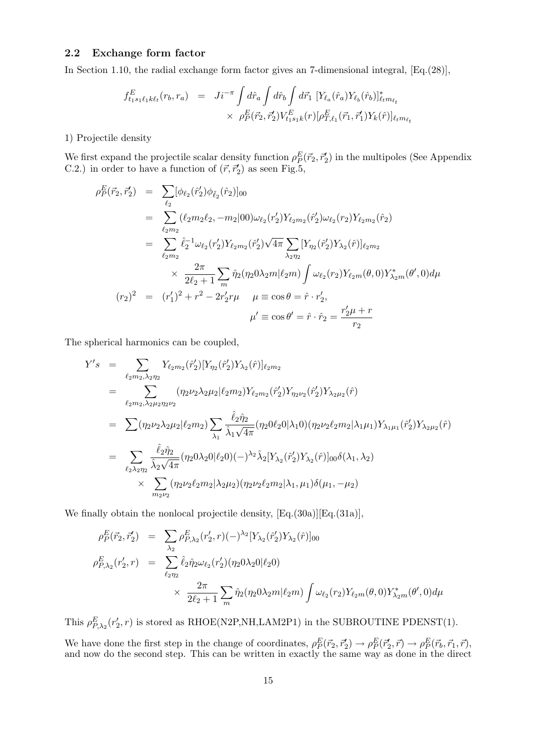#### 2.2 Exchange form factor

In Section 1.10, the radial exchange form factor gives an 7-dimensional integral, [Eq.(28)],

$$
f_{t_1s_1\ell_1k\ell_t}^E(r_b, r_a) = J_i^{-\pi} \int d\hat{r}_a \int d\hat{r}_b \int d\vec{r}_1 \, [Y_{\ell_a}(\hat{r}_a)Y_{\ell_b}(\hat{r}_b)]_{\ell_t m_{\ell_t}}^* \times \rho_P^E(\vec{r}_2, \vec{r}_2') V_{t_1s_1k}^E(r) [\rho_{T,\ell_1}^E(\vec{r}_1, \vec{r}_1')Y_k(\hat{r})]_{\ell_t m_{\ell_t}}
$$

1) Projectile density

We first expand the projectile scalar density function  $\rho_P^E(\vec{r}_2, \vec{r}_2)$  in the multipoles (See Appendix C.2.) in order to have a function of  $(\vec{r}, \vec{r}_2')$  as seen Fig.5,

$$
\rho_P^E(\vec{r}_2, \vec{r}'_2) = \sum_{\ell_2} [\phi_{\ell_2}(\hat{r}'_2)\phi_{\tilde{\ell}_2}(\hat{r}_2)]_{00}
$$
  
\n
$$
= \sum_{\ell_2 m_2} (\ell_2 m_2 \ell_2, -m_2 |00) \omega_{\ell_2} (r'_2) Y_{\ell_2 m_2}(\hat{r}'_2) \omega_{\ell_2} (r_2) Y_{\ell_2 m_2}(\hat{r}_2)
$$
  
\n
$$
= \sum_{\ell_2 m_2} \hat{\ell}_2^{-1} \omega_{\ell_2} (r'_2) Y_{\ell_2 m_2}(\hat{r}'_2) \sqrt{4\pi} \sum_{\lambda_2 m_2} [Y_{\eta_2}(\hat{r}'_2) Y_{\lambda_2}(\hat{r})]_{\ell_2 m_2}
$$
  
\n
$$
\times \frac{2\pi}{2\ell_2 + 1} \sum_m \hat{\eta}_2 (\eta_2 0 \lambda_2 m | \ell_2 m) \int \omega_{\ell_2} (r_2) Y_{\ell_2 m}(\theta, 0) Y_{\lambda_2 m}^*(\theta', 0) d\mu
$$
  
\n
$$
(r_2)^2 = (r'_1)^2 + r^2 - 2r'_2 r\mu \quad \mu \equiv \cos \theta = \hat{r} \cdot r'_2,
$$
  
\n
$$
\mu' \equiv \cos \theta' = \hat{r} \cdot \hat{r}_2 = \frac{r'_2 \mu + r}{r_2}
$$

The spherical harmonics can be coupled,

$$
Y's = \sum_{\ell_2 m_2, \lambda_2 n_2} Y_{\ell_2 m_2}(\hat{r}_2') [Y_{\eta_2}(\hat{r}_2') Y_{\lambda_2}(\hat{r})]_{\ell_2 m_2}
$$
  
\n
$$
= \sum_{\ell_2 m_2, \lambda_2 \mu_2 \eta_2 \nu_2} (\eta_2 \nu_2 \lambda_2 \mu_2 | \ell_2 m_2) Y_{\ell_2 m_2}(\hat{r}_2') Y_{\eta_2 \nu_2}(\hat{r}_2') Y_{\lambda_2 \mu_2}(\hat{r})
$$
  
\n
$$
= \sum_{\ell_2 m_2, \lambda_2 \mu_2 \eta_2 \nu_2} (\eta_2 \nu_2 \lambda_2 \mu_2 | \ell_2 m_2) \sum_{\lambda_1} \frac{\hat{\ell}_2 \hat{\eta}_2}{\hat{\lambda}_1 \sqrt{4\pi}} (\eta_2 0 \ell_2 0 | \lambda_1 0) (\eta_2 \nu_2 \ell_2 m_2 | \lambda_1 \mu_1) Y_{\lambda_1 \mu_1}(\hat{r}_2') Y_{\lambda_2 \mu_2}(\hat{r})
$$
  
\n
$$
= \sum_{\ell_2 \lambda_2 \eta_2} \frac{\hat{\ell}_2 \hat{\eta}_2}{\hat{\lambda}_2 \sqrt{4\pi}} (\eta_2 0 \lambda_2 0 | \ell_2 0) (-\lambda^2 \hat{\lambda}_2 [Y_{\lambda_2}(\hat{r}_2') Y_{\lambda_2}(\hat{r})]_{00} \delta(\lambda_1, \lambda_2)
$$
  
\n
$$
\times \sum_{\lambda_2 \mu_2} (\eta_2 \nu_2 \ell_2 m_2 | \lambda_2 \mu_2) (\eta_2 \nu_2 \ell_2 m_2 | \lambda_1, \mu_1) \delta(\mu_1, -\mu_2)
$$

We finally obtain the nonlocal projectile density,  $[Eq.(30a)][Eq.(31a)],$ 

$$
\rho_P^E(\vec{r}_2, \vec{r}'_2) = \sum_{\lambda_2} \rho_{P, \lambda_2}^E(r'_2, r)(-\lambda_2^2 [Y_{\lambda_2}(\hat{r}'_2) Y_{\lambda_2}(\hat{r})]_{00}
$$
  
\n
$$
\rho_{P, \lambda_2}^E(r'_2, r) = \sum_{\ell_2, \gamma_2} \hat{\ell}_2 \hat{\eta}_2 \omega_{\ell_2}(r'_2) (\eta_2 0 \lambda_2 0 | \ell_2 0)
$$
  
\n
$$
\times \frac{2\pi}{2\ell_2 + 1} \sum_m \hat{\eta}_2(\eta_2 0 \lambda_2 m | \ell_2 m) \int \omega_{\ell_2}(r_2) Y_{\ell_2 m}(\theta, 0) Y_{\lambda_2 m}^*(\theta', 0) d\mu
$$

This  $\rho_{P,\lambda_2}^E(r_2',r)$  is stored as RHOE(N2P,NH,LAM2P1) in the SUBROUTINE PDENST(1).

We have done the first step in the change of coordinates,  $\rho_P^E(\vec{r}_2, \vec{r}_2) \to \rho_P^E(\vec{r}_2, \vec{r}) \to \rho_P^E(\vec{r}_b, \vec{r}_1, \vec{r})$ , and now do the second step. This can be written in exactly the same way as done in the direct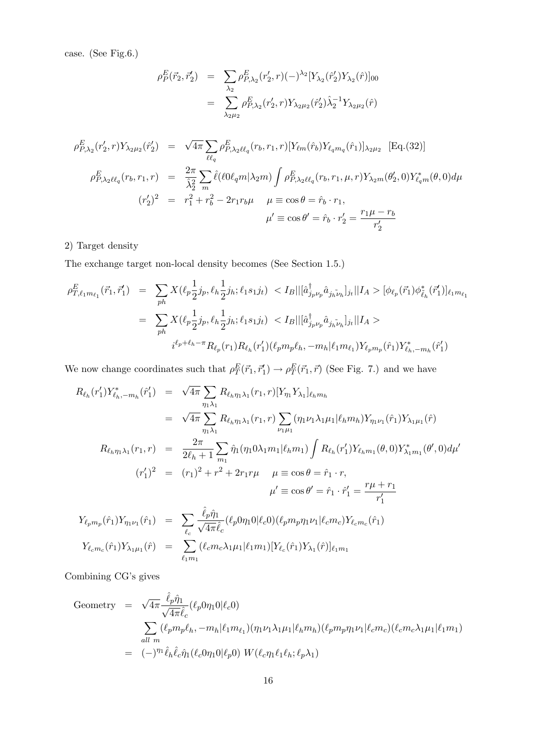case. (See Fig.6.)

$$
\rho_P^E(\vec{r}_2, \vec{r}_2') = \sum_{\lambda_2} \rho_{P, \lambda_2}^E(r_2', r) (-)^{\lambda_2} [Y_{\lambda_2}(\hat{r}_2') Y_{\lambda_2}(\hat{r})]_{00}
$$

$$
= \sum_{\lambda_2 \mu_2} \rho_{P, \lambda_2}^E(r_2', r) Y_{\lambda_2 \mu_2}(\hat{r}_2') \hat{\lambda}_2^{-1} Y_{\lambda_2 \mu_2}(\hat{r})
$$

$$
\rho_{P,\lambda_2}^E(r_2', r) Y_{\lambda_2 \mu_2}(\hat{r}_2') = \sqrt{4\pi} \sum_{\ell \ell_q} \rho_{P,\lambda_2 \ell \ell_q}^E(r_b, r_1, r) [Y_{\ell m}(\hat{r}_b) Y_{\ell_q m_q}(\hat{r}_1)]_{\lambda_2 \mu_2} \text{ [Eq. (32)]}
$$
\n
$$
\rho_{P,\lambda_2 \ell \ell_q}^E(r_b, r_1, r) = \frac{2\pi}{\hat{\lambda}_2^2} \sum_{m} \hat{\ell}(\ell 0 \ell_q m | \lambda_2 m) \int \rho_{P,\lambda_2 \ell \ell_q}^E(r_b, r_1, \mu, r) Y_{\lambda_2 m}(\theta_2', 0) Y_{\ell_q m}^*(\theta, 0) d\mu
$$
\n
$$
(r_2')^2 = r_1^2 + r_b^2 - 2r_1 r_b \mu \quad \mu \equiv \cos \theta = \hat{r}_b \cdot r_1,
$$
\n
$$
\mu' \equiv \cos \theta' = \hat{r}_b \cdot r_2' = \frac{r_1 \mu - r_b}{r_2'}
$$

#### 2) Target density

The exchange target non-local density becomes (See Section 1.5.)

 $\ell_1m_1$ 

$$
\rho_{T,\ell_1 m_{\ell_1}}^E(\vec{r}_1, \vec{r}'_1) = \sum_{ph} X(\ell_p \frac{1}{2} j_p, \ell_h \frac{1}{2} j_h; \ell_1 s_1 j_t) < I_B || [\hat{a}_{j_p \nu_p}^{\dagger} \hat{a}_{j_h \tilde{\nu}_h}]_{j_t} || I_A > [\phi_{\ell_p}(\vec{r}_1) \phi_{\tilde{\ell}_h}^*(\vec{r}_1')]_{\ell_1 m_{\ell_1}}
$$
  

$$
= \sum_{ph} X(\ell_p \frac{1}{2} j_p, \ell_h \frac{1}{2} j_h; \ell_1 s_1 j_t) < I_B || [\hat{a}_{j_p \nu_p}^{\dagger} \hat{a}_{j_h \tilde{\nu}_h}]_{j_t} || I_A >
$$
  

$$
i^{\ell_p + \ell_h - \pi} R_{\ell_p}(r_1) R_{\ell_h}(r'_1) (\ell_p m_p \ell_h, -m_h | \ell_1 m_{\ell_1}) Y_{\ell_p m_p}(\hat{r}_1) Y_{\ell_h, -m_h}^*(\hat{r}'_1)
$$

We now change coordinates such that  $\rho_T^E(\vec{r}_1, \vec{r}'_1) \to \rho_T^E(\vec{r}_1, \vec{r})$  (See Fig. 7.) and we have

$$
R_{\ell_h}(r'_1)Y_{\ell_h,-m_h}^*(\hat{r}'_1) = \sqrt{4\pi} \sum_{\eta_1 \lambda_1} R_{\ell_h \eta_1 \lambda_1}(r_1, r) [Y_{\eta_1} Y_{\lambda_1}]_{\ell_h m_h}
$$
  
\n
$$
= \sqrt{4\pi} \sum_{\eta_1 \lambda_1} R_{\ell_h \eta_1 \lambda_1}(r_1, r) \sum_{\nu_1 \mu_1} (\eta_1 \nu_1 \lambda_1 \mu_1 | \ell_h m_h) Y_{\eta_1 \nu_1}(\hat{r}_1) Y_{\lambda_1 \mu_1}(\hat{r})
$$
  
\n
$$
R_{\ell_h \eta_1 \lambda_1}(r_1, r) = \frac{2\pi}{2\ell_h + 1} \sum_{m_1} \hat{\eta}_1(\eta_1 0 \lambda_1 m_1 | \ell_h m_1) \int R_{\ell_h}(r'_1) Y_{\ell_h m_1}(\theta, 0) Y_{\lambda_1 m_1}^*(\theta', 0) d\mu'
$$
  
\n
$$
(r'_1)^2 = (r_1)^2 + r^2 + 2r_1 r \mu \quad \mu \equiv \cos \theta = \hat{r}_1 \cdot r,
$$
  
\n
$$
\mu' \equiv \cos \theta' = \hat{r}_1 \cdot \hat{r}'_1 = \frac{r\mu + r_1}{r'_1}
$$
  
\n
$$
Y_{\ell_p m_p}(\hat{r}_1) Y_{\eta_1 \nu_1}(\hat{r}_1) = \sum_{\ell_c} \frac{\hat{\ell}_p \hat{\eta}_1}{\sqrt{4\pi} \hat{\ell}_c} (\ell_p 0 \eta_1 0 | \ell_c 0) (\ell_p m_p \eta_1 \nu_1 | \ell_c m_c) Y_{\ell_c m_c}(\hat{r}_1)
$$
  
\n
$$
Y_{\ell_c m_c}(\hat{r}_1) Y_{\lambda_1 \mu_1}(\hat{r}) = \sum_{\ell_c} (\ell_c m_c \lambda_1 \mu_1 | \ell_1 m_1) [Y_{\ell_c}(\hat{r}_1) Y_{\lambda_1}(\hat{r})]_{\ell_1 m_1}
$$

Combining CG's gives

Geometry = 
$$
\sqrt{4\pi} \frac{\hat{\ell}_p \hat{\eta}_1}{\sqrt{4\pi \hat{\ell}_c}} (\ell_p 0 \eta_1 0 | \ell_c 0)
$$
  
\n
$$
\sum_{all \ m} (\ell_p m_p \ell_h, -m_h | \ell_1 m_{\ell_1}) (\eta_1 \nu_1 \lambda_1 \mu_1 | \ell_h m_h) (\ell_p m_p \eta_1 \nu_1 | \ell_c m_c) (\ell_c m_c \lambda_1 \mu_1 | \ell_1 m_1)
$$
\n=  $(-)^{\eta_1} \hat{\ell}_h \hat{\ell}_c \hat{\eta}_1 (\ell_c 0 \eta_1 0 | \ell_p 0) W (\ell_c \eta_1 \ell_1 \ell_h; \ell_p \lambda_1)$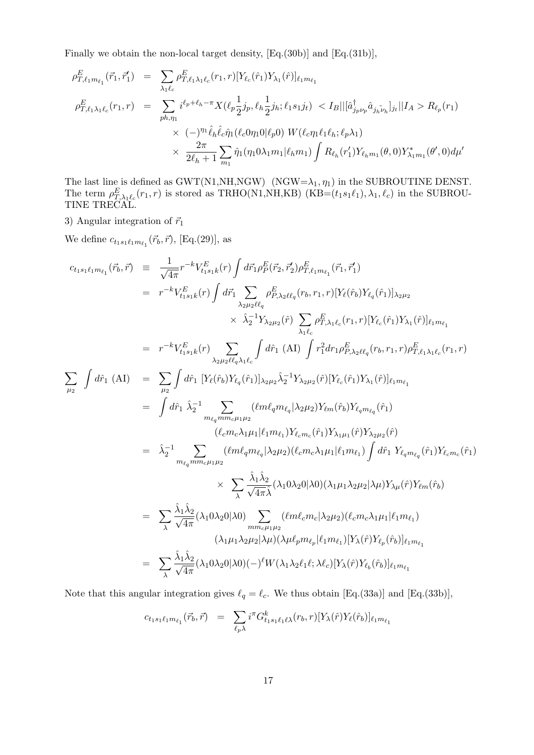Finally we obtain the non-local target density, [Eq.(30b)] and [Eq.(31b)],

$$
\rho_{T,\ell_1 m_{\ell_1}}^E(\vec{r}_1, \vec{r}'_1) = \sum_{\lambda_1 \ell_c} \rho_{T,\ell_1 \lambda_1 \ell_c}^E(r_1, r) [Y_{\ell_c}(\hat{r}_1) Y_{\lambda_1}(\hat{r})]_{\ell_1 m_{\ell_1}}
$$
\n
$$
\rho_{T,\ell_1 \lambda_1 \ell_c}^E(r_1, r) = \sum_{ph,\eta_1} i^{\ell_p + \ell_h - \pi} X(\ell_p \frac{1}{2} j_p, \ell_h \frac{1}{2} j_h; \ell_1 s_1 j_t) < I_B || [\hat{a}_{j_p \nu_p}^{\dagger} \hat{a}_{j_h \nu_h}]_{j_t} || I_A > R_{\ell_p}(r_1)
$$
\n
$$
\times (-)^{\eta_1} \hat{\ell}_h \hat{\ell}_c \hat{\eta}_1(\ell_c 0 \eta_1 0 | \ell_p 0) W(\ell_c \eta_1 \ell_1 \ell_h; \ell_p \lambda_1)
$$
\n
$$
\times \frac{2\pi}{2\ell_h + 1} \sum_{m_1} \hat{\eta}_1(\eta_1 0 \lambda_1 m_1 | \ell_h m_1) \int R_{\ell_h}(r'_1) Y_{\ell_h m_1}(\theta, 0) Y_{\lambda_1 m_1}^*(\theta', 0) d\mu'
$$

The last line is defined as GWT(N1,NH,NGW) (NGW= $\lambda_1$ ,  $\eta_1$ ) in the SUBROUTINE DENST. The term  $\rho_{T,\lambda_1\ell_c}^E(r_1,r)$  is stored as TRHO(N1,NH,KB) (KB=(t<sub>1</sub>s<sub>1</sub> $\ell_1$ ),  $\lambda_1, \ell_c$ ) in the SUBROU-TINE TRECAL.

3) Angular integration of  $\vec{r}_1$ 

We define  $c_{t_1s_1\ell_1m_{\ell_1}}(\vec{r}_b, \vec{r})$ , [Eq.(29)], as

$$
c_{t_1s_1\ell_1m_{\ell_1}}(\vec{r}_b, \vec{r}) = \frac{1}{\sqrt{4\pi}} r^{-k} V_{t_1s_1k}^E(r) \int d\vec{r}_1 \rho_P^E(\vec{r}_2, \vec{r}_2) \rho_{T,\ell_1m_{\ell_1}}^E(\vec{r}_1, \vec{r}_1)
$$
  
\n
$$
= r^{-k} V_{t_1s_1k}^E(r) \int d\vec{r}_1 \sum_{\lambda_2\mu_2\ell\ell_q} \rho_{F,\lambda_2\ell\ell_q}(r_b, r_1, r) [Y_{\ell}(\hat{r}_b)Y_{\ell_q}(\hat{r}_1)]_{\lambda_2\mu_2}
$$
  
\n
$$
\times \hat{\lambda}_2^{-1} Y_{\lambda_2\mu_2}(\hat{r}) \sum_{\lambda_1\ell_c} \rho_{T,\lambda_1\ell_c}^E(r_1, r) [Y_{\ell_c}(\hat{r}_1)Y_{\lambda_1}(\hat{r})]_{\ell_1m_{\ell_1}}
$$
  
\n
$$
= r^{-k} V_{t_1s_1k}^E(r) \sum_{\lambda_2\mu_2\ell\ell_q\lambda_1\ell_c} \int d\hat{r}_1 (\text{AI}) \int r_1^2 dr_1 \rho_{F,\lambda_2\ell\ell_q}^E(r_b, r_1, r) \rho_{T,\ell_1\lambda_1\ell_c}^E(r_b, r_b, r_b)
$$
  
\n
$$
\sum_{\mu_2} \int d\hat{r}_1 (\text{AI}) = \sum_{\mu_2} \int d\hat{r}_1 [Y_{\ell}(\hat{r}_b)Y_{\ell_q}(\hat{r}_1)]_{\lambda_2\mu_2} \hat{\lambda}_2^{-1} Y_{\lambda_2\mu_2}(\hat{r}) [Y_{\ell_c}(\hat{r}_1)Y_{\lambda_1}(\hat{r})]_{\ell_1m_{\ell_1}}
$$
  
\n
$$
= \int d\hat{r}_1 \hat{\lambda}_2^{-1} \sum_{\substack{m_{\ell_q}m m_{\ell} \mu_1\mu_2} ( \ell m \ell_q m_{\ell_q} |\lambda_2\mu_2) Y_{\ell m}(\hat{r}_b) Y_{\ell_qm_{\ell_q}}(\hat{r}_1) }
$$
  
\n
$$
= \hat{\lambda}_2^{-1} \sum_{
$$

Note that this angular integration gives  $\ell_q = \ell_c$ . We thus obtain [Eq.(33a)] and [Eq.(33b)],

$$
c_{t_1s_1\ell_1m_{\ell_1}}(\vec{r}_b, \vec{r}) = \sum_{\ell_p \lambda} i^{\pi} G_{t_1s_1\ell_1\ell_1}^k(r_b, r) [Y_{\lambda}(\hat{r})Y_{\ell}(\hat{r}_b)]_{\ell_1m_{\ell_1}}
$$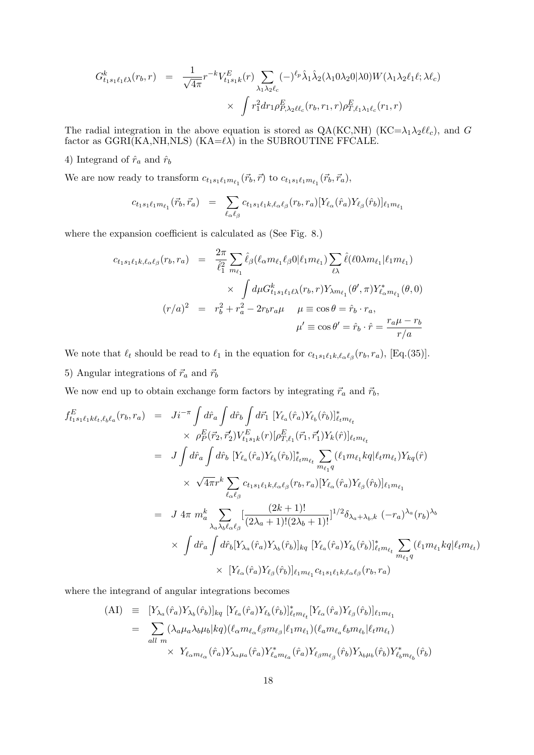$$
G_{t_1s_1\ell_1\ell\lambda}^k(r_b, r) = \frac{1}{\sqrt{4\pi}} r^{-k} V_{t_1s_1k}^E(r) \sum_{\lambda_1\lambda_2\ell_c} (-)^{\ell_p} \hat{\lambda}_1 \hat{\lambda}_2(\lambda_1 0 \lambda_2 0 | \lambda 0) W(\lambda_1 \lambda_2 \ell_1 \ell; \lambda \ell_c) \times \int r_1^2 dr_1 \rho_{P, \lambda_2\ell\ell_c}^E(r_b, r_1, r) \rho_{T, \ell_1\lambda_1\ell_c}^E(r_1, r)
$$

The radial integration in the above equation is stored as  $QA(KC,NH)$  (KC= $\lambda_1 \lambda_2 \ell \ell_c$ ), and G factor as  $GGRI(KA,NH,NLS)$  (KA= $\ell\lambda$ ) in the SUBROUTINE FFCALE.

4) Integrand of  $\hat{r}_a$  and  $\hat{r}_b$ 

We are now ready to transform  $c_{t_1s_1\ell_1m_{\ell_1}}(\vec{r}_b, \vec{r})$  to  $c_{t_1s_1\ell_1m_{\ell_1}}(\vec{r}_b, \vec{r}_a)$ ,

$$
c_{t_1s_1\ell_1m_{\ell_1}}(\vec{r}_b, \vec{r}_a) = \sum_{\ell_\alpha \ell_\beta} c_{t_1s_1\ell_1k, \ell_\alpha \ell_\beta}(r_b, r_a) [Y_{\ell_\alpha}(\hat{r}_a)Y_{\ell_\beta}(\hat{r}_b)]_{\ell_1m_{\ell_1}}
$$

where the expansion coefficient is calculated as (See Fig. 8.)

$$
c_{t_1s_1\ell_1k,\ell_{\alpha}\ell_{\beta}}(r_b, r_a) = \frac{2\pi}{\hat{\ell}_1^2} \sum_{m_{\ell_1}} \hat{\ell}_{\beta}(\ell_{\alpha}m_{\ell_1}\ell_{\beta}0|\ell_1m_{\ell_1}) \sum_{\ell\lambda} \hat{\ell}(\ell_0\lambda m_{\ell_1}|\ell_1m_{\ell_1})
$$
  
 
$$
\times \int d\mu G_{t_1s_1\ell_1\ell\lambda}^k(r_b, r) Y_{\lambda m_{\ell_1}}(\theta', \pi) Y_{\ell_{\alpha}m_{\ell_1}}^*(\theta, 0)
$$
  

$$
(r/a)^2 = r_b^2 + r_a^2 - 2r_br_a\mu \quad \mu \equiv \cos\theta = \hat{r}_b \cdot r_a,
$$
  

$$
\mu' \equiv \cos\theta' = \hat{r}_b \cdot \hat{r} = \frac{r_a\mu - r_b}{r/a}
$$

We note that  $\ell_t$  should be read to  $\ell_1$  in the equation for  $c_{t_1 s_1 \ell_1 k, \ell_\alpha \ell_\beta}(r_b, r_a)$ , [Eq.(35)]. 5) Angular integrations of  $\vec{r}_a$  and  $\vec{r}_b$ 

We now end up to obtain exchange form factors by integrating  $\vec{r}_a$  and  $\vec{r}_b,$ 

$$
f_{t_{1}s_{1}\ell_{1}k\ell_{t},\ell_{b}\ell_{a}}^{E}(r_{b},r_{a}) = Ji^{-\pi} \int d\hat{r}_{a} \int d\hat{r}_{b} \int d\vec{r}_{1} \left[ Y_{\ell_{a}}(\hat{r}_{a}) Y_{\ell_{b}}(\hat{r}_{b}) \right]_{\ell_{t}m_{\ell_{t}}}^{*}
$$
  
\n
$$
\times \rho_{P}^{E}(\vec{r}_{2},\vec{r}_{2}) V_{t_{1}s_{1}k}^{E}(r) [\rho_{T,\ell_{1}}^{E}(\vec{r}_{1},\vec{r}_{1}) Y_{k}(\hat{r})]_{\ell_{t}m_{\ell_{t}}}
$$
  
\n
$$
= J \int d\hat{r}_{a} \int d\hat{r}_{b} \left[ Y_{\ell_{a}}(\hat{r}_{a}) Y_{\ell_{b}}(\hat{r}_{b}) \right]_{\ell_{t}m_{\ell_{t}}}^{*} \sum_{m_{\ell_{1}}q} (\ell_{1}m_{\ell_{1}} kq | \ell_{t}m_{\ell_{t}}) Y_{kq}(\hat{r})
$$
  
\n
$$
\times \sqrt{4\pi} r^{k} \sum_{\ell_{\alpha}\ell_{\beta}} c_{t_{1}s_{1}\ell_{1}k,\ell_{\alpha}\ell_{\beta}}(r_{b},r_{a}) [Y_{\ell_{\alpha}}(\hat{r}_{a}) Y_{\ell_{\beta}}(\hat{r}_{b})]_{\ell_{1}m_{\ell_{1}}}
$$
  
\n
$$
= J 4\pi m_{a}^{k} \sum_{\lambda_{a}\lambda_{b}\ell_{\alpha}\ell_{\beta}} [\frac{(2k+1)!}{(2\lambda_{a}+1)!(2\lambda_{b}+1)!}]^{1/2} \delta_{\lambda_{a}+\lambda_{b},k} (-r_{a})^{\lambda_{a}}(r_{b})^{\lambda_{b}}
$$
  
\n
$$
\times \int d\hat{r}_{a} \int d\hat{r}_{b} [Y_{\lambda_{a}}(\hat{r}_{a}) Y_{\lambda_{b}}(\hat{r}_{b})]_{kq} [Y_{\ell_{a}}(\hat{r}_{a}) Y_{\ell_{b}}(\hat{r}_{b})]_{\ell_{t}m_{\ell_{t}}} \sum_{m_{\ell_{1}}q} (\ell_{1}m_{\ell_{1}}kq | \ell_{t}m_{\ell_{t}})
$$
  
\n
$$
\times [Y_{\
$$

where the integrand of angular integrations becomes

$$
(AI) \equiv [Y_{\lambda_a}(\hat{r}_a)Y_{\lambda_b}(\hat{r}_b)]_{kq} [Y_{\ell_a}(\hat{r}_a)Y_{\ell_b}(\hat{r}_b)]_{\ell_t m_{\ell_t}}^* [Y_{\ell_\alpha}(\hat{r}_a)Y_{\ell_\beta}(\hat{r}_b)]_{\ell_1 m_{\ell_1}} = \sum_{all \ m} (\lambda_a \mu_a \lambda_b \mu_b | kq) (\ell_\alpha m_{\ell_\alpha} \ell_\beta m_{\ell_\beta} | \ell_1 m_{\ell_1}) (\ell_a m_{\ell_a} \ell_b m_{\ell_b} | \ell_t m_{\ell_t}) \times Y_{\ell_\alpha m_{\ell_\alpha}}(\hat{r}_a)Y_{\lambda_a \mu_a}(\hat{r}_a)Y_{\ell_a m_{\ell_a}}(\hat{r}_a)Y_{\ell_\beta m_{\ell_\beta}}(\hat{r}_b)Y_{\lambda_b \mu_b}(\hat{r}_b)Y_{\ell_b m_{\ell_b}}^*(\hat{r}_b)
$$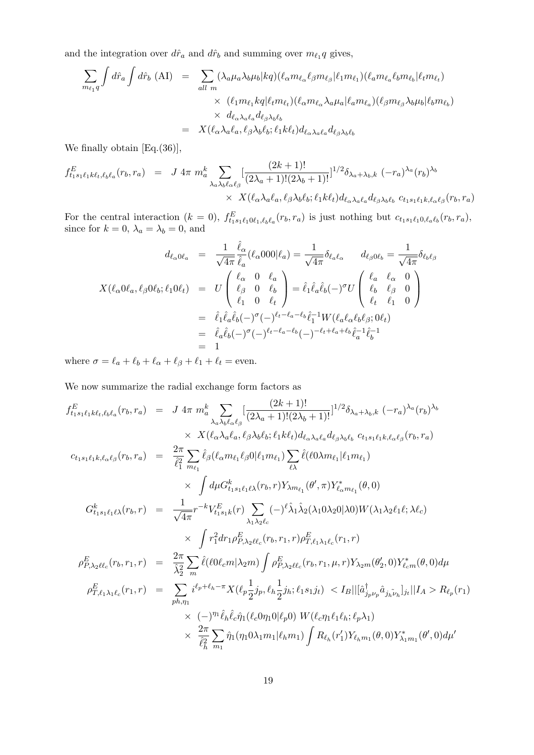and the integration over  $d\hat{r}_a$  and  $d\hat{r}_b$  and summing over  $m_{\ell_1}q$  gives,

$$
\sum_{m_{\ell_1}q} \int d\hat{r}_a \int d\hat{r}_b \text{ (AI)} = \sum_{all \ m} (\lambda_a \mu_a \lambda_b \mu_b | kq) (\ell_\alpha m_{\ell_\alpha} \ell_\beta m_{\ell_\beta} | \ell_1 m_{\ell_1}) (\ell_a m_{\ell_a} \ell_b m_{\ell_b} | \ell_t m_{\ell_t})
$$

$$
\times (\ell_1 m_{\ell_1} kq | \ell_t m_{\ell_t}) (\ell_\alpha m_{\ell_\alpha} \lambda_a \mu_a | \ell_a m_{\ell_a}) (\ell_\beta m_{\ell_\beta} \lambda_b \mu_b | \ell_b m_{\ell_b})
$$

$$
\times d_{\ell_\alpha \lambda_a \ell_a} d_{\ell_\beta \lambda_b \ell_b}
$$

$$
= X (\ell_\alpha \lambda_a \ell_a, \ell_\beta \lambda_b \ell_b; \ell_1 k \ell_t) d_{\ell_\alpha \lambda_a \ell_a} d_{\ell_\beta \lambda_b \ell_b}
$$

We finally obtain  $[Eq.(36)],$ 

$$
f_{t_1s_1\ell_1k\ell_t,\ell_b\ell_a}^E(r_b,r_a) = J 4\pi m_a^k \sum_{\lambda_a\lambda_b\ell_\alpha\ell_\beta} \left[ \frac{(2k+1)!}{(2\lambda_a+1)!(2\lambda_b+1)!} \right]^{1/2} \delta_{\lambda_a+\lambda_b,k} (-r_a)^{\lambda_a} (r_b)^{\lambda_b}
$$
  
 
$$
\times X(\ell_a\lambda_a\ell_a,\ell_\beta\lambda_b\ell_b;\ell_1k\ell_t) d_{\ell_a\lambda_a\ell_a} d_{\ell_\beta\lambda_b\ell_b} c_{t_1s_1\ell_1k,\ell_\alpha\ell_\beta}(r_b,r_a)
$$

For the central interaction  $(k = 0)$ ,  $f_{t_1s_1\ell_10\ell_1,\ell_b\ell_a}^E(r_b, r_a)$  is just nothing but  $c_{t_1s_1\ell_10,\ell_a\ell_b}(r_b, r_a)$ , since for  $k = 0$ ,  $\lambda_a = \lambda_b = 0$ , and

$$
d_{\ell_{\alpha}0\ell_{a}} = \frac{1}{\sqrt{4\pi}} \hat{\ell}_{\alpha} (\ell_{\alpha}000|\ell_{a}) = \frac{1}{\sqrt{4\pi}} \delta_{\ell_{a}\ell_{\alpha}} \qquad d_{\ell_{\beta}0\ell_{b}} = \frac{1}{\sqrt{4\pi}} \delta_{\ell_{b}\ell_{\beta}}
$$
  

$$
X(\ell_{\alpha}0\ell_{a}, \ell_{\beta}0\ell_{b}; \ell_{1}0\ell_{t}) = U\begin{pmatrix} \ell_{\alpha} & 0 & \ell_{a} \\ \ell_{\beta} & 0 & \ell_{b} \\ \ell_{1} & 0 & \ell_{t} \end{pmatrix} = \hat{\ell}_{1}\hat{\ell}_{a}\hat{\ell}_{b}(-)^{\sigma}U\begin{pmatrix} \ell_{a} & \ell_{\alpha} & 0 \\ \ell_{b} & \ell_{\beta} & 0 \\ \ell_{t} & \ell_{1} & 0 \end{pmatrix}
$$
  

$$
= \hat{\ell}_{1}\hat{\ell}_{a}\hat{\ell}_{b}(-)^{\sigma}(-)^{\ell_{t}-\ell_{a}-\ell_{b}}\hat{\ell}_{1}^{-1}W(\ell_{a}\ell_{\alpha}\ell_{b}\ell_{\beta}; 0\ell_{t})
$$
  

$$
= \hat{\ell}_{a}\hat{\ell}_{b}(-)^{\sigma}(-)^{\ell_{t}-\ell_{a}-\ell_{b}}(-)^{-\ell_{t}+\ell_{a}+\ell_{b}}\hat{\ell}_{a}^{-1}\hat{\ell}_{b}^{-1}
$$
  

$$
= 1
$$

where  $\sigma = \ell_a + \ell_b + \ell_\alpha + \ell_\beta + \ell_1 + \ell_t =$  even.

We now summarize the radial exchange form factors as

$$
f_{t_{1}s_{1}\ell_{1}k\ell_{t},\ell_{b}\ell_{a}}^{E}(r_{b},r_{a}) = J 4\pi m_{a}^{k} \sum_{\lambda_{a}\lambda_{b}\ell_{\alpha}\ell_{\beta}} \left[ \frac{(2k+1)!}{(2\lambda_{a}+1)!(2\lambda_{b}+1)!} \right]^{1/2} \delta_{\lambda_{a}+\lambda_{b},k} (-r_{a})^{\lambda_{a}}(r_{b})^{\lambda_{b}}
$$
  
\n
$$
\times X(\ell_{\alpha}\lambda_{a}\ell_{a},\ell_{\beta}\lambda_{b}\ell_{b};\ell_{1}k\ell_{t})d_{\ell_{\alpha}\lambda_{a}\ell_{a}}d_{\ell_{\beta}\lambda_{b}\ell_{b}} c_{t_{1}s_{1}\ell_{1}k,\ell_{\alpha}\ell_{\beta}}(r_{b},r_{a})
$$
  
\n
$$
c_{t_{1}s_{1}\ell_{1}k,\ell_{\alpha}\ell_{\beta}}(r_{b},r_{a}) = \frac{2\pi}{\ell_{1}^{2}} \sum_{m_{\ell_{1}}} \hat{\ell}_{\beta}(\ell_{\alpha}m_{\ell_{1}}\ell_{\beta}0|\ell_{1}m_{\ell_{1}}) \sum_{\ell\lambda} \hat{\ell}(\ell_{0}\lambda m_{\ell_{1}}|\ell_{1}m_{\ell_{1}})
$$
  
\n
$$
\times \int d\mu G_{t_{1}s_{1}\ell_{1}\ell\lambda}^{k}(r_{b},r) Y_{\lambda m_{\ell_{1}}}(\theta',\pi) Y_{\ell_{\alpha}m_{\ell_{1}}}^{*}(\theta,0)
$$
  
\n
$$
G_{t_{1}s_{1}\ell_{1}\ell\lambda}^{k}(r_{b},r) = \frac{1}{\sqrt{4\pi}} r^{-k} V_{t_{1}s_{1}k}^{E}(r) \sum_{\lambda_{1}\lambda_{2}\ell_{c}} (-)^{\ell} \hat{\lambda}_{1} \hat{\lambda}_{2}(\lambda_{1}0\lambda_{2}0|\lambda0) W(\lambda_{1}\lambda_{2}\ell_{1}\ell;\lambda\ell_{c})
$$
  
\n
$$
\times \int r_{1}^{2} dr_{1}\rho_{F,\lambda_{2}\ell\ell_{c}}^{E}(r_{b},r_{1},r) \rho_{T,\ell_{1}\lambda_{1}\ell_{c}}^{E}(r_{1},r)
$$
  
\n
$$
\rho_{F,\lambda_{2}\ell\ell_{c}}^{E}(r_{b},
$$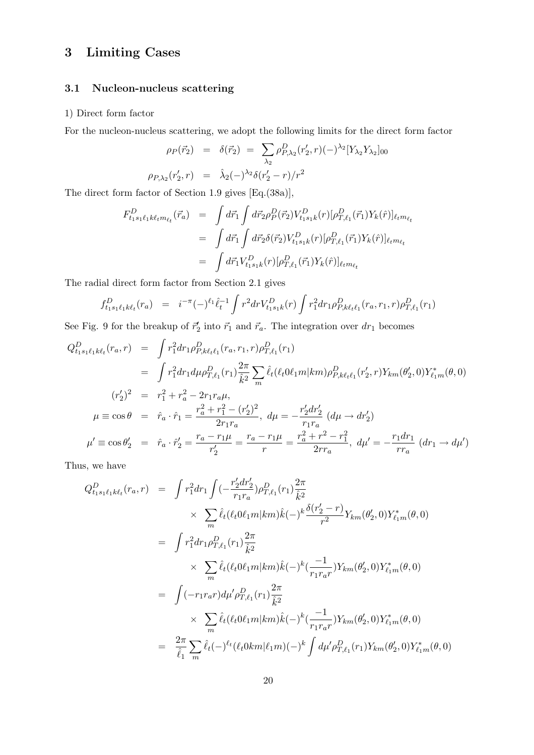## 3 Limiting Cases

## 3.1 Nucleon-nucleus scattering

#### 1) Direct form factor

For the nucleon-nucleus scattering, we adopt the following limits for the direct form factor

$$
\rho_P(\vec{r}_2) = \delta(\vec{r}_2) = \sum_{\lambda_2} \rho_{P,\lambda_2}^D(r'_2, r)(-\lambda_2^2 [Y_{\lambda_2} Y_{\lambda_2}]_{00}
$$
  

$$
\rho_{P,\lambda_2}(r'_2, r) = \hat{\lambda}_2(-\lambda_2^2 \delta(r'_2 - r)/r^2)
$$

The direct form factor of Section 1.9 gives [Eq.(38a)],

$$
F_{t_1s_1\ell_1k\ell_t m_{\ell_t}}^D(\vec{r}_a) = \int d\vec{r}_1 \int d\vec{r}_2 \rho_P^D(\vec{r}_2) V_{t_1s_1k}^D(r) [\rho_{T,\ell_1}^D(\vec{r}_1) Y_k(\hat{r})]_{\ell_t m_{\ell_t}}
$$
  

$$
= \int d\vec{r}_1 \int d\vec{r}_2 \delta(\vec{r}_2) V_{t_1s_1k}^D(r) [\rho_{T,\ell_1}^D(\vec{r}_1) Y_k(\hat{r})]_{\ell_t m_{\ell_t}}
$$
  

$$
= \int d\vec{r}_1 V_{t_1s_1k}^D(r) [\rho_{T,\ell_1}^D(\vec{r}_1) Y_k(\hat{r})]_{\ell_t m_{\ell_t}}
$$

The radial direct form factor from Section 2.1 gives

$$
f_{t_1s_1\ell_1k\ell_t}^D(r_a) = i^{-\pi}(-)^{\ell_1} \hat{\ell}_t^{-1} \int r^2 dr V_{t_1s_1k}^D(r) \int r_1^2 dr_1 \rho_{P,k\ell_t\ell_1}^D(r_a, r_1, r) \rho_{T,\ell_1}^D(r_1)
$$

See Fig. 9 for the breakup of  $\vec{r}_2$  into  $\vec{r}_1$  and  $\vec{r}_a$ . The integration over  $dr_1$  becomes

$$
Q_{t_1s_1\ell_1k\ell_t}^D(r_a, r) = \int r_1^2 dr_1 \rho_{P,k\ell_t\ell_1}^D(r_a, r_1, r) \rho_{T,\ell_1}^D(r_1)
$$
  
\n
$$
= \int r_1^2 dr_1 d\mu \rho_{T,\ell_1}^D(r_1) \frac{2\pi}{\hat{k}^2} \sum_m \hat{\ell}_t(\ell_t 0 \ell_1 m | km) \rho_{P,k\ell_t\ell_1}^D(r_2', r) Y_{km}(\theta_2', 0) Y_{\ell_1 m}^*(\theta, 0)
$$
  
\n
$$
(r_2')^2 = r_1^2 + r_a^2 - 2r_1 r_a \mu,
$$
  
\n
$$
\mu \equiv \cos \theta = \hat{r}_a \cdot \hat{r}_1 = \frac{r_a^2 + r_1^2 - (r_2')^2}{2r_1 r_a}, \ d\mu = -\frac{r_2' dr_2'}{r_1 r_a} (d\mu \to dr_2')
$$
  
\n
$$
\mu' \equiv \cos \theta_2' = \hat{r}_a \cdot \hat{r}_2' = \frac{r_a - r_1 \mu}{r_2'} = \frac{r_a - r_1 \mu}{r} = \frac{r_a^2 + r^2 - r_1^2}{2rr_a}, \ d\mu' = -\frac{r_1 dr_1}{rr_a} (dr_1 \to d\mu')
$$

Thus, we have

$$
Q_{t_1s_1\ell_1k\ell_t}^D(r_a, r) = \int r_1^2 dr_1 \int \left(-\frac{r_2' dr_2'}{r_1 r_a}\right) \rho_{T,\ell_1}^D(r_1) \frac{2\pi}{\hat{k}^2} \times \sum_m \hat{\ell}_t (\ell_t 0 \ell_1 m | km) \hat{k}(-)^k \frac{\delta(r_2' - r)}{r^2} Y_{km}(\theta_2', 0) Y_{\ell_1 m}^*(\theta, 0) = \int r_1^2 dr_1 \rho_{T,\ell_1}^D(r_1) \frac{2\pi}{\hat{k}^2} \times \sum_m \hat{\ell}_t (\ell_t 0 \ell_1 m | km) \hat{k}(-)^k (\frac{-1}{r_1 r_a r}) Y_{km}(\theta_2', 0) Y_{\ell_1 m}^*(\theta, 0) = \int (-r_1 r_a r) d\mu' \rho_{T,\ell_1}^D(r_1) \frac{2\pi}{\hat{k}^2} \times \sum_m \hat{\ell}_t (\ell_t 0 \ell_1 m | km) \hat{k}(-)^k (\frac{-1}{r_1 r_a r}) Y_{km}(\theta_2', 0) Y_{\ell_1 m}^*(\theta, 0) = \frac{2\pi}{\hat{\ell}_1} \sum_m \hat{\ell}_t(-)^{\ell_t} (\ell_t 0 km | \ell_1 m) (-)^k \int d\mu' \rho_{T,\ell_1}^D(r_1) Y_{km}(\theta_2', 0) Y_{\ell_1 m}^*(\theta, 0)
$$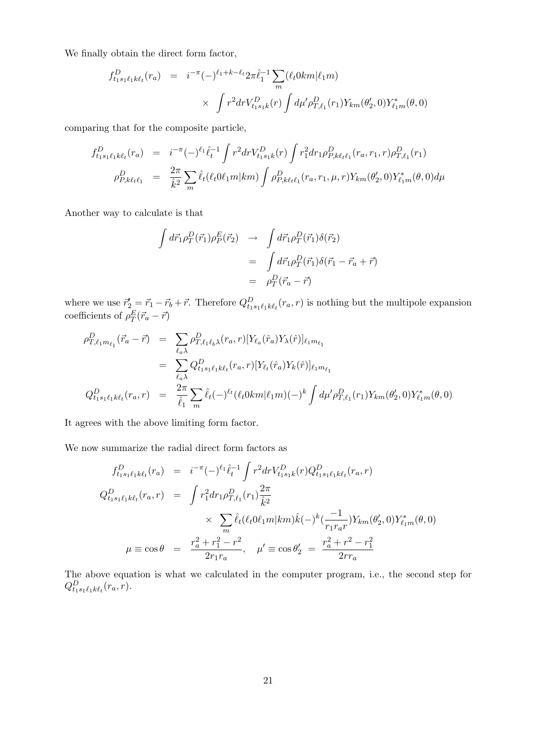We finally obtain the direct form factor,

$$
f_{t_1s_1\ell_1k\ell_t}^D(r_a) = i^{-\pi}(-)^{\ell_1+k-\ell_t} 2\pi \hat{\ell}_1^{-1} \sum_m (\ell_t 0km|\ell_1 m)
$$
  
 
$$
\times \int r^2 dr V_{t_1s_1k}^D(r) \int d\mu' \rho_{T,\ell_1}^D(r_1) Y_{km}(\theta'_2,0) Y_{\ell_1m}^*(\theta,0)
$$

comparing that for the composite particle,

$$
f_{t_1s_1\ell_1k\ell_t}^D(r_a) = i^{-\pi}(-)^{\ell_1} \hat{\ell}_t^{-1} \int r^2 dr V_{t_1s_1k}^D(r) \int r_1^2 dr_1 \rho_{P,k\ell_t\ell_1}^D(r_a, r_1, r) \rho_{T,\ell_1}^D(r_1)
$$
  

$$
\rho_{P,k\ell_t\ell_1}^D = \frac{2\pi}{\hat{k}^2} \sum_m \hat{\ell}_t(\ell_t 0 \ell_1 m | km) \int \rho_{P,k\ell_t\ell_1}^D(r_a, r_1, \mu, r) Y_{km}(\theta_2', 0) Y_{\ell_1m}^*(\theta, 0) d\mu
$$

Another way to calculate is that

$$
\int d\vec{r}_1 \rho_T^D(\vec{r}_1) \rho_P^E(\vec{r}_2) \rightarrow \int d\vec{r}_1 \rho_T^D(\vec{r}_1) \delta(\vec{r}_2)
$$

$$
= \int d\vec{r}_1 \rho_T^D(\vec{r}_1) \delta(\vec{r}_1 - \vec{r}_a + \vec{r})
$$

$$
= \rho_T^D(\vec{r}_a - \vec{r})
$$

where we use  $\vec{r}'_2 = \vec{r}_1 - \vec{r}_b + \vec{r}$ . Therefore  $Q_{t_1 s_1 \ell_1 k \ell_t}^D(r_a, r)$  is nothing but the multipole expansion coefficients of  $\rho_T^E(\vec{r}_a - \vec{r})$ 

$$
\rho_{T,\ell_1 m_{\ell_1}}^D(\vec{r}_a - \vec{r}) = \sum_{\ell_a \lambda} \rho_{T,\ell_1 \ell_b \lambda}^D(r_a, r) [Y_{\ell_a}(\hat{r}_a) Y_{\lambda}(\hat{r})]_{\ell_1 m_{\ell_1}} \n= \sum_{\ell_a \lambda} Q_{t_1 s_1 \ell_1 k \ell_t}^D(r_a, r) [Y_{\ell_t}(\hat{r}_a) Y_k(\hat{r})]_{\ell_1 m_{\ell_1}} \nQ_{t_1 s_1 \ell_1 k \ell_t}^D(r_a, r) = \frac{2\pi}{\hat{\ell}_1} \sum_m \hat{\ell}_t(-)^{\ell_t} (\ell_t 0 km | \ell_1 m) (-)^k \int d\mu' \rho_{T,\ell_1}^D(r_1) Y_{km}(\theta'_2, 0) Y_{\ell_1 m}^*(\theta, 0)
$$

It agrees with the above limiting form factor.

We now summarize the radial direct form factors as

$$
f_{t_1s_1\ell_1k\ell_t}^D(r_a) = i^{-\pi}(-)^{\ell_1}\hat{\ell}_t^{-1} \int r^2 dr V_{t_1s_1k}^D(r) Q_{t_1s_1\ell_1k\ell_t}^D(r_a, r)
$$
  
\n
$$
Q_{t_1s_1\ell_1k\ell_t}^D(r_a, r) = \int r_1^2 dr_1 \rho_{T,\ell_1}^D(r_1) \frac{2\pi}{\hat{k}^2}
$$
  
\n
$$
\times \sum_m \hat{\ell}_t(\ell_t 0\ell_1 m | km) \hat{k}(-)^k (\frac{-1}{r_1r_a r}) Y_{km}(\theta_2', 0) Y_{\ell_1m}^*(\theta, 0)
$$
  
\n
$$
\mu \equiv \cos \theta = \frac{r_a^2 + r_1^2 - r^2}{2r_1r_a}, \quad \mu' \equiv \cos \theta_2' = \frac{r_a^2 + r^2 - r_1^2}{2rr_a}
$$

The above equation is what we calculated in the computer program, i.e., the second step for  $Q_{t_1s_1\ell_1k\ell_t}^D(r_a, \overline{r}).$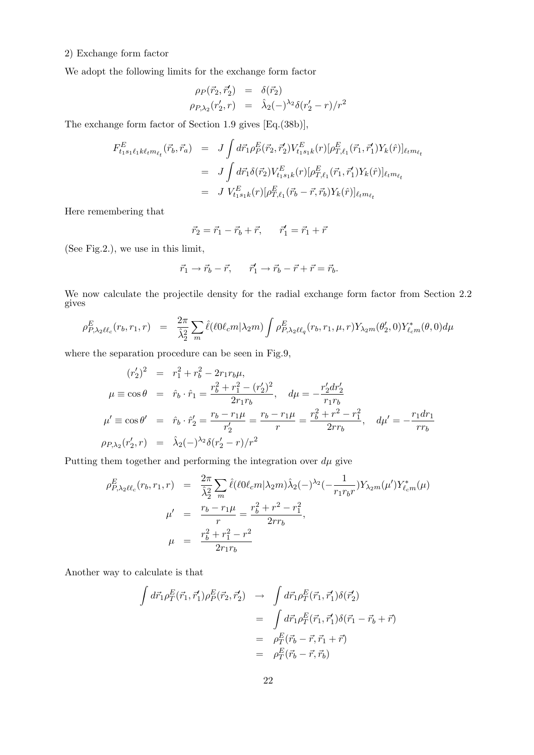#### 2) Exchange form factor

We adopt the following limits for the exchange form factor

$$
\rho_P(\vec{r}_2, \vec{r}_2') = \delta(\vec{r}_2) \n\rho_{P, \lambda_2}(r_2', r) = \hat{\lambda}_2(-)^{\lambda_2} \delta(r_2' - r)/r^2
$$

The exchange form factor of Section 1.9 gives [Eq.(38b)],

$$
F_{t_1s_1\ell_1k\ell_1m_{\ell_t}}^E(\vec{r}_b, \vec{r}_a) = J \int d\vec{r}_1 \rho_P^E(\vec{r}_2, \vec{r}'_2) V_{t_1s_1k}^E(r) [\rho_{T,\ell_1}^E(\vec{r}_1, \vec{r}'_1) Y_k(\hat{r})]_{\ell_t m_{\ell_t}}
$$
  
\n
$$
= J \int d\vec{r}_1 \delta(\vec{r}_2) V_{t_1s_1k}^E(r) [\rho_{T,\ell_1}^E(\vec{r}_1, \vec{r}'_1) Y_k(\hat{r})]_{\ell_t m_{\ell_t}}
$$
  
\n
$$
= J V_{t_1s_1k}^E(r) [\rho_{T,\ell_1}^E(\vec{r}_b - \vec{r}, \vec{r}_b) Y_k(\hat{r})]_{\ell_t m_{\ell_t}}
$$

Here remembering that

$$
\vec{r}_2 = \vec{r}_1 - \vec{r}_b + \vec{r}, \qquad \vec{r}'_1 = \vec{r}_1 + \vec{r}
$$

(See Fig.2.), we use in this limit,

$$
\vec{r}_1 \rightarrow \vec{r}_b - \vec{r}, \qquad \vec{r}'_1 \rightarrow \vec{r}_b - \vec{r} + \vec{r} = \vec{r}_b.
$$

We now calculate the projectile density for the radial exchange form factor from Section 2.2 gives

$$
\rho^E_{P,\lambda_2\ell\ell_c}(r_b,r_1,r) = \frac{2\pi}{\hat{\lambda}_2^2} \sum_m \hat{\ell}(\ell 0\ell_c m|\lambda_2 m) \int \rho^E_{P,\lambda_2\ell\ell_q}(r_b,r_1,\mu,r) Y_{\lambda_2m}(\theta'_2,0) Y^*_{\ell_c m}(\theta,0) d\mu
$$

where the separation procedure can be seen in Fig.9,

$$
(r'_2)^2 = r_1^2 + r_b^2 - 2r_1r_b\mu,
$$
  
\n
$$
\mu \equiv \cos \theta = \hat{r}_b \cdot \hat{r}_1 = \frac{r_b^2 + r_1^2 - (r'_2)^2}{2r_1r_b}, \quad d\mu = -\frac{r'_2 dr'_2}{r_1r_b}
$$
  
\n
$$
\mu' \equiv \cos \theta' = \hat{r}_b \cdot \hat{r}'_2 = \frac{r_b - r_1\mu}{r'_2} = \frac{r_b - r_1\mu}{r} = \frac{r_b^2 + r^2 - r_1^2}{2rr_b}, \quad d\mu' = -\frac{r_1 dr_1}{rr_b}
$$
  
\n
$$
\rho_{P, \lambda_2}(r'_2, r) = \hat{\lambda}_2(-)^{\lambda_2} \delta(r'_2 - r)/r^2
$$

Putting them together and performing the integration over  $d\mu$  give

$$
\rho_{P,\lambda_2\ell\ell_c}^E(r_b, r_1, r) = \frac{2\pi}{\hat{\lambda}_2^2} \sum_m \hat{\ell}(\ell 0 \ell_c m | \lambda_2 m) \hat{\lambda}_2(-)^{\lambda_2} (-\frac{1}{r_1 r_b r}) Y_{\lambda_2 m}(\mu') Y_{\ell_c m}^*(\mu)
$$

$$
\mu' = \frac{r_b - r_1 \mu}{r} = \frac{r_b^2 + r^2 - r_1^2}{2rr_b},
$$

$$
\mu = \frac{r_b^2 + r_1^2 - r^2}{2r_1 r_b}
$$

Another way to calculate is that

$$
\int d\vec{r}_1 \rho_T^E(\vec{r}_1, \vec{r}'_1) \rho_P^E(\vec{r}_2, \vec{r}'_2) \rightarrow \int d\vec{r}_1 \rho_T^E(\vec{r}_1, \vec{r}'_1) \delta(\vec{r}'_2)
$$
\n
$$
= \int d\vec{r}_1 \rho_T^E(\vec{r}_1, \vec{r}'_1) \delta(\vec{r}_1 - \vec{r}_b + \vec{r})
$$
\n
$$
= \rho_T^E(\vec{r}_b - \vec{r}, \vec{r}_1 + \vec{r})
$$
\n
$$
= \rho_T^E(\vec{r}_b - \vec{r}, \vec{r}_b)
$$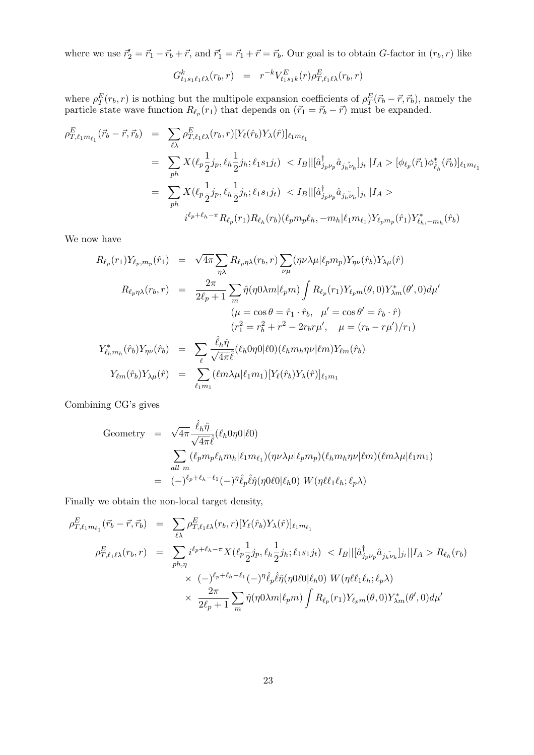where we use  $\vec{r}'_2 = \vec{r}_1 - \vec{r}_b + \vec{r}$ , and  $\vec{r}'_1 = \vec{r}_1 + \vec{r} = \vec{r}_b$ . Our goal is to obtain *G*-factor in  $(r_b, r)$  like

$$
G_{t_1s_1\ell_1\ell\lambda}^k(r_b,r) = r^{-k} V_{t_1s_1k}^E(r) \rho_{T,\ell_1\ell\lambda}^E(r_b,r)
$$

where  $\rho_T^E(r_b, r)$  is nothing but the multipole expansion coefficients of  $\rho_T^E(\vec{r}_b - \vec{r}, \vec{r}_b)$ , namely the particle state wave function  $R_{\ell_p}(r_1)$  that depends on  $(\vec{r}_1 = \vec{r}_b - \vec{r})$  must be expanded.

$$
\rho_{T,\ell_1 m_{\ell_1}}^E(\vec{r}_b - \vec{r}, \vec{r}_b) = \sum_{\ell \lambda} \rho_{T,\ell_1 \ell \lambda}^E(r_b, r) [Y_{\ell}(\hat{r}_b) Y_{\lambda}(\hat{r})]_{\ell_1 m_{\ell_1}} \n= \sum_{ph} X(\ell_p \frac{1}{2} j_p, \ell_h \frac{1}{2} j_h; \ell_1 s_1 j_t) < I_B ||[\hat{a}_{j_p \nu_p}^{\dagger} \hat{a}_{j_h \nu_h}]_{j_t} || I_A > [\phi_{\ell_p}(\vec{r}_1) \phi_{\tilde{\ell}_h}^*(\vec{r}_b)]_{\ell_1 m_{\ell_1}} \n= \sum_{ph} X(\ell_p \frac{1}{2} j_p, \ell_h \frac{1}{2} j_h; \ell_1 s_1 j_t) < I_B ||[\hat{a}_{j_p \nu_p}^{\dagger} \hat{a}_{j_h \nu_h}]_{j_t} || I_A > \n= i^{\ell_p + \ell_h - \pi} R_{\ell_p}(r_1) R_{\ell_h}(r_b) (\ell_p m_p \ell_h, -m_h | \ell_1 m_{\ell_1}) Y_{\ell_p m_p}(\hat{r}_1) Y_{\ell_h, -m_h}^*(\hat{r}_b)
$$

We now have

$$
R_{\ell_p}(r_1)Y_{\ell_p,m_p}(\hat{r}_1) = \sqrt{4\pi} \sum_{\eta\lambda} R_{\ell_p\eta\lambda}(r_b, r) \sum_{\nu\mu} (\eta\nu\lambda\mu |\ell_p m_p) Y_{\eta\nu}(\hat{r}_b) Y_{\lambda\mu}(\hat{r})
$$
  
\n
$$
R_{\ell_p\eta\lambda}(r_b, r) = \frac{2\pi}{2\ell_p + 1} \sum_m \hat{\eta}(\eta 0\lambda m |\ell_p m) \int R_{\ell_p}(r_1) Y_{\ell_p m}(\theta, 0) Y_{\lambda m}^*(\theta', 0) d\mu'
$$
  
\n
$$
(\mu = \cos \theta = \hat{r}_1 \cdot \hat{r}_b, \quad \mu' = \cos \theta' = \hat{r}_b \cdot \hat{r})
$$
  
\n
$$
(r_1^2 = r_b^2 + r^2 - 2r_b r \mu', \quad \mu = (r_b - r\mu')/r_1)
$$
  
\n
$$
Y_{\ell_n m_h}^*(\hat{r}_b) Y_{\eta\nu}(\hat{r}_b) = \sum_{\ell} \frac{\hat{\ell}_h \hat{\eta}}{\sqrt{4\pi} \hat{\ell}} (\hat{\ell}_h 0\eta 0 |\ell 0) (\hat{\ell}_h m_h \eta \nu |\ell m) Y_{\ell m}(\hat{r}_b)
$$
  
\n
$$
Y_{\ell m}(\hat{r}_b) Y_{\lambda\mu}(\hat{r}) = \sum_{\ell_1 m_1} (\ell m \lambda \mu |\ell_1 m_1) [Y_{\ell}(\hat{r}_b) Y_{\lambda}(\hat{r})]_{\ell_1 m_1}
$$

Combining CG's gives

Geometry = 
$$
\sqrt{4\pi} \frac{\hat{\ell}_h \hat{\eta}}{\sqrt{4\pi} \hat{\ell}} (\ell_h 0\eta 0|\ell 0)
$$
  
\n
$$
\sum_{all \ m} (\ell_p m_p \ell_h m_h | \ell_1 m_{\ell_1}) (\eta \nu \lambda \mu | \ell_p m_p) (\ell_h m_h \eta \nu | \ell m) (\ell m \lambda \mu | \ell_1 m_1)
$$
\n=  $(-)^{\ell_p + \ell_h - \ell_1} (-)^{\eta} \hat{\ell}_p \hat{\ell} \hat{\eta} (\eta 0 \ell 0 | \ell_h 0) W (\eta \ell \ell_1 \ell_h; \ell_p \lambda)$ 

Finally we obtain the non-local target density,

$$
\rho_{T,\ell_1 m_{\ell_1}}^E(\vec{r}_b - \vec{r}, \vec{r}_b) = \sum_{\ell \lambda} \rho_{T,\ell_1 \ell \lambda}^E(r_b, r) [Y_{\ell}(\hat{r}_b) Y_{\lambda}(\hat{r})]_{\ell_1 m_{\ell_1}} \n\rho_{T,\ell_1 \ell \lambda}^E(r_b, r) = \sum_{ph,\eta} i^{\ell_p + \ell_h - \pi} X(\ell_p \frac{1}{2} j_p, \ell_h \frac{1}{2} j_h; \ell_1 s_1 j_t) < I_B ||[\hat{a}_{j_p \nu_p}^{\dagger} \hat{a}_{j_h \nu_h}]_{j_t}||I_A > R_{\ell_h}(r_b) \n\times (-)^{\ell_p + \ell_h - \ell_1} (-)^{\eta} \hat{\ell}_p \hat{\ell} \hat{\eta}(\eta 0 \ell 0 | \ell_h 0) W(\eta \ell_1 \ell_h; \ell_p \lambda) \n\times \frac{2\pi}{2\ell_p + 1} \sum_m \hat{\eta}(\eta 0 \lambda m | \ell_p m) \int R_{\ell_p}(r_1) Y_{\ell_p m}(\theta, 0) Y_{\lambda m}^*(\theta', 0) d\mu'
$$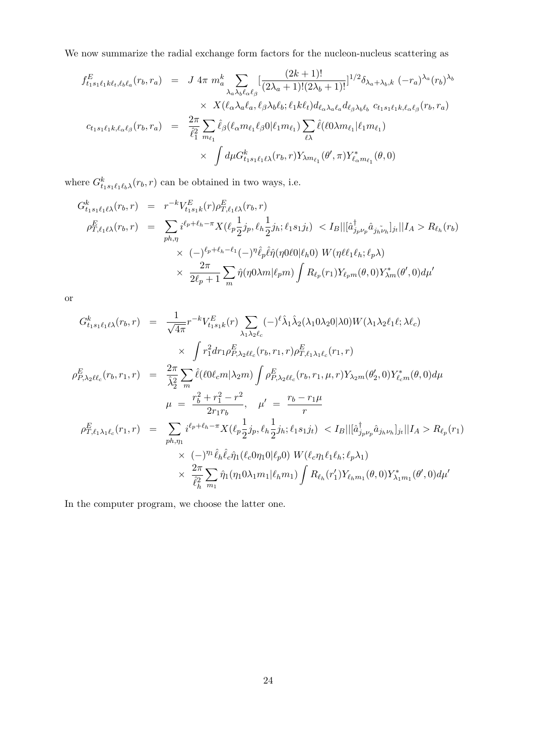We now summarize the radial exchange form factors for the nucleon-nucleus scattering as

$$
f_{t_1s_1\ell_1k\ell_t,\ell_b\ell_a}(r_b, r_a) = J 4\pi m_a^k \sum_{\lambda_a\lambda_b\ell_{\alpha}\ell_{\beta}} \left[ \frac{(2k+1)!}{(2\lambda_a+1)!(2\lambda_b+1)!} \right]^{1/2} \delta_{\lambda_a+\lambda_b,k} (-r_a)^{\lambda_a} (r_b)^{\lambda_b}
$$
  
 
$$
\times X(\ell_a\lambda_a\ell_a, \ell_\beta\lambda_b\ell_b; \ell_1k\ell_t) d_{\ell_a\lambda_a\ell_a} d_{\ell_\beta\lambda_b\ell_b} c_{t_1s_1\ell_1k,\ell_a\ell_\beta}(r_b, r_a)
$$
  

$$
c_{t_1s_1\ell_1k,\ell_a\ell_\beta}(r_b, r_a) = \frac{2\pi}{\hat{\ell}_1^2} \sum_{m_{\ell_1}} \hat{\ell}_{\beta}(\ell_a m_{\ell_1}\ell_\beta 0 | \ell_1 m_{\ell_1}) \sum_{\ell\lambda} \hat{\ell}(\ell_0\lambda m_{\ell_1} | \ell_1 m_{\ell_1})
$$
  

$$
\times \int d\mu G_{t_1s_1\ell_1\ell\lambda}^k(r_b, r) Y_{\lambda m_{\ell_1}}(\theta', \pi) Y_{\ell_a m_{\ell_1}}^*(\theta, 0)
$$

where  $G_{t_1s_1\ell_1\ell_b\lambda}^k(r_b, r)$  can be obtained in two ways, i.e.

$$
G_{t_1s_1\ell_1\ell\lambda}^k(r_b, r) = r^{-k} V_{t_1s_1k}^E(r) \rho_{T,\ell_1\ell\lambda}^E(r_b, r)
$$
  
\n
$$
\rho_{T,\ell_1\ell\lambda}^E(r_b, r) = \sum_{ph,\eta} i^{\ell_p + \ell_h - \pi} X(\ell_p \frac{1}{2} j_p, \ell_h \frac{1}{2} j_h; \ell_1 s_1 j_t) < I_B ||[\hat{a}_{j_p\nu_p}^{\dagger} \hat{a}_{j_h\tilde{\nu}_h}]_{j_t}||I_A > R_{\ell_h}(r_b)
$$
  
\n
$$
\times (-)^{\ell_p + \ell_h - \ell_1} (-)^{\eta} \hat{\ell}_p \hat{\ell} \hat{\eta}(\eta 0 \ell 0 | \ell_h 0) W(\eta \ell \ell_1 \ell_h; \ell_p \lambda)
$$
  
\n
$$
\times \frac{2\pi}{2\ell_p + 1} \sum_m \hat{\eta}(\eta 0 \lambda m | \ell_p m) \int R_{\ell_p}(r_1) Y_{\ell_p m}(\theta, 0) Y_{\lambda m}^*(\theta', 0) d\mu'
$$

or

$$
G_{t_1s_1\ell_1\ell\lambda}^k(r_b, r) = \frac{1}{\sqrt{4\pi}} r^{-k} V_{t_1s_1k}^E(r) \sum_{\lambda_1\lambda_2\ell_c} (-)^{\ell} \hat{\lambda}_1 \hat{\lambda}_2 (\lambda_1 0 \lambda_2 0 | \lambda 0) W(\lambda_1 \lambda_2 \ell_1 \ell; \lambda \ell_c)
$$
  
\n
$$
\times \int r_1^2 dr_1 \rho_{P,\lambda_2\ell\ell_c}^E(r_b, r_1, r) \rho_{T,\ell_1\lambda_1\ell_c}^E(r_1, r)
$$
  
\n
$$
\rho_{P,\lambda_2\ell\ell_c}^E(r_b, r_1, r) = \frac{2\pi}{\hat{\lambda}_2^2} \sum_m \hat{\ell}(\ell 0 \ell_c m | \lambda_2 m) \int \rho_{P,\lambda_2\ell\ell_c}^E(r_b, r_1, \mu, r) Y_{\lambda_2 m}(\theta_2', 0) Y_{\ell_c m}^*(\theta, 0) d\mu
$$
  
\n
$$
\mu = \frac{r_b^2 + r_1^2 - r^2}{2r_1 r_b}, \quad \mu' = \frac{r_b - r_1 \mu}{r}
$$
  
\n
$$
\rho_{T,\ell_1\lambda_1\ell_c}^E(r_1, r) = \sum_{ph,\eta_1} i^{\ell_p + \ell_h - \pi} X(\ell_p \frac{1}{2} j_p, \ell_h \frac{1}{2} j_h; \ell_1 s_1 j_t) < I_B || [\hat{a}_{j_p\nu_p}^{\dagger} \hat{a}_{j_h\nu_h}]_{j_t} || I_A > R_{\ell_p}(r_1)
$$
  
\n
$$
\times (-)^{\eta_1} \hat{\ell}_h \hat{\ell}_c \hat{\eta}_1(\ell_c 0 \eta_1 0 | \ell_p 0) W(\ell_c \eta_1 \ell_1 \ell_h; \ell_p \lambda_1)
$$
  
\n
$$
\times \frac{2\pi}{\hat{\ell}_h^2} \sum_{m_1} \hat{\eta}_1(\eta_1 0 \lambda_1 m_1 | \ell_h m_1) \int R_{\ell_h}(r'_1) Y_{\ell_h m_1}(\theta, 0) Y_{\lambda_1 m_1}^*(\theta', 0) d\mu'
$$

In the computer program, we choose the latter one.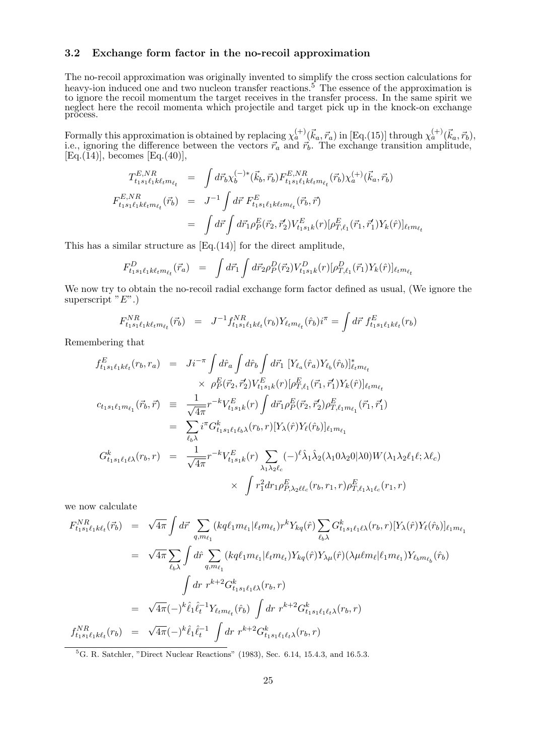#### 3.2 Exchange form factor in the no-recoil approximation

The no-recoil approximation was originally invented to simplify the cross section calculations for heavy-ion induced one and two nucleon transfer reactions.<sup>5</sup> The essence of the approximation is to ignore the recoil momentum the target receives in the transfer process. In the same spirit we neglect here the recoil momenta which projectile and target pick up in the knock-on exchange process.

Formally this approximation is obtained by replacing  $\chi_a^{(+)}(\vec{k}_a, \vec{r}_a)$  in [Eq.(15)] through  $\chi_a^{(+)}(\vec{k}_a, \vec{r}_b)$ , i.e., ignoring the difference between the vectors  $\vec{r}_a$  and  $\vec{r}_b$ . The exchange transition amplitude,  $[Eq.(\tilde{1}4)]$ , becomes  $[Eq.(\tilde{4}0)]$ ,

$$
T_{t_1s_1\ell_1k\ell_t m_{\ell_t}}^{E,NR} = \int d\vec{r}_b \chi_b^{(-)*}(\vec{k}_b, \vec{r}_b) F_{t_1s_1\ell_1k\ell_t m_{\ell_t}}^{E,NR} (\vec{r}_b) \chi_a^{(+)}(\vec{k}_a, \vec{r}_b)
$$
  
\n
$$
F_{t_1s_1\ell_1k\ell_t m_{\ell_t}}^{E,NR} (\vec{r}_b) = J^{-1} \int d\vec{r} F_{t_1s_1\ell_1k\ell_t m_{\ell_t}}^{E} (\vec{r}_b, \vec{r})
$$
  
\n
$$
= \int d\vec{r} \int d\vec{r}_1 \rho_P^{E}(\vec{r}_2, \vec{r}_2') V_{t_1s_1k}^{E} (r) [\rho_{T,\ell_1}^{E}(\vec{r}_1, \vec{r}_1') Y_k(\hat{r})]_{\ell_t m_{\ell_t}}
$$

This has a similar structure as [Eq.(14)] for the direct amplitude,

$$
F_{t_1s_1\ell_1k\ell_t m_{\ell_t}}^D(\vec{r}_a) = \int d\vec{r}_1 \int d\vec{r}_2 \rho_P^D(\vec{r}_2) V_{t_1s_1k}^D(r) [\rho_{T,\ell_1}^D(\vec{r}_1) Y_k(\hat{r})]_{\ell_t m_{\ell_t}}
$$

We now try to obtain the no-recoil radial exchange form factor defined as usual, (We ignore the superscript  $E^"$ .)

$$
F_{t_1s_1\ell_1k\ell_1m_{\ell_t}}^{NR}(\vec{r}_b) = J^{-1}f_{t_1s_1\ell_1k\ell_t}^{NR}(r_b)Y_{\ell_t m_{\ell_t}}(\hat{r}_b)i^{\pi} = \int d\vec{r} \; f_{t_1s_1\ell_1k\ell_t}^{E}(r_b)
$$

Remembering that

$$
f_{t_1s_1\ell_1k\ell_t}^E(r_b, r_a) = Ji^{-\pi} \int d\hat{r}_a \int d\hat{r}_b \int d\vec{r}_1 \ [Y_{\ell_a}(\hat{r}_a)Y_{\ell_b}(\hat{r}_b)]_{\ell_t m_{\ell_t}}^*
$$
  
\n
$$
\times \ \rho_P^E(\vec{r}_2, \vec{r}_2) V_{t_1s_1k}^E(r) [\rho_{T,\ell_1}^E(\vec{r}_1, \vec{r}_1')Y_k(\hat{r})]_{\ell_t m_{\ell_t}}
$$
  
\n
$$
c_{t_1s_1\ell_1m_{\ell_1}}(\vec{r}_b, \vec{r}) = \frac{1}{\sqrt{4\pi}} r^{-k} V_{t_1s_1k}^E(r) \int d\vec{r}_1 \rho_P^E(\vec{r}_2, \vec{r}_2') \rho_{T,\ell_1m_{\ell_1}}^E(\vec{r}_1, \vec{r}_1')
$$
  
\n
$$
= \sum_{\ell_b\lambda} i^{\pi} G_{t_1s_1\ell_1\ell_b\lambda}^k(r_b, r) [Y_{\lambda}(\hat{r})Y_{\ell}(\hat{r}_b)]_{\ell_1m_{\ell_1}}
$$
  
\n
$$
G_{t_1s_1\ell_1\ell\lambda}^k(r_b, r) = \frac{1}{\sqrt{4\pi}} r^{-k} V_{t_1s_1k}^E(r) \sum_{\lambda_1\lambda_2\ell_c} (-)^{\ell} \hat{\lambda}_1 \hat{\lambda}_2(\lambda_10\lambda_20|\lambda0) W(\lambda_1\lambda_2\ell_1\ell; \lambda\ell_c)
$$
  
\n
$$
\times \int r_1^2 dr_1 \rho_{P,\lambda_2\ell\ell_c}^E(r_b, r_1, r) \rho_{T,\ell_1\lambda_1\ell_c}^E(r_1, r)
$$

we now calculate

$$
F_{t_1s_1\ell_1k\ell_t}^{NR}(\vec{r}_b) = \sqrt{4\pi} \int d\vec{r} \sum_{q,m_{\ell_1}} (kq\ell_1m_{\ell_1}|\ell_t m_{\ell_t}) r^k Y_{kq}(\hat{r}) \sum_{\ell_b \lambda} G_{t_1s_1\ell_1\ell\lambda}^k(r_b, r) [Y_{\lambda}(\hat{r})Y_{\ell}(\hat{r}_b)]_{\ell_1m_{\ell_1}} = \sqrt{4\pi} \sum_{\ell_b \lambda} \int d\hat{r} \sum_{q,m_{\ell_1}} (kq\ell_1m_{\ell_1}|\ell_t m_{\ell_t}) Y_{kq}(\hat{r}) Y_{\lambda\mu}(\hat{r}) (\lambda \mu \ell m_{\ell}|\ell_1 m_{\ell_1}) Y_{\ell_b m_{\ell_b}}(\hat{r}_b) - \int d\vec{r} r^{k+2} G_{t_1s_1\ell_1\ell\lambda}^k(r_b, r) = \sqrt{4\pi} (-)^k \hat{\ell}_1 \hat{\ell}_t^{-1} Y_{\ell_t m_{\ell_t}}(\hat{r}_b) \int dr r^{k+2} G_{t_1s_1\ell_1\ell\lambda}^k(r_b, r) f_{t_1s_1\ell_1k\ell_t}^{NR}(r_b) = \sqrt{4\pi} (-)^k \hat{\ell}_1 \hat{\ell}_t^{-1} \int dr r^{k+2} G_{t_1s_1\ell_1\ell\lambda}^k(r_b, r)
$$

 ${}^{5}$ G. R. Satchler, "Direct Nuclear Reactions" (1983), Sec. 6.14, 15.4.3, and 16.5.3.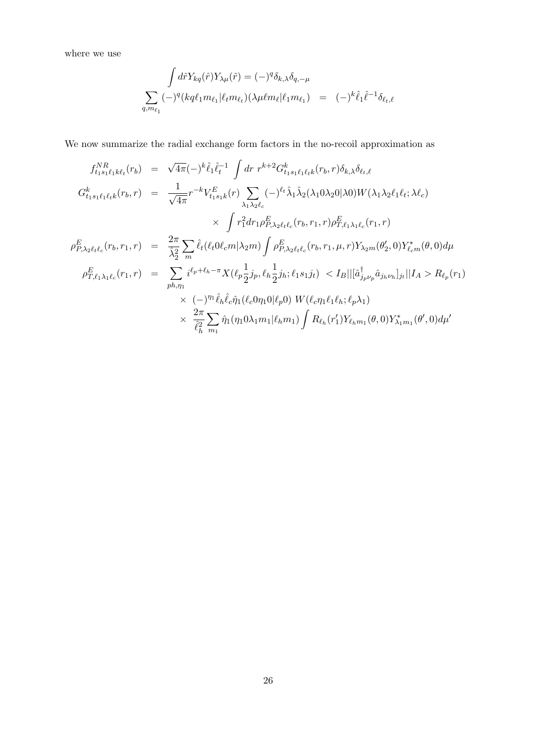where we use

$$
\int d\hat{r} Y_{kq}(\hat{r}) Y_{\lambda\mu}(\hat{r}) = (-)^q \delta_{k,\lambda} \delta_{q,-\mu}
$$
  

$$
\sum_{q,m_{\ell_1}} (-)^q (kq\ell_1 m_{\ell_1}) (\ell_t m_{\ell_t}) (\lambda \mu \ell m_{\ell} | \ell_1 m_{\ell_1}) = (-)^k \hat{\ell}_1 \hat{\ell}^{-1} \delta_{\ell_t,\ell}
$$

We now summarize the radial exchange form factors in the no-recoil approximation as

$$
f_{t_1s_1\ell_1k\ell_t}^{NR}(r_b) = \sqrt{4\pi}(-)^k \hat{\ell}_1 \hat{\ell}_t^{-1} \int dr \ r^{k+2} G_{t_1s_1\ell_1\ell_t}^k(r_b, r) \delta_{k,\lambda} \delta_{\ell_t,\ell}
$$
  
\n
$$
G_{t_1s_1\ell_1\ell_t}^k(r_b, r) = \frac{1}{\sqrt{4\pi}} r^{-k} V_{t_1s_1k}^E(r) \sum_{\lambda_1\lambda_2\ell_c} (-)^{\ell_t} \hat{\lambda}_1 \hat{\lambda}_2(\lambda_1 0 \lambda_2 0 | \lambda 0) W(\lambda_1 \lambda_2 \ell_1 \ell_t; \lambda \ell_c)
$$
  
\n
$$
\times \int r_1^2 dr_1 \rho_{P,\lambda_2\ell_t\ell_c}^E(r_b, r_1, r) \rho_{T,\ell_1\lambda_1\ell_c}^E(r_1, r)
$$
  
\n
$$
\rho_{P,\lambda_2\ell_t\ell_c}^E(r_b, r_1, r) = \frac{2\pi}{\hat{\lambda}_2^2} \sum_m \hat{\ell}_t(\ell_t 0 \ell_c m | \lambda_2 m) \int \rho_{P,\lambda_2\ell_t\ell_c}^E(r_b, r_1, \mu, r) Y_{\lambda_2m}(\theta_2', 0) Y_{\ell_c m}^*(\theta, 0) d\mu
$$
  
\n
$$
\rho_{T,\ell_1\lambda_1\ell_c}^k(r_1, r) = \sum_{p h, \eta_1} i^{\ell_p + \ell_h - \pi} X(\ell_p \frac{1}{2} j_p, \ell_h \frac{1}{2} j_h; \ell_1 s_1 j_t) \langle I_B || [\hat{a}_{j_p\nu_p}^{\dagger} \hat{a}_{j_h\nu_h}]_{j_t} || I_A \rangle R_{\ell_p}(r_1)
$$
  
\n
$$
\times (-)^{\eta_1} \hat{\ell}_h \hat{\ell}_c \hat{\eta}_1(\ell_c 0 \eta_1 0 | \ell_p 0) W(\ell_c \eta_1 \ell_1 \ell_h; \ell_p \lambda_1)
$$
  
\n
$$
\times \frac{2\pi}{\hat{\ell}_h^2} \sum_{m_1} \hat{\eta}_1(\eta_1 0 \lambda_1 m_1 | \ell_h m_1) \int R_{\ell_h}(r_1') Y_{\ell_h m
$$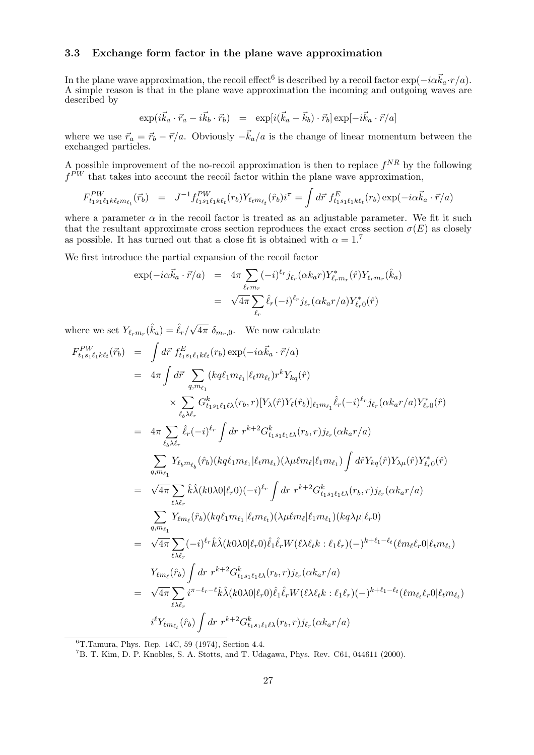#### 3.3 Exchange form factor in the plane wave approximation

In the plane wave approximation, the recoil effect<sup>6</sup> is described by a recoil factor  $\exp(-i\alpha \vec{k}_a \cdot r/a)$ . A simple reason is that in the plane wave approximation the incoming and outgoing waves are described by

$$
\exp(i\vec{k}_a \cdot \vec{r}_a - i\vec{k}_b \cdot \vec{r}_b) = \exp[i(\vec{k}_a - \vec{k}_b) \cdot \vec{r}_b] \exp[-i\vec{k}_a \cdot \vec{r}/a]
$$

where we use  $\vec{r}_a = \vec{r}_b - \vec{r}/a$ . Obviously  $-\vec{k}_a/a$  is the change of linear momentum between the exchanged particles.

A possible improvement of the no-recoil approximation is then to replace  $f^{NR}$  by the following  $f^{PW}$  that takes into account the recoil factor within the plane wave approximation,

$$
F_{t_1s_1\ell_1k\ell_t m_{\ell_t}}^{PW}(\vec{r}_b) = J^{-1} f_{t_1s_1\ell_1k\ell_t}^{PW}(r_b) Y_{\ell_t m_{\ell_t}}(\hat{r}_b) i^{\pi} = \int d\vec{r} \; f_{t_1s_1\ell_1k\ell_t}^{E}(r_b) \exp(-i\alpha \vec{k}_a \cdot \vec{r}/a)
$$

where a parameter  $\alpha$  in the recoil factor is treated as an adjustable parameter. We fit it such that the resultant approximate cross section reproduces the exact cross section  $\sigma(E)$  as closely as possible. It has turned out that a close fit is obtained with  $\alpha = 1$ .<sup>7</sup>

We first introduce the partial expansion of the recoil factor

$$
\exp(-i\alpha \vec{k}_a \cdot \vec{r}/a) = 4\pi \sum_{\ell_r m_r} (-i)^{\ell_r} j_{\ell_r} (\alpha k_a r) Y_{\ell_r m_r}^*(\hat{r}) Y_{\ell_r m_r}(\hat{k}_a)
$$

$$
= \sqrt{4\pi} \sum_{\ell_r} \hat{\ell}_r (-i)^{\ell_r} j_{\ell_r} (\alpha k_a r/a) Y_{\ell_r 0}^*(\hat{r})
$$

where we set  $Y_{\ell_r m_r}(\hat{k}_a) = \hat{\ell}_r/\sqrt{\frac{2}{\hat{\ell}_r}}$  $\overline{4\pi} \, \delta_{m_r,0}$ . We now calculate

$$
F_{t_1s_1\ell_1k\ell_t}^{PW}(\vec{r_b}) = \int d\vec{r} f_{t_1s_1\ell_1k\ell_t}^{E}(\vec{r_b}) \exp(-i\alpha \vec{k}_a \cdot \vec{r}/a)
$$
  
\n
$$
= 4\pi \int d\vec{r} \sum_{q,m_{\ell_1}} (kq\ell_1m_{\ell_1}|\ell_t m_{\ell_t}) r^k Y_{kq}(\hat{r})
$$
  
\n
$$
\times \sum_{\ell_b\lambda\ell_r} G_{t_1s_1\ell_1\ell\lambda}^{k}(\vec{r_b},\vec{r}) [Y_{\lambda}(\hat{r}) Y_{\ell}(\hat{r_b})]_{\ell_1m_{\ell_1}} \hat{\ell}_r(-i)^{\ell_r} j_{\ell_r}(\alpha k_a r/a) Y_{\ell_r,0}^*(\hat{r})
$$
  
\n
$$
= 4\pi \sum_{\ell_b\lambda\ell_r} \hat{\ell}_r(-i)^{\ell_r} \int dr r^{k+2} G_{t_1s_1\ell_1\ell\lambda}^{k}(\vec{r_b},\vec{r}) j_{\ell_r}(\alpha k_a r/a)
$$
  
\n
$$
\sum_{q,m_{\ell_1}} Y_{\ell_b m_{\ell_b}}(\hat{r_b}) (kq\ell_1m_{\ell_1}|\ell_t m_{\ell_t}) (\lambda \mu \ell m_{\ell}|\ell_1m_{\ell_1}) \int d\hat{r} Y_{kq}(\hat{r}) Y_{\lambda\mu}(\hat{r}) Y_{\ell_r,0}^*(\hat{r})
$$
  
\n
$$
= \sqrt{4\pi} \sum_{\ell\lambda\ell_r} \hat{k} \hat{\lambda} (k0\lambda 0|\ell_r 0) (-i)^{\ell_r} \int dr r^{k+2} G_{t_1s_1\ell_1\lambda}^k(\vec{r_b},\vec{r}) j_{\ell_r}(\alpha k_a r/a)
$$
  
\n
$$
\sum_{q,m_{\ell_1}} Y_{\ell m_{\ell}}(\hat{r_b}) (kq\ell_1m_{\ell_1}|\ell_t m_{\ell_t}) (\lambda \mu \ell m_{\ell}|\ell_1m_{\ell_1}) (kq\lambda \mu|\ell_r 0)
$$
  
\n
$$
= \sqrt{4\pi} \sum_{\ell\lambda\ell_r} (-i)^{\ell_r} \hat{k} \hat{\lambda} (k
$$

 ${}^{6}$ T.Tamura, Phys. Rep. 14C, 59 (1974), Section 4.4.

<sup>7</sup>B. T. Kim, D. P. Knobles, S. A. Stotts, and T. Udagawa, Phys. Rev. C61, 044611 (2000).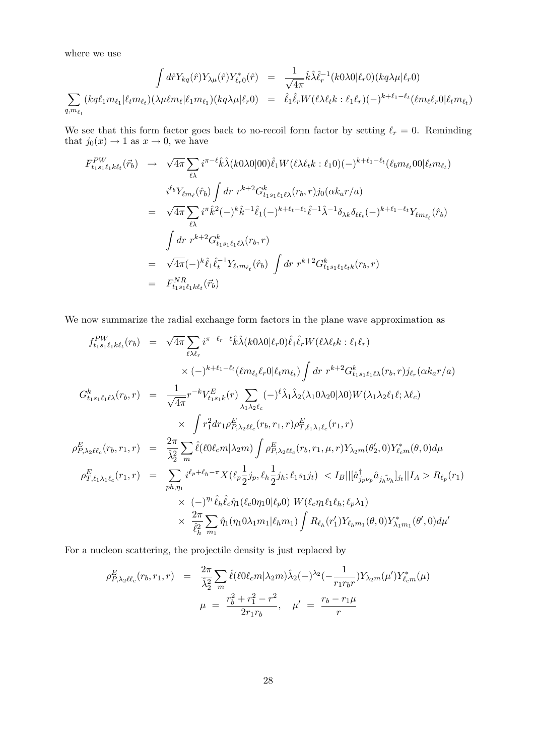where we use

$$
\int d\hat{r} Y_{kq}(\hat{r}) Y_{\lambda\mu}(\hat{r}) Y_{\ell_r 0}^*(\hat{r}) = \frac{1}{\sqrt{4\pi}} \hat{k} \hat{\lambda} \hat{\ell}_r^{-1}(k0\lambda 0 | \ell_r 0)(kq\lambda\mu | \ell_r 0)
$$

$$
\sum_{q,m_{\ell_1}} (kq\ell_1 m_{\ell_1} | \ell_t m_{\ell_t}) (\lambda \mu \ell m_{\ell} | \ell_1 m_{\ell_1}) (kq\lambda\mu | \ell_r 0) = \hat{\ell}_1 \hat{\ell}_r W(\ell \lambda \ell_t k : \ell_1 \ell_r) (-)^{k+\ell_1-\ell_t} (\ell m_{\ell} \ell_r 0 | \ell_t m_{\ell_t})
$$

We see that this form factor goes back to no-recoil form factor by setting  $\ell_r = 0$ . Reminding that  $j_0(x) \to 1$  as  $x \to 0$ , we have

$$
F_{t_1s_1\ell_1k\ell_t}^{PW}(\vec{r}_b) \rightarrow \sqrt{4\pi} \sum_{\ell\lambda} i^{\pi-\ell} \hat{k}\hat{\lambda}(k0\lambda0|00) \hat{\ell}_1 W(\ell\lambda\ell_t k : \ell_1 0)(-)^{k+\ell_1-\ell_t}(\ell_b m_{\ell_t} 00 | \ell_t m_{\ell_t})
$$
  
\n
$$
i^{\ell_b} Y_{\ell m_{\ell}}(\hat{r}_b) \int dr \ r^{k+2} G_{t_1s_1\ell_1\ell\lambda}^k(r_b, r) j_0(\alpha k_a r/a)
$$
  
\n
$$
= \sqrt{4\pi} \sum_{\ell\lambda} i^{\pi} \hat{k}^2(-)^k \hat{k}^{-1} \hat{\ell}_1(-)^{k+\ell_t-\ell_1} \hat{\ell}^{-1} \hat{\lambda}^{-1} \delta_{\lambda k} \delta_{\ell \ell_t}(-)^{k+\ell_1-\ell_t} Y_{\ell m_{\ell_t}}(\hat{r}_b)
$$
  
\n
$$
\int dr \ r^{k+2} G_{t_1s_1\ell_1\ell\lambda}^k(r_b, r)
$$
  
\n
$$
= \sqrt{4\pi} (-)^k \hat{\ell}_1 \hat{\ell}_t^{-1} Y_{\ell_t m_{\ell_t}}(\hat{r}_b) \int dr \ r^{k+2} G_{t_1s_1\ell_1\ell_t}^k(r_b, r)
$$
  
\n
$$
= F_{t_1s_1\ell_1k\ell_t}^{NR}(\vec{r}_b)
$$

We now summarize the radial exchange form factors in the plane wave approximation as

$$
f_{t_1s_1\ell_1k\ell_t}(r_b) = \sqrt{4\pi} \sum_{\ell\lambda\ell_r} i^{\pi-\ell_r-\ell} \hat{k}\hat{\lambda}(k0\lambda 0|\ell_r 0) \hat{\ell}_1 \hat{\ell}_r W(\ell \lambda \ell_t k : \ell_1 \ell_r) \times (-)^{k+\ell_1-\ell_t} (\ell m_{\ell_t} \ell_r 0|\ell_t m_{\ell_t}) \int dr r^{k+2} G_{t_1s_1\ell_1\ell\lambda}^k(r_b, r) j_{\ell_r}(\alpha k_a r/a) G_{t_1s_1\ell_1\ell\lambda}^k(r_b, r) = \frac{1}{\sqrt{4\pi}} r^{-k} V_{t_1s_1k}^E(r) \sum_{\lambda_1\lambda_2\ell_c} (-)^{\ell} \hat{\lambda}_1 \hat{\lambda}_2(\lambda_1 0\lambda_2 0|\lambda 0) W(\lambda_1 \lambda_2 \ell_1 \ell; \lambda \ell_c) \times \int r_1^2 dr_1 \rho_{P,\lambda_2\ell\ell_c}^E(r_b, r_1, r) \rho_{T,\ell_1\lambda_1\ell_c}^E(r_1, r) \rho_{P,\lambda_2\ell\ell_c}^E(r_b, r_1, r) = \frac{2\pi}{\hat{\lambda}_2^2} \sum_m \hat{\ell}(\ell 0\ell_c m|\lambda_2 m) \int \rho_{P,\lambda_2\ell\ell_c}^E(r_b, r_1, \mu, r) Y_{\lambda_2m}(\theta_2', 0) Y_{\ell_c m}^*(\theta, 0) d\mu \rho_{T,\ell_1\lambda_1\ell_c}^E(r_1, r) = \sum_{ph,\eta_1} i^{\ell_p + \ell_h - \pi} X(\ell_p \frac{1}{2} j_p, \ell_h \frac{1}{2} j_h; \ell_1 s_1 j_t) < I_B ||[\hat{a}_{j_p\nu_p}^{\dagger} \hat{a}_{j_h\tilde{\nu}_h}]_{j_t} || I_A > R_{\ell_p}(r_1) \times (-)^{\eta_1} \hat{\ell}_h \hat{\ell}_c \hat{\eta}_1(\ell_c 0 \eta_1 0 | \ell_p 0) W(\ell_c \eta_1 \ell_1 \ell_h; \ell_p \lambda_1) \times \frac{2\pi}{\hat{\ell}_h^2} \sum_{m_1} \hat{\eta}_1(\eta_1 0\lambda
$$

For a nucleon scattering, the projectile density is just replaced by

$$
\rho_{P,\lambda_2\ell\ell_c}^E(r_b,r_1,r) = \frac{2\pi}{\hat{\lambda}_2^2} \sum_m \hat{\ell}(\ell 0 \ell_c m | \lambda_2 m) \hat{\lambda}_2(-)^{\lambda_2} (-\frac{1}{r_1 r_b r}) Y_{\lambda_2 m}(\mu') Y_{\ell_c m}^*(\mu)
$$

$$
\mu = \frac{r_b^2 + r_1^2 - r^2}{2r_1 r_b}, \quad \mu' = \frac{r_b - r_1 \mu}{r}
$$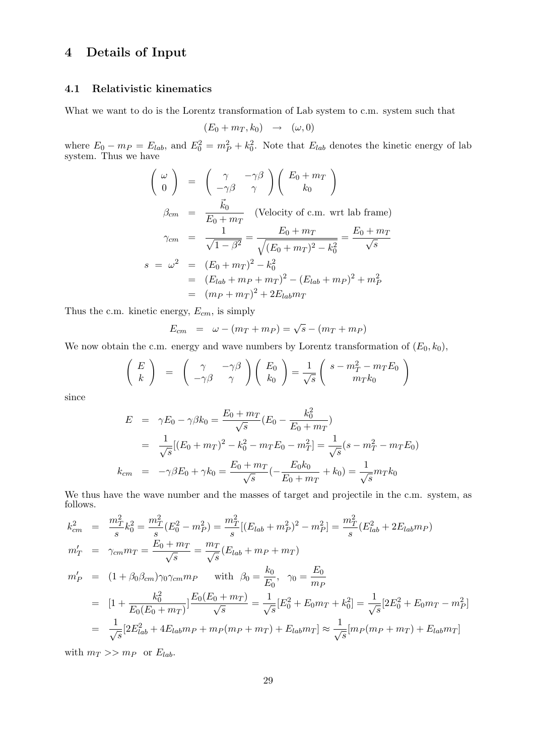## 4 Details of Input

#### 4.1 Relativistic kinematics

What we want to do is the Lorentz transformation of Lab system to c.m. system such that

$$
(E_0 + m_T, k_0) \rightarrow (\omega, 0)
$$

where  $E_0 - m_P = E_{lab}$ , and  $E_0^2 = m_P^2 + k_0^2$ . Note that  $E_{lab}$  denotes the kinetic energy of lab system. Thus we have

$$
\begin{pmatrix}\n\omega \\
0\n\end{pmatrix} = \begin{pmatrix}\n\gamma & -\gamma\beta \\
-\gamma\beta & \gamma\n\end{pmatrix} \begin{pmatrix}\nE_0 + m_T \\
k_0\n\end{pmatrix}
$$
\n
$$
\beta_{cm} = \frac{\vec{k}_0}{E_0 + m_T} \quad \text{(Velocity of c.m. wrt lab frame)}
$$
\n
$$
\gamma_{cm} = \frac{1}{\sqrt{1 - \beta^2}} = \frac{E_0 + m_T}{\sqrt{(E_0 + m_T)^2 - k_0^2}} = \frac{E_0 + m_T}{\sqrt{s}}
$$
\n
$$
s = \omega^2 = (E_0 + m_T)^2 - k_0^2
$$
\n
$$
= (E_{lab} + m_P + m_T)^2 - (E_{lab} + m_P)^2 + m_P^2
$$
\n
$$
= (m_P + m_T)^2 + 2E_{lab}m_T
$$

Thus the c.m. kinetic energy,  $E_{cm}$ , is simply

$$
E_{cm} = \omega - (m_T + m_P) = \sqrt{s} - (m_T + m_P)
$$

We now obtain the c.m. energy and wave numbers by Lorentz transformation of  $(E_0, k_0)$ ,

$$
\left(\begin{array}{c} E \\ k \end{array}\right) \quad = \quad \left(\begin{array}{cc} \gamma & -\gamma\beta \\ -\gamma\beta & \gamma \end{array}\right) \left(\begin{array}{c} E_0 \\ k_0 \end{array}\right) = \frac{1}{\sqrt{s}} \left(\begin{array}{c} s - m_T^2 - m_T E_0 \\ m_T k_0 \end{array}\right)
$$

since

$$
E = \gamma E_0 - \gamma \beta k_0 = \frac{E_0 + m_T}{\sqrt{s}} (E_0 - \frac{k_0^2}{E_0 + m_T})
$$
  

$$
= \frac{1}{\sqrt{s}} [(E_0 + m_T)^2 - k_0^2 - m_T E_0 - m_T^2] = \frac{1}{\sqrt{s}} (s - m_T^2 - m_T E_0)
$$
  

$$
k_{cm} = -\gamma \beta E_0 + \gamma k_0 = \frac{E_0 + m_T}{\sqrt{s}} (-\frac{E_0 k_0}{E_0 + m_T} + k_0) = \frac{1}{\sqrt{s}} m_T k_0
$$

We thus have the wave number and the masses of target and projectile in the c.m. system, as follows.

$$
k_{cm}^{2} = \frac{m_{T}^{2}}{s} k_{0}^{2} = \frac{m_{T}^{2}}{s} (E_{0}^{2} - m_{P}^{2}) = \frac{m_{T}^{2}}{s} [(E_{lab} + m_{P}^{2})^{2} - m_{P}^{2}] = \frac{m_{T}^{2}}{s} (E_{lab}^{2} + 2E_{lab}m_{P})
$$
  
\n
$$
m_{T}' = \gamma_{cm} m_{T} = \frac{E_{0} + m_{T}}{\sqrt{s}} = \frac{m_{T}}{\sqrt{s}} (E_{lab} + m_{P} + m_{T})
$$
  
\n
$$
m_{P}' = (1 + \beta_{0} \beta_{cm}) \gamma_{0} \gamma_{cm} m_{P} \quad \text{with} \quad \beta_{0} = \frac{k_{0}}{E_{0}}, \quad \gamma_{0} = \frac{E_{0}}{m_{P}}
$$
  
\n
$$
= [1 + \frac{k_{0}^{2}}{E_{0}(E_{0} + m_{T})}] \frac{E_{0}(E_{0} + m_{T})}{\sqrt{s}} = \frac{1}{\sqrt{s}} [E_{0}^{2} + E_{0}m_{T} + k_{0}^{2}] = \frac{1}{\sqrt{s}} [2E_{0}^{2} + E_{0}m_{T} - m_{P}^{2}]
$$
  
\n
$$
= \frac{1}{\sqrt{s}} [2E_{lab}^{2} + 4E_{lab}m_{P} + m_{P}(m_{P} + m_{T}) + E_{lab}m_{T}] \approx \frac{1}{\sqrt{s}} [m_{P}(m_{P} + m_{T}) + E_{lab}m_{T}]
$$

with  $m_T >> m_P$  or  $E_{lab}$ .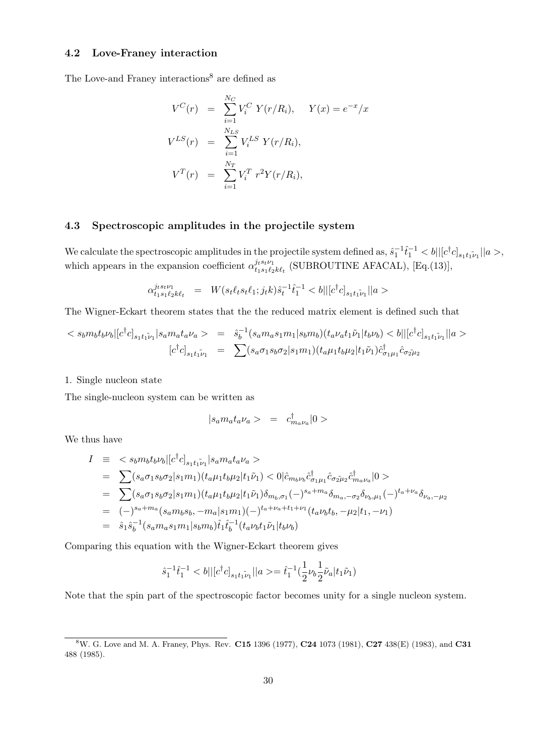#### 4.2 Love-Franey interaction

The Love-and Franey interactions<sup>8</sup> are defined as

$$
V^{C}(r) = \sum_{i=1}^{N_{C}} V_{i}^{C} Y(r/R_{i}), \quad Y(x) = e^{-x}/x
$$
  
\n
$$
V^{LS}(r) = \sum_{i=1}^{N_{LS}} V_{i}^{LS} Y(r/R_{i}),
$$
  
\n
$$
V^{T}(r) = \sum_{i=1}^{N_{T}} V_{i}^{T} r^{2} Y(r/R_{i}),
$$

#### 4.3 Spectroscopic amplitudes in the projectile system

We calculate the spectroscopic amplitudes in the projectile system defined as,  $\hat{s}_1^{-1}\hat{t}_1^{-1} < b$ || $[c^\dagger c]_{s_1t_1\tilde{\nu}_1}$ || $a >$ , which appears in the expansion coefficient  $\alpha_{t,s,\ell}^{j_t s_t \nu_1}$  $\frac{\partial t^{s_t\nu_1}}{\partial t_1 s_1 \ell_2 k \ell_t}$  (SUBROUTINE AFACAL), [Eq.(13)],

$$
\alpha_{t_1s_1\ell_2k\ell_t}^{j_ts_t\nu_1} \ = \ W(s_t\ell_ts_t\ell_1;j_tk)\hat{s}_t^{-1}\hat{t}_1^{-1} < b||[c^\dagger c]_{s_1t_1\tilde{\nu}_1}||a>
$$

The Wigner-Eckart theorem states that the the reduced matrix element is defined such that

$$
\langle s_b m_b t_b \nu_b | [c^{\dagger} c]_{s_1 t_1 \tilde{\nu}_1} | s_a m_a t_a \nu_a \rangle = \hat{s}_b^{-1} (s_a m_a s_1 m_1 | s_b m_b) (t_a \nu_a t_1 \tilde{\nu}_1 | t_b \nu_b) \langle b || [c^{\dagger} c]_{s_1 t_1 \tilde{\nu}_1} || a \rangle
$$
  

$$
[c^{\dagger} c]_{s_1 t_1 \tilde{\nu}_1} = \sum (s_a \sigma_1 s_b \sigma_2 | s_1 m_1) (t_a \mu_1 t_b \mu_2 | t_1 \tilde{\nu}_1) \hat{c}_{\sigma_1 \mu_1}^{\dagger} \hat{c}_{\sigma_2 \tilde{\mu}_2}
$$

1. Single nucleon state

The single-nucleon system can be written as

$$
|s_a m_a t_a \nu_a>~=~c_{m_a\nu_a}^\dagger|0>
$$

We thus have

$$
I = \langle s_b m_b t_b \nu_b | [c^{\dagger} c]_{s_1 t_1 \tilde{\nu}_1} | s_a m_a t_a \nu_a \rangle
$$
  
\n
$$
= \sum (s_a \sigma_1 s_b \sigma_2 | s_1 m_1) (t_a \mu_1 t_b \mu_2 | t_1 \tilde{\nu}_1) \langle 0 | \hat{c}_{m_b \nu_b} \hat{c}^{\dagger}_{\sigma_1 \mu_1} \hat{c}_{\sigma_2 \mu_2} \hat{c}^{\dagger}_{m_a \nu_a} | 0 \rangle
$$
  
\n
$$
= \sum (s_a \sigma_1 s_b \sigma_2 | s_1 m_1) (t_a \mu_1 t_b \mu_2 | t_1 \tilde{\nu}_1) \delta_{m_b, \sigma_1}(-)^{s_a + m_a} \delta_{m_a, -\sigma_2} \delta_{\nu_b, \mu_1}(-)^{t_a + \nu_a} \delta_{\nu_a, -\mu_2}
$$
  
\n
$$
= (-)^{s_a + m_a} (s_a m_b s_b, -m_a | s_1 m_1)(-)^{t_a + \nu_a + t_1 + \nu_1} (t_a \nu_b t_b, -\mu_2 | t_1, -\nu_1)
$$
  
\n
$$
= \hat{s}_1 \hat{s}_b^{-1} (s_a m_a s_1 m_1 | s_b m_b) \hat{t}_1 \hat{t}_b^{-1} (t_a \nu_b t_1 \tilde{\nu}_1 | t_b \nu_b)
$$

Comparing this equation with the Wigner-Eckart theorem gives

$$
\hat{s}_1^{-1}\hat{t}_1^{-1} < b||[c^\dagger c]_{s_1t_1\tilde{\nu}_1}||a> = \hat{t}_1^{-1}(\frac{1}{2}\nu_b\frac{1}{2}\tilde{\nu}_a|t_1\tilde{\nu}_1)
$$

Note that the spin part of the spectroscopic factor becomes unity for a single nucleon system.

<sup>&</sup>lt;sup>8</sup>W. G. Love and M. A. Franey, Phys. Rev. C15 1396 (1977), C24 1073 (1981), C27 438(E) (1983), and C31 488 (1985).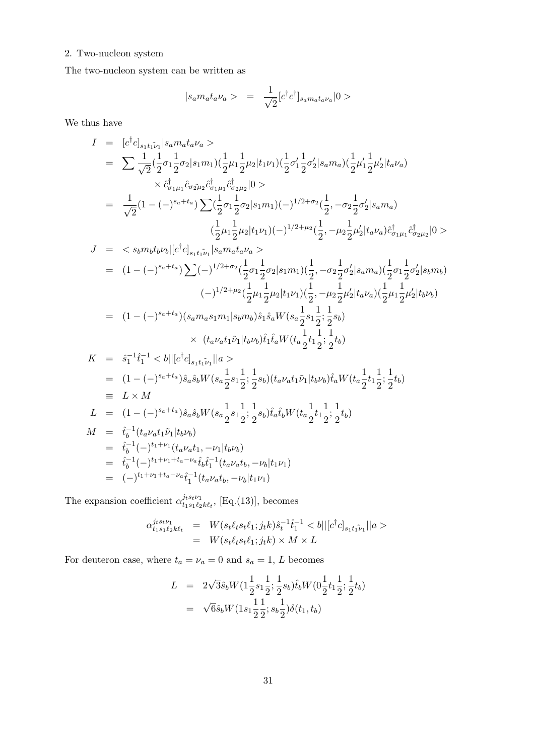#### 2. Two-nucleon system

The two-nucleon system can be written as

$$
|s_a m_a t_a \nu_a > = \frac{1}{\sqrt{2}} [c^{\dagger} c^{\dagger}]_{s_a m_a t_a \nu_a} |0>
$$

We thus have

$$
I = [c^{\dagger}c]_{s_1t_1r_1}|s_am_at_a\nu_a\rangle
$$
  
\n
$$
= \sum \frac{1}{\sqrt{2}}(\frac{1}{2}\sigma_1\frac{1}{2}\sigma_2|s_1m_1)(\frac{1}{2}\mu_1\frac{1}{2}\mu_2|t_1\nu_1)(\frac{1}{2}\sigma'_1\frac{1}{2}\sigma'_2|s_am_a)(\frac{1}{2}\mu'_1\frac{1}{2}\mu'_2|t_a\nu_a)
$$
  
\n
$$
\times \hat{c}^{\dagger}_{\sigma_1\mu_1}\hat{c}^{\dagger}_{\sigma_2\mu_2}\hat{c}^{\dagger}_{\sigma_1\mu_1}\hat{c}^{\dagger}_{\sigma_2\mu_2}|0\rangle
$$
  
\n
$$
= \frac{1}{\sqrt{2}}(1 - (-)^{s_a+t_a})\sum (\frac{1}{2}\sigma_1\frac{1}{2}\sigma_2|s_1m_1)(-)^{1/2+\sigma_2}(\frac{1}{2}, -\sigma_2\frac{1}{2}\sigma'_2|s_am_a)
$$
  
\n
$$
(\frac{1}{2}\mu_1\frac{1}{2}\mu_2|t_1\nu_1)(-)^{1/2+\mu_2}(\frac{1}{2}, -\mu_2\frac{1}{2}\mu'_2|t_a\nu_a)\hat{c}^{\dagger}_{\sigma_1\mu_1}\hat{c}^{\dagger}_{\sigma_2\mu_2}|0\rangle
$$
  
\n
$$
J = \langle s_bm_bt_b\nu_b|[c^{\dagger}c]_{s_1t_1\bar{i}_1}|s_am_at_a\nu_a\rangle
$$
  
\n
$$
= (1 - (-)^{s_a+t_a})\sum (-)^{1/2+\sigma_2}(\frac{1}{2}\sigma_1\frac{1}{2}\sigma_2|s_1m_1)(\frac{1}{2}, -\sigma_2\frac{1}{2}\sigma'_2|s_am_a)(\frac{1}{2}\sigma_1\frac{1}{2}\sigma'_2|s_bm_b)
$$
  
\n
$$
(-)^{1/2+\mu_2}(\frac{1}{2}\mu_1\frac{1}{2}\mu_2|t_1\nu_1)(\frac{1}{2}, -\mu_2\frac{1}{2}\mu'_2|t_a\nu_a)(\frac{1}{2}\mu_1\frac{1}{2}\mu'_2|t_b\nu_b)
$$
  
\

The expansion coefficient  $\alpha_{t,s}^{j_t s_t \nu_1}$  $t_1 s_1 t_2 k t_t$ , [Eq.(13)], becomes

$$
\alpha_{t_1s_1t_2k\ell_t}^{j_ts_t\nu_1} = W(s_t\ell_ts_t\ell_1;j_t k)\hat{s}_t^{-1}\hat{t}_1^{-1} < b||[c^\dagger c]_{s_1t_1\tilde{\nu}_1}||a\rangle
$$
\n
$$
= W(s_t\ell_ts_t\ell_1;j_t k) \times M \times L
$$

For deuteron case, where  $t_a = \nu_a = 0$  and  $s_a = 1$ , L becomes

$$
L = 2\sqrt{3}\hat{s}_b W(1\frac{1}{2}s_1\frac{1}{2}; \frac{1}{2}s_b)\hat{t}_b W(0\frac{1}{2}t_1\frac{1}{2}; \frac{1}{2}t_b)
$$
  
=  $\sqrt{6}\hat{s}_b W(1s_1\frac{1}{2}\frac{1}{2}; s_b\frac{1}{2})\delta(t_1, t_b)$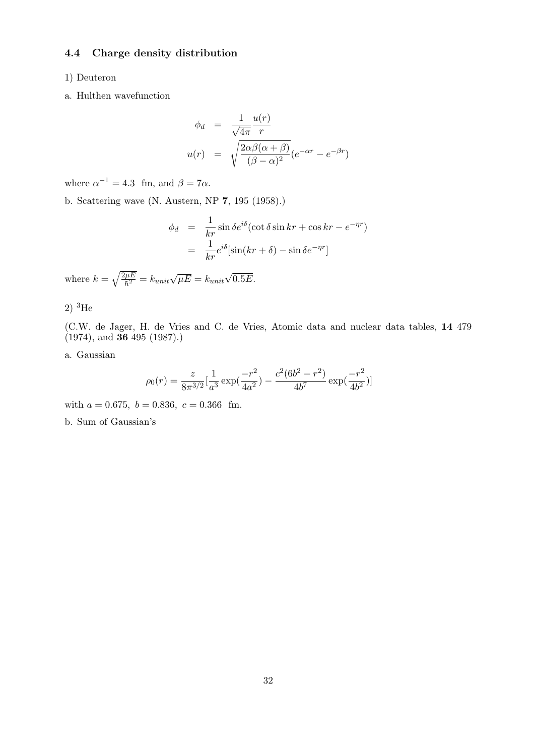#### 4.4 Charge density distribution

#### 1) Deuteron

a. Hulthen wavefunction

$$
\phi_d = \frac{1}{\sqrt{4\pi}} \frac{u(r)}{r}
$$
  

$$
u(r) = \sqrt{\frac{2\alpha\beta(\alpha+\beta)}{(\beta-\alpha)^2}} (e^{-\alpha r} - e^{-\beta r})
$$

where  $\alpha^{-1} = 4.3$  fm, and  $\beta = 7\alpha$ .

b. Scattering wave (N. Austern, NP 7, 195 (1958).)

$$
\phi_d = \frac{1}{kr} \sin \delta e^{i\delta} (\cot \delta \sin kr + \cos kr - e^{-\eta r})
$$

$$
= \frac{1}{kr} e^{i\delta} [\sin(kr + \delta) - \sin \delta e^{-\eta r}]
$$

where  $k = \sqrt{\frac{2\mu E}{\hbar^2}}$  $\overline{h^2 \over \hbar^2} = k_{unit} \sqrt{\mu E} = k_{unit}$ √  $0.5E.$ 

2)  ${}^{3}$ He

(C.W. de Jager, H. de Vries and C. de Vries, Atomic data and nuclear data tables, 14 479  $(1974)$ , and **36** 495 (1987).)

a. Gaussian

$$
\rho_0(r) = \frac{z}{8\pi^{3/2}} \left[\frac{1}{a^3} \exp\left(\frac{-r^2}{4a^2}\right) - \frac{c^2 (6b^2 - r^2)}{4b^7} \exp\left(\frac{-r^2}{4b^2}\right)\right]
$$

with  $a = 0.675$ ,  $b = 0.836$ ,  $c = 0.366$  fm.

b. Sum of Gaussian's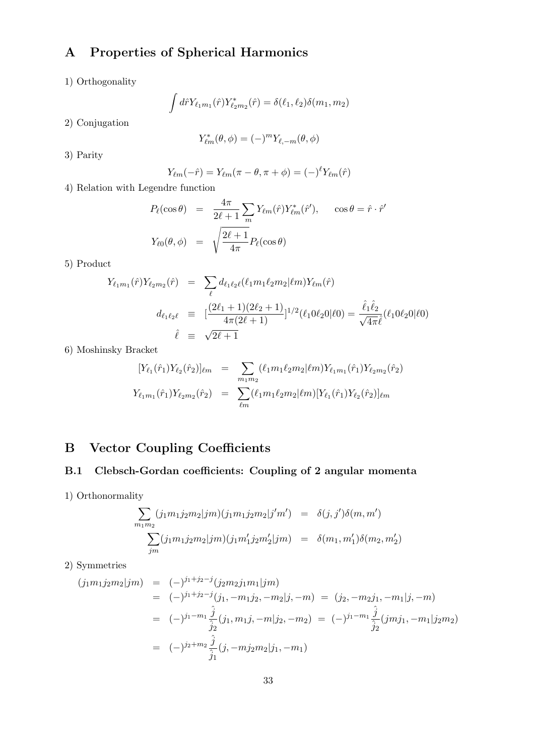## A Properties of Spherical Harmonics

1) Orthogonality

$$
\int d\hat{r} Y_{\ell_1 m_1}(\hat{r}) Y_{\ell_2 m_2}^*(\hat{r}) = \delta(\ell_1, \ell_2) \delta(m_1, m_2)
$$

2) Conjugation

$$
Y_{\ell m}^*(\theta,\phi)=(-)^mY_{\ell,-m}(\theta,\phi)
$$

3) Parity

$$
Y_{\ell m}(-\hat{r}) = Y_{\ell m}(\pi - \theta, \pi + \phi) = (-)^{\ell} Y_{\ell m}(\hat{r})
$$

4) Relation with Legendre function

$$
P_{\ell}(\cos \theta) = \frac{4\pi}{2\ell + 1} \sum_{m} Y_{\ell m}(\hat{r}) Y_{\ell m}^*(\hat{r}'), \quad \cos \theta = \hat{r} \cdot \hat{r}'
$$

$$
Y_{\ell 0}(\theta, \phi) = \sqrt{\frac{2\ell + 1}{4\pi}} P_{\ell}(\cos \theta)
$$

5) Product

$$
Y_{\ell_1 m_1}(\hat{r}) Y_{\ell_2 m_2}(\hat{r}) = \sum_{\ell} d_{\ell_1 \ell_2 \ell} (\ell_1 m_1 \ell_2 m_2 | \ell m) Y_{\ell m}(\hat{r})
$$
  

$$
d_{\ell_1 \ell_2 \ell} = [\frac{(2\ell_1 + 1)(2\ell_2 + 1)}{4\pi (2\ell + 1)}]^{1/2} (\ell_1 0 \ell_2 0 | \ell 0) = \frac{\hat{\ell}_1 \hat{\ell}_2}{\sqrt{4\pi} \hat{\ell}} (\ell_1 0 \ell_2 0 | \ell 0)
$$
  

$$
\hat{\ell} = \sqrt{2\ell + 1}
$$

6) Moshinsky Bracket

$$
[Y_{\ell_1}(\hat{r}_1)Y_{\ell_2}(\hat{r}_2)]_{\ell m} = \sum_{m_1 m_2} (\ell_1 m_1 \ell_2 m_2 | \ell m) Y_{\ell_1 m_1}(\hat{r}_1) Y_{\ell_2 m_2}(\hat{r}_2)
$$
  

$$
Y_{\ell_1 m_1}(\hat{r}_1) Y_{\ell_2 m_2}(\hat{r}_2) = \sum_{\ell m} (\ell_1 m_1 \ell_2 m_2 | \ell m) [Y_{\ell_1}(\hat{r}_1) Y_{\ell_2}(\hat{r}_2)]_{\ell m}
$$

## B Vector Coupling Coefficients

## B.1 Clebsch-Gordan coefficients: Coupling of 2 angular momenta

1) Orthonormality

$$
\sum_{m_1 m_2} (j_1 m_1 j_2 m_2 | j m) (j_1 m_1 j_2 m_2 | j' m') = \delta(j, j') \delta(m, m')
$$
  

$$
\sum_{jm} (j_1 m_1 j_2 m_2 | j m) (j_1 m'_1 j_2 m'_2 | j m) = \delta(m_1, m'_1) \delta(m_2, m'_2)
$$

2) Symmetries

$$
(j_1m_1j_2m_2|jm) = (-)^{j_1+j_2-j}(j_2m_2j_1m_1|jm)
$$
  
\n
$$
= (-)^{j_1+j_2-j}(j_1, -m_1j_2, -m_2|j, -m) = (j_2, -m_2j_1, -m_1|j, -m)
$$
  
\n
$$
= (-)^{j_1-m_1}\frac{\hat{j}}{\hat{j}_2}(j_1, m_1j, -m|j_2, -m_2) = (-)^{j_1-m_1}\frac{\hat{j}}{\hat{j}_2}(jmj_1, -m_1|j_2m_2)
$$
  
\n
$$
= (-)^{j_2+m_2}\frac{\hat{j}}{\hat{j}_1}(j, -mj_2m_2|j_1, -m_1)
$$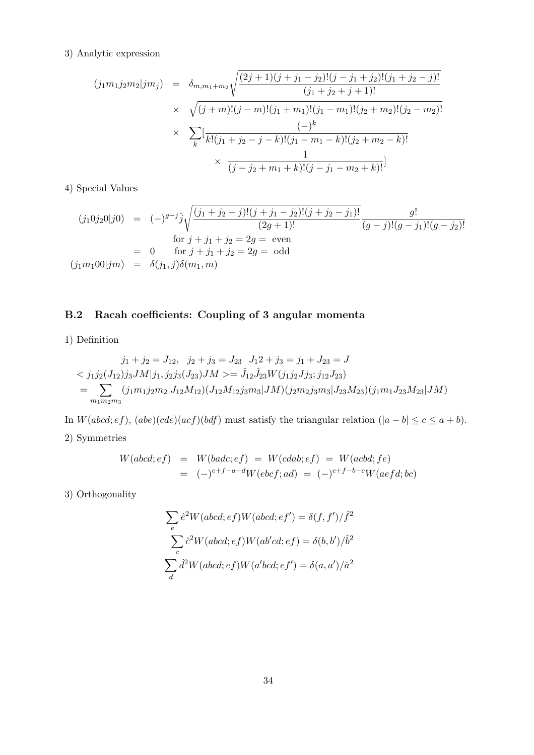#### 3) Analytic expression

$$
(j_1m_1j_2m_2|jm_j) = \delta_{m,m_1+m_2} \sqrt{\frac{(2j+1)(j+j_1-j_2)!(j-j_1+j_2)!(j_1+j_2-j)!}{(j_1+j_2+j+1)!}
$$
  
 
$$
\times \sqrt{(j+m)!(j-m)!(j_1+m_1)!(j_1-m_1)!(j_2+m_2)!(j_2-m_2)!}
$$
  
 
$$
\times \sum_k [\frac{(-)^k}{k!(j_1+j_2-j-k)!(j_1-m_1-k)!(j_2+m_2-k)!}
$$
  
 
$$
\times \frac{1}{(j-j_2+m_1+k)!(j-j_1-m_2+k)!}]
$$

4) Special Values

$$
(j_1 0j_2 0|j0) = (-)^{g+j} \hat{j} \sqrt{\frac{(j_1 + j_2 - j)!(j + j_1 - j_2)!(j + j_2 - j_1)!}{(2g + 1)!}} \frac{g!}{(g - j)!(g - j_1)!(g - j_2)!}
$$
  
for  $j + j_1 + j_2 = 2g$  = even  

$$
(j_1 m_1 00|jm) = \delta(j_1, j)\delta(m_1, m)
$$

## B.2 Racah coefficients: Coupling of 3 angular momenta

1) Definition

$$
\begin{aligned}\nj_1 + j_2 &= J_{12}, \quad j_2 + j_3 = J_{23} \quad J_1 2 + j_3 = j_1 + J_{23} = J \\
&< j_1 j_2 (J_{12}) j_3 J M | j_1, j_2 j_3 (J_{23}) J M &> = \hat{J}_{12} \hat{J}_{23} W(j_1 j_2 J j_3; j_{12} J_{23}) \\
&= \sum_{m_1 m_2 m_3} (j_1 m_1 j_2 m_2 | J_{12} M_{12}) (J_{12} M_{12} j_3 m_3 | J M) (j_2 m_2 j_3 m_3 | J_{23} M_{23}) (j_1 m_1 J_{23} M_{23} | J M)\n\end{aligned}
$$

In  $W(abcd;ef)$ ,  $(abe)(cde)(act)(bdf)$  must satisfy the triangular relation  $(|a-b| \le c \le a+b)$ . 2) Symmetries

$$
W(abcd;ef) = W(badc;ef) = W(cdab;ef) = W(acbd;fe)
$$
  
= 
$$
(-)^{e+f-a-d}W(ebcf;ad) = (-)^{e+f-b-c}W(aefd;bc)
$$

3) Orthogonality

$$
\sum_{e} \hat{e}^{2} W(abcd;ef) W(abcd;ef') = \delta(f, f') / \hat{f}^{2}
$$

$$
\sum_{c} \hat{c}^{2} W(abcd;ef) W(ab'd;ef) = \delta(b, b') / \hat{b}^{2}
$$

$$
\sum_{d} \hat{d}^{2} W(abcd;ef) W(a'bcd;ef') = \delta(a, a') / \hat{a}^{2}
$$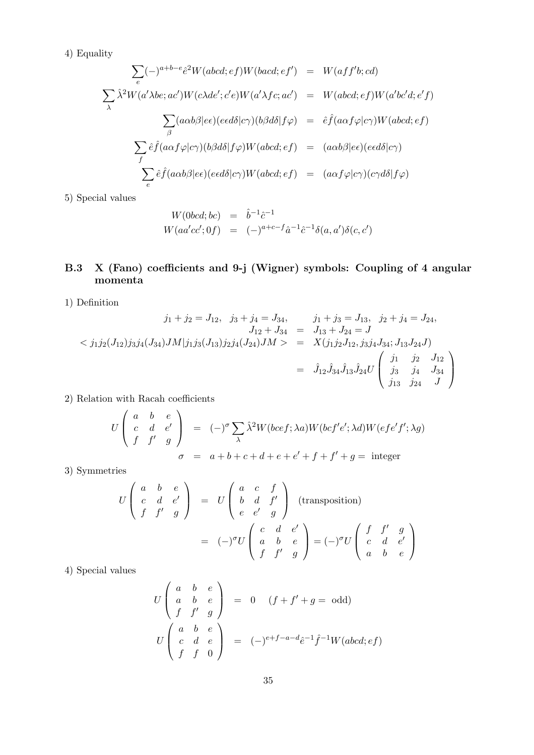4) Equality

$$
\sum_{e} (-)^{a+b-e} \hat{e}^2 W(abcd;ef)W(bacd;ef') = W(aff'b; cd)
$$
\n
$$
\sum_{\lambda} \hat{\lambda}^2 W(a'\lambda be; ac')W(c\lambda de'; c'e)W(a'\lambda fc; ac') = W(abcd;ef)W(a'bc'd; e'f)
$$
\n
$$
\sum_{\beta} (a\alpha b\beta | ee)(eed\delta | c\gamma)(b\beta d\delta | f\varphi) = \hat{e}\hat{f}(a\alpha f\varphi | c\gamma)W(abcd;ef)
$$
\n
$$
\sum_{f} \hat{e}\hat{f}(a\alpha f\varphi | c\gamma)(b\beta d\delta | f\varphi)W(abcd;ef) = (a\alpha b\beta | ee)(eed\delta | c\gamma)
$$
\n
$$
\sum_{e} \hat{e}\hat{f}(a\alpha b\beta | ee)(eed\delta | c\gamma)W(abcd;ef) = (a\alpha f\varphi | c\gamma)(c\gamma d\delta | f\varphi)
$$

5) Special values

$$
W(0bcd; bc) = \hat{b}^{-1}\hat{c}^{-1}
$$
  

$$
W(aa'cc';0f) = (-)^{a+c-f}\hat{a}^{-1}\hat{c}^{-1}\delta(a,a')\delta(c,c')
$$

## B.3 X (Fano) coefficients and 9-j (Wigner) symbols: Coupling of 4 angular momenta

1) Definition

$$
j_1 + j_2 = J_{12}, \quad j_3 + j_4 = J_{34}, \qquad j_1 + j_3 = J_{13}, \quad j_2 + j_4 = J_{24},
$$
  
\n
$$
J_{12} + J_{34} = J_{13} + J_{24} = J
$$
  
\n
$$
\langle j_1 j_2 (J_{12}) j_3 j_4 (J_{34}) J M | j_1 j_3 (J_{13}) j_2 j_4 (J_{24}) J M \rangle = X(j_1 j_2 J_{12}, j_3 j_4 J_{34}; J_{13} J_{24} J)
$$
  
\n
$$
= \hat{J}_{12} \hat{J}_{34} \hat{J}_{13} \hat{J}_{24} U \begin{pmatrix} j_1 & j_2 & J_{12} \\ j_3 & j_4 & J_{34} \\ j_{13} & j_{24} & J \end{pmatrix}
$$

2) Relation with Racah coefficients

$$
U\begin{pmatrix} a & b & e \ c & d & e' \ f & f' & g \end{pmatrix} = (-)^{\sigma} \sum_{\lambda} \hat{\lambda}^{2} W(bcf; \lambda a) W(bcf'e'; \lambda d) W(efe'f'; \lambda g)
$$
  

$$
\sigma = a + b + c + d + e + e' + f + f' + g = \text{integer}
$$

3) Symmetries

$$
U\begin{pmatrix} a & b & e \ c & d & e' \ f & f' & g \end{pmatrix} = U\begin{pmatrix} a & c & f \ b & d & f' \ e & e' & g \end{pmatrix}
$$
 (transposition)  

$$
= (-)^{\sigma}U\begin{pmatrix} c & d & e' \ a & b & e \ f & f' & g \end{pmatrix} = (-)^{\sigma}U\begin{pmatrix} f & f' & g \ c & d & e' \ a & b & e \end{pmatrix}
$$

4) Special values

$$
U\begin{pmatrix} a & b & e \ a & b & e \ f & f' & g \end{pmatrix} = 0 \quad (f + f' + g = \text{odd})
$$
  

$$
U\begin{pmatrix} a & b & e \ c & d & e \ f & f & 0 \end{pmatrix} = (-)^{e+f-a-d}\hat{e}^{-1}\hat{f}^{-1}W(abcd;ef)
$$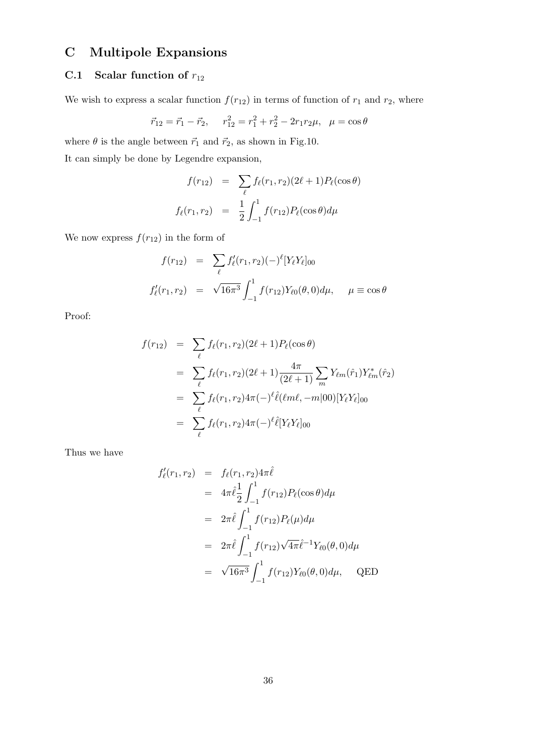## C Multipole Expansions

## C.1 Scalar function of  $r_{12}$

We wish to express a scalar function  $f(r_{12})$  in terms of function of  $r_1$  and  $r_2$ , where

$$
\vec{r}_{12} = \vec{r}_1 - \vec{r}_2, \quad r_{12}^2 = r_1^2 + r_2^2 - 2r_1r_2\mu, \quad \mu = \cos\theta
$$

where  $\theta$  is the angle between  $\vec{r}_1$  and  $\vec{r}_2,$  as shown in Fig.10.

It can simply be done by Legendre expansion,

$$
f(r_{12}) = \sum_{\ell} f_{\ell}(r_1, r_2) (2\ell + 1) P_{\ell}(\cos \theta)
$$

$$
f_{\ell}(r_1, r_2) = \frac{1}{2} \int_{-1}^{1} f(r_{12}) P_{\ell}(\cos \theta) d\mu
$$

We now express  $f(r_{12})$  in the form of

$$
f(r_{12}) = \sum_{\ell} f'_{\ell}(r_1, r_2) (-)^{\ell} [Y_{\ell} Y_{\ell}]_{00}
$$
  

$$
f'_{\ell}(r_1, r_2) = \sqrt{16\pi^3} \int_{-1}^{1} f(r_{12}) Y_{\ell 0}(\theta, 0) d\mu, \quad \mu \equiv \cos \theta
$$

Proof:

$$
f(r_{12}) = \sum_{\ell} f_{\ell}(r_1, r_2)(2\ell + 1) P_{\ell}(\cos \theta)
$$
  
= 
$$
\sum_{\ell} f_{\ell}(r_1, r_2)(2\ell + 1) \frac{4\pi}{(2\ell + 1)} \sum_{m} Y_{\ell m}(\hat{r}_1) Y_{\ell m}^*(\hat{r}_2)
$$
  
= 
$$
\sum_{\ell} f_{\ell}(r_1, r_2) 4\pi (-)^{\ell} \hat{\ell}(\ell m\ell, -m|00) [Y_{\ell}Y_{\ell}]_{00}
$$
  
= 
$$
\sum_{\ell} f_{\ell}(r_1, r_2) 4\pi (-)^{\ell} \hat{\ell} [Y_{\ell}Y_{\ell}]_{00}
$$

Thus we have

$$
f'_{\ell}(r_1, r_2) = f_{\ell}(r_1, r_2) 4\pi \hat{\ell}
$$
  
=  $4\pi \hat{\ell} \frac{1}{2} \int_{-1}^{1} f(r_{12}) P_{\ell}(\cos \theta) d\mu$   
=  $2\pi \hat{\ell} \int_{-1}^{1} f(r_{12}) P_{\ell}(\mu) d\mu$   
=  $2\pi \hat{\ell} \int_{-1}^{1} f(r_{12}) \sqrt{4\pi} \hat{\ell}^{-1} Y_{\ell 0}(\theta, 0) d\mu$   
=  $\sqrt{16\pi^3} \int_{-1}^{1} f(r_{12}) Y_{\ell 0}(\theta, 0) d\mu$ , QED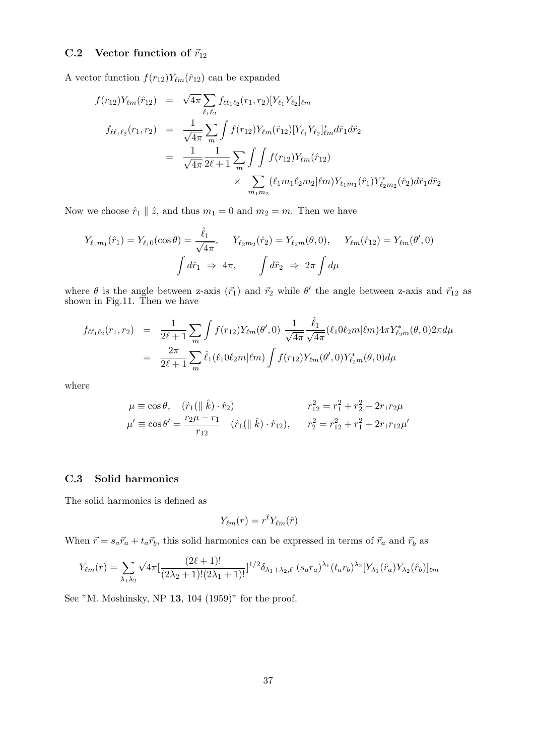### C.2 Vector function of  $\vec{r}_{12}$

A vector function  $f(r_{12})Y_{\ell m}(\hat{r}_{12})$  can be expanded

$$
f(r_{12})Y_{\ell m}(\hat{r}_{12}) = \sqrt{4\pi} \sum_{\ell_1 \ell_2} f_{\ell \ell_1 \ell_2}(r_1, r_2) [Y_{\ell_1} Y_{\ell_2}]_{\ell m}
$$
  
\n
$$
f_{\ell \ell_1 \ell_2}(r_1, r_2) = \frac{1}{\sqrt{4\pi}} \sum_{m} \int f(r_{12}) Y_{\ell m}(\hat{r}_{12}) [Y_{\ell_1} Y_{\ell_2}]_{\ell m}^* d\hat{r}_1 d\hat{r}_2
$$
  
\n
$$
= \frac{1}{\sqrt{4\pi}} \frac{1}{2\ell + 1} \sum_{m} \int \int f(r_{12}) Y_{\ell m}(\hat{r}_{12})
$$
  
\n
$$
\times \sum_{m_1 m_2} (\ell_1 m_1 \ell_2 m_2 | \ell m) Y_{\ell_1 m_1}(\hat{r}_1) Y_{\ell_2 m_2}^*(\hat{r}_2) d\hat{r}_1 d\hat{r}_2
$$

Now we choose  $\hat{r}_1 \parallel \hat{z}$ , and thus  $m_1 = 0$  and  $m_2 = m$ . Then we have

$$
Y_{\ell_1 m_1}(\hat{r}_1) = Y_{\ell_1 0}(\cos \theta) = \frac{\hat{\ell}_1}{\sqrt{4\pi}}, \quad Y_{\ell_2 m_2}(\hat{r}_2) = Y_{\ell_2 m}(\theta, 0), \quad Y_{\ell m}(\hat{r}_{12}) = Y_{\ell m}(\theta', 0)
$$

$$
\int d\hat{r}_1 \implies 4\pi, \quad \int d\hat{r}_2 \implies 2\pi \int d\mu
$$

where  $\theta$  is the angle between z-axis  $(\vec{r}_1)$  and  $\vec{r}_2$  while  $\theta'$  the angle between z-axis and  $\vec{r}_{12}$  as shown in Fig.11. Then we have

$$
f_{\ell\ell_1\ell_2}(r_1,r_2) = \frac{1}{2\ell+1} \sum_m \int f(r_{12}) Y_{\ell m}(\theta',0) \frac{1}{\sqrt{4\pi}} \frac{\hat{\ell}_1}{\sqrt{4\pi}} (\ell_1 0 \ell_2 m | \ell m) 4\pi Y_{\ell_2 m}^*(\theta,0) 2\pi d\mu
$$
  

$$
= \frac{2\pi}{2\ell+1} \sum_m \hat{\ell}_1(\ell_1 0 \ell_2 m | \ell m) \int f(r_{12}) Y_{\ell m}(\theta',0) Y_{\ell_2 m}^*(\theta,0) d\mu
$$

where

$$
\mu \equiv \cos \theta, \quad (\hat{r}_1(\parallel \hat{k}) \cdot \hat{r}_2) \qquad r_{12}^2 = r_1^2 + r_2^2 - 2r_1r_2\mu
$$
  

$$
\mu' \equiv \cos \theta' = \frac{r_2\mu - r_1}{r_{12}} \quad (\hat{r}_1(\parallel \hat{k}) \cdot \hat{r}_{12}), \qquad r_2^2 = r_{12}^2 + r_1^2 + 2r_1r_{12}\mu'
$$

#### C.3 Solid harmonics

The solid harmonics is defined as

$$
Y_{\ell m}(r) = r^{\ell} Y_{\ell m}(\hat{r})
$$

When  $\vec{r} = s_a \vec{r}_a + t_a \vec{r}_b$ , this solid harmonics can be expressed in terms of  $\vec{r}_a$  and  $\vec{r}_b$  as

$$
Y_{\ell m}(r) = \sum_{\lambda_1 \lambda_2} \sqrt{4\pi} \left[ \frac{(2\ell+1)!}{(2\lambda_2+1)!(2\lambda_1+1)!} \right]^{1/2} \delta_{\lambda_1+\lambda_2,\ell} \left( s_a r_a \right)^{\lambda_1} (t_a r_b)^{\lambda_2} [Y_{\lambda_1}(\hat{r}_a) Y_{\lambda_2}(\hat{r}_b)]_{\ell m}
$$

See "M. Moshinsky, NP 13, 104 (1959)" for the proof.